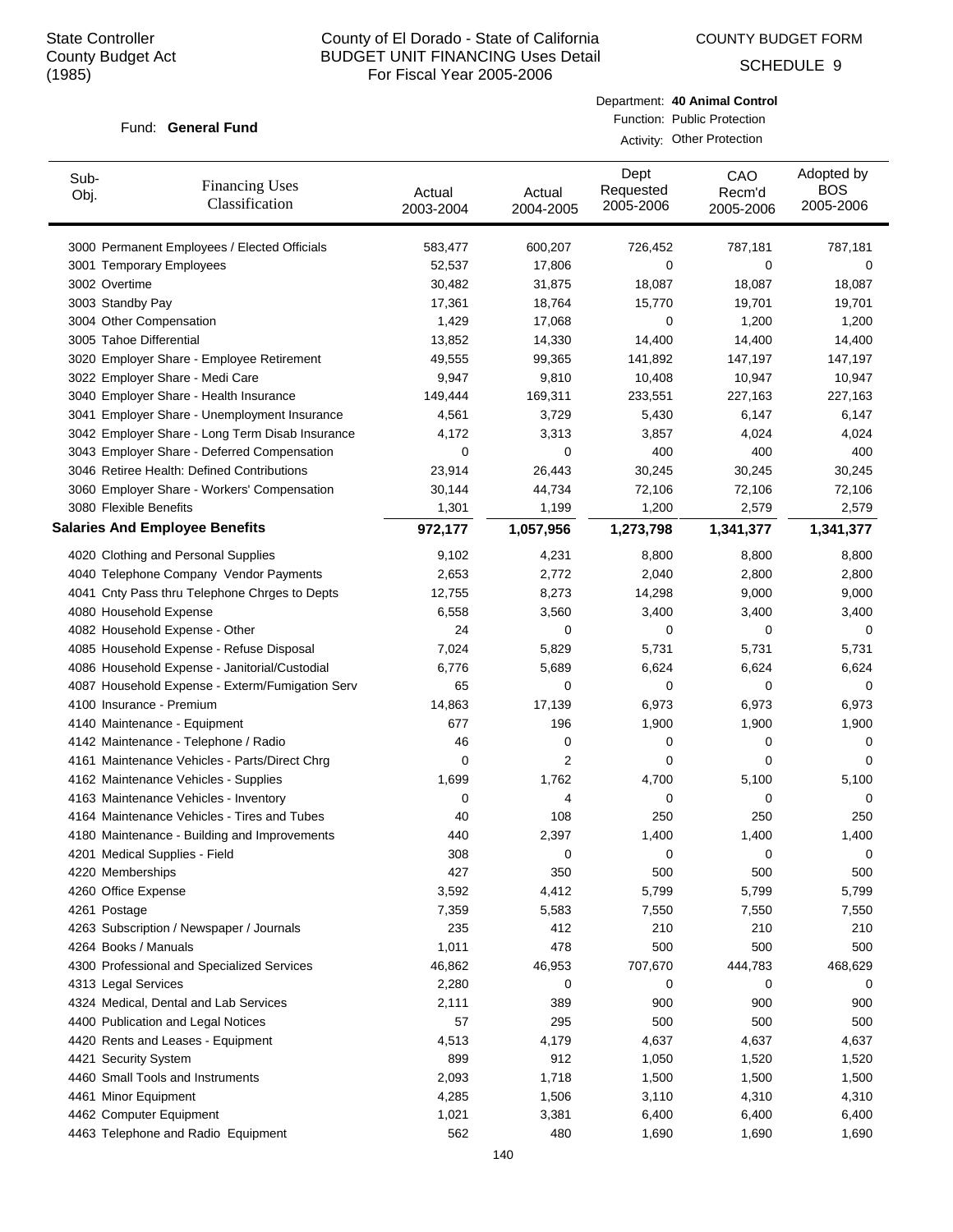COUNTY BUDGET FORM

SCHEDULE 9

#### Fund: General Fund

| Department: 40 Animal Control |
|-------------------------------|
| Function: Public Protection   |

Activity: Other Protection

| Sub-<br>Obj. | <b>Financing Uses</b><br>Classification         | Actual<br>2003-2004 | Actual<br>2004-2005 | Dept<br>Requested<br>2005-2006 | CAO<br>Recm'd<br>2005-2006 | Adopted by<br><b>BOS</b><br>2005-2006 |
|--------------|-------------------------------------------------|---------------------|---------------------|--------------------------------|----------------------------|---------------------------------------|
|              | 3000 Permanent Employees / Elected Officials    | 583,477             | 600,207             | 726,452                        | 787,181                    | 787,181                               |
|              | 3001 Temporary Employees                        | 52,537              | 17,806              | 0                              | 0                          | 0                                     |
|              | 3002 Overtime                                   | 30,482              | 31,875              | 18,087                         | 18,087                     | 18,087                                |
|              | 3003 Standby Pay                                | 17,361              | 18,764              | 15,770                         | 19,701                     | 19,701                                |
|              | 3004 Other Compensation                         | 1,429               | 17,068              | 0                              | 1,200                      | 1,200                                 |
|              | 3005 Tahoe Differential                         | 13,852              | 14,330              | 14,400                         | 14,400                     | 14,400                                |
|              | 3020 Employer Share - Employee Retirement       | 49,555              | 99,365              | 141,892                        | 147,197                    | 147,197                               |
|              | 3022 Employer Share - Medi Care                 | 9,947               | 9,810               | 10,408                         | 10,947                     | 10,947                                |
|              | 3040 Employer Share - Health Insurance          | 149,444             | 169,311             | 233,551                        | 227,163                    | 227,163                               |
|              | 3041 Employer Share - Unemployment Insurance    | 4,561               | 3,729               | 5,430                          | 6,147                      | 6,147                                 |
|              | 3042 Employer Share - Long Term Disab Insurance | 4,172               | 3,313               | 3,857                          | 4,024                      | 4,024                                 |
|              | 3043 Employer Share - Deferred Compensation     | 0                   | 0                   | 400                            | 400                        | 400                                   |
|              | 3046 Retiree Health: Defined Contributions      | 23,914              | 26,443              | 30,245                         | 30,245                     | 30,245                                |
|              | 3060 Employer Share - Workers' Compensation     | 30,144              | 44,734              | 72,106                         | 72,106                     | 72,106                                |
|              | 3080 Flexible Benefits                          | 1,301               | 1,199               | 1,200                          | 2,579                      | 2,579                                 |
|              | <b>Salaries And Employee Benefits</b>           | 972,177             | 1,057,956           | 1,273,798                      | 1,341,377                  | 1,341,377                             |
|              | 4020 Clothing and Personal Supplies             | 9,102               | 4,231               | 8,800                          | 8,800                      | 8,800                                 |
|              | 4040 Telephone Company Vendor Payments          | 2,653               | 2,772               | 2,040                          | 2,800                      | 2,800                                 |
|              | 4041 Cnty Pass thru Telephone Chrges to Depts   | 12,755              | 8,273               | 14,298                         | 9,000                      | 9,000                                 |
|              | 4080 Household Expense                          | 6,558               | 3,560               | 3,400                          | 3,400                      | 3,400                                 |
|              | 4082 Household Expense - Other                  | 24                  | $\mathbf 0$         | $\mathbf 0$                    | 0                          | $\mathbf 0$                           |
|              | 4085 Household Expense - Refuse Disposal        | 7,024               | 5,829               | 5,731                          | 5,731                      | 5,731                                 |
|              | 4086 Household Expense - Janitorial/Custodial   | 6,776               | 5,689               | 6,624                          | 6,624                      | 6,624                                 |
|              | 4087 Household Expense - Exterm/Fumigation Serv | 65                  | $\mathbf 0$         | 0                              | 0                          | 0                                     |
|              | 4100 Insurance - Premium                        | 14,863              | 17,139              | 6,973                          | 6,973                      | 6,973                                 |
|              | 4140 Maintenance - Equipment                    | 677                 | 196                 | 1,900                          | 1,900                      | 1,900                                 |
|              | 4142 Maintenance - Telephone / Radio            | 46                  | 0                   | 0                              | 0                          | 0                                     |
|              | 4161 Maintenance Vehicles - Parts/Direct Chrg   | 0                   | 2                   | 0                              | 0                          | 0                                     |
|              | 4162 Maintenance Vehicles - Supplies            | 1,699               | 1,762               | 4,700                          | 5,100                      | 5,100                                 |
|              | 4163 Maintenance Vehicles - Inventory           | 0                   | 4                   | 0                              | 0                          | 0                                     |
|              | 4164 Maintenance Vehicles - Tires and Tubes     | 40                  | 108                 | 250                            | 250                        | 250                                   |
|              | 4180 Maintenance - Building and Improvements    | 440                 | 2,397               | 1,400                          | 1,400                      | 1,400                                 |
|              | 4201 Medical Supplies - Field                   | 308                 | 0                   | 0                              | 0                          | 0                                     |
|              | 4220 Memberships                                | 427                 | 350                 | 500                            | 500                        | 500                                   |
|              | 4260 Office Expense                             | 3,592               | 4,412               | 5,799                          | 5,799                      | 5,799                                 |
|              | 4261 Postage                                    | 7,359               | 5,583               | 7,550                          | 7,550                      | 7,550                                 |
|              | 4263 Subscription / Newspaper / Journals        | 235                 | 412                 | 210                            | 210                        | 210                                   |
|              | 4264 Books / Manuals                            | 1,011               | 478                 | 500                            | 500                        | 500                                   |
|              | 4300 Professional and Specialized Services      | 46,862              | 46,953              | 707,670                        | 444,783                    | 468,629                               |
|              | 4313 Legal Services                             | 2,280               | 0                   | 0                              | 0                          | 0                                     |
|              | 4324 Medical, Dental and Lab Services           | 2,111               | 389                 | 900                            | 900                        | 900                                   |
|              | 4400 Publication and Legal Notices              | 57                  | 295                 | 500                            | 500                        | 500                                   |
|              | 4420 Rents and Leases - Equipment               | 4,513               | 4,179               | 4,637                          | 4,637                      | 4,637                                 |
|              | 4421 Security System                            | 899                 | 912                 | 1,050                          | 1,520                      | 1,520                                 |
|              | 4460 Small Tools and Instruments                | 2,093               | 1,718               | 1,500                          | 1,500                      | 1,500                                 |
|              | 4461 Minor Equipment                            | 4,285               | 1,506               | 3,110                          | 4,310                      | 4,310                                 |
|              | 4462 Computer Equipment                         | 1,021               | 3,381               | 6,400                          | 6,400                      | 6,400                                 |
|              | 4463 Telephone and Radio Equipment              | 562                 | 480                 | 1,690                          | 1,690                      | 1,690                                 |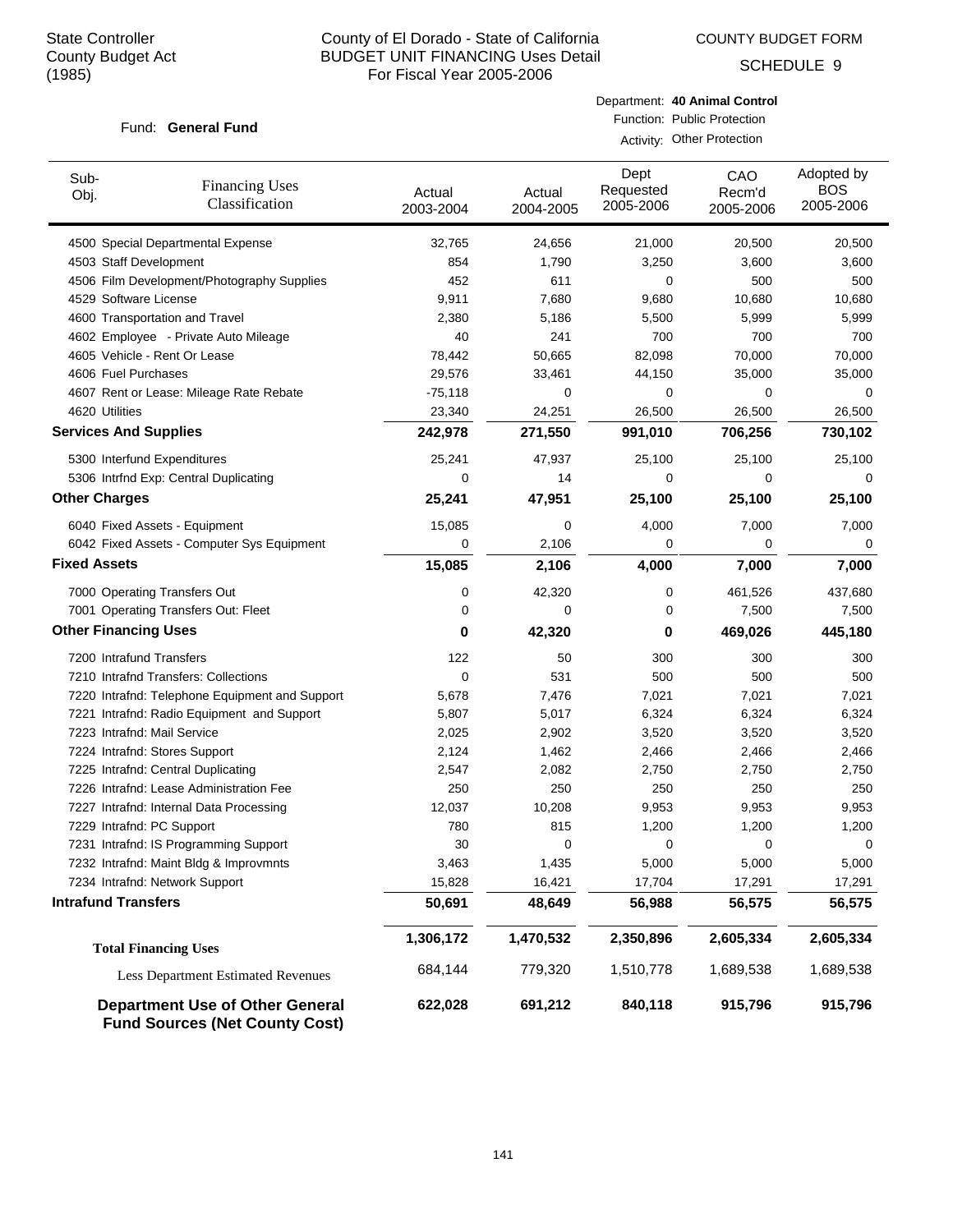COUNTY BUDGET FORM

SCHEDULE 9

#### Fund: General Fund

Department: **40 Animal Control** Function: Public Protection

Activity: Other Protection

| Sub-<br>Obj.                 | <b>Financing Uses</b><br>Classification                                         | Actual<br>2003-2004 | Actual<br>2004-2005 | Dept<br>Requested<br>2005-2006 | CAO<br>Recm'd<br>2005-2006 | Adopted by<br><b>BOS</b><br>2005-2006 |
|------------------------------|---------------------------------------------------------------------------------|---------------------|---------------------|--------------------------------|----------------------------|---------------------------------------|
|                              | 4500 Special Departmental Expense                                               | 32,765              | 24,656              | 21,000                         | 20,500                     | 20,500                                |
| 4503 Staff Development       |                                                                                 | 854                 | 1,790               | 3,250                          | 3,600                      | 3,600                                 |
|                              | 4506 Film Development/Photography Supplies                                      | 452                 | 611                 | 0                              | 500                        | 500                                   |
| 4529 Software License        |                                                                                 | 9,911               | 7,680               | 9,680                          | 10,680                     | 10,680                                |
|                              | 4600 Transportation and Travel                                                  | 2,380               | 5,186               | 5,500                          | 5,999                      | 5,999                                 |
|                              | 4602 Employee - Private Auto Mileage                                            | 40                  | 241                 | 700                            | 700                        | 700                                   |
|                              | 4605 Vehicle - Rent Or Lease                                                    | 78,442              | 50,665              | 82,098                         | 70,000                     | 70,000                                |
| 4606 Fuel Purchases          |                                                                                 | 29,576              | 33,461              | 44,150                         | 35,000                     | 35,000                                |
|                              | 4607 Rent or Lease: Mileage Rate Rebate                                         | $-75,118$           | 0                   | 0                              | 0                          | $\Omega$                              |
| 4620 Utilities               |                                                                                 | 23,340              | 24,251              | 26,500                         | 26,500                     | 26,500                                |
| <b>Services And Supplies</b> |                                                                                 | 242,978             | 271,550             | 991,010                        | 706,256                    | 730,102                               |
|                              | 5300 Interfund Expenditures                                                     | 25,241              | 47,937              | 25,100                         | 25,100                     | 25,100                                |
|                              | 5306 Intrfnd Exp: Central Duplicating                                           | 0                   | 14                  | 0                              | 0                          | $\Omega$                              |
| <b>Other Charges</b>         |                                                                                 | 25,241              | 47,951              | 25,100                         | 25,100                     | 25,100                                |
|                              | 6040 Fixed Assets - Equipment                                                   | 15,085              | 0                   | 4,000                          | 7,000                      | 7,000                                 |
|                              | 6042 Fixed Assets - Computer Sys Equipment                                      | 0                   | 2,106               | 0                              | 0                          | 0                                     |
| <b>Fixed Assets</b>          |                                                                                 | 15,085              | 2,106               | 4,000                          | 7,000                      | 7,000                                 |
|                              | 7000 Operating Transfers Out                                                    | 0                   | 42,320              | 0                              | 461,526                    | 437,680                               |
|                              | 7001 Operating Transfers Out: Fleet                                             | 0                   | 0                   | 0                              | 7,500                      | 7,500                                 |
| <b>Other Financing Uses</b>  |                                                                                 | 0                   | 42,320              | 0                              | 469,026                    | 445,180                               |
| 7200 Intrafund Transfers     |                                                                                 | 122                 | 50                  | 300                            | 300                        | 300                                   |
|                              | 7210 Intrafnd Transfers: Collections                                            | 0                   | 531                 | 500                            | 500                        | 500                                   |
|                              | 7220 Intrafnd: Telephone Equipment and Support                                  | 5,678               | 7,476               | 7,021                          | 7,021                      | 7,021                                 |
|                              | 7221 Intrafnd: Radio Equipment and Support                                      | 5,807               | 5,017               | 6,324                          | 6,324                      | 6,324                                 |
| 7223 Intrafnd: Mail Service  |                                                                                 | 2,025               | 2,902               | 3,520                          | 3,520                      | 3,520                                 |
|                              | 7224 Intrafnd: Stores Support                                                   | 2,124               | 1,462               | 2,466                          | 2,466                      | 2,466                                 |
|                              | 7225 Intrafnd: Central Duplicating                                              | 2,547               | 2,082               | 2,750                          | 2,750                      | 2,750                                 |
|                              | 7226 Intrafnd: Lease Administration Fee                                         | 250                 | 250                 | 250                            | 250                        | 250                                   |
|                              | 7227 Intrafnd: Internal Data Processing                                         | 12,037              | 10,208              | 9,953                          | 9,953                      | 9,953                                 |
| 7229 Intrafnd: PC Support    |                                                                                 | 780                 | 815                 | 1,200                          | 1,200                      | 1,200                                 |
|                              | 7231 Intrafnd: IS Programming Support                                           | 30                  | 0                   | 0                              | 0                          | 0                                     |
|                              | 7232 Intrafnd: Maint Bldg & Improvmnts                                          | 3,463               | 1,435               | 5,000                          | 5,000                      | 5,000                                 |
|                              | 7234 Intrafnd: Network Support                                                  | 15,828              | 16,421              | 17,704                         | 17,291                     | 17,291                                |
| <b>Intrafund Transfers</b>   |                                                                                 | 50,691              | 48,649              | 56,988                         | 56,575                     | 56,575                                |
|                              | <b>Total Financing Uses</b>                                                     | 1,306,172           | 1,470,532           | 2,350,896                      | 2,605,334                  | 2,605,334                             |
|                              | Less Department Estimated Revenues                                              | 684,144             | 779,320             | 1,510,778                      | 1,689,538                  | 1,689,538                             |
|                              | <b>Department Use of Other General</b><br><b>Fund Sources (Net County Cost)</b> | 622,028             | 691,212             | 840,118                        | 915,796                    | 915,796                               |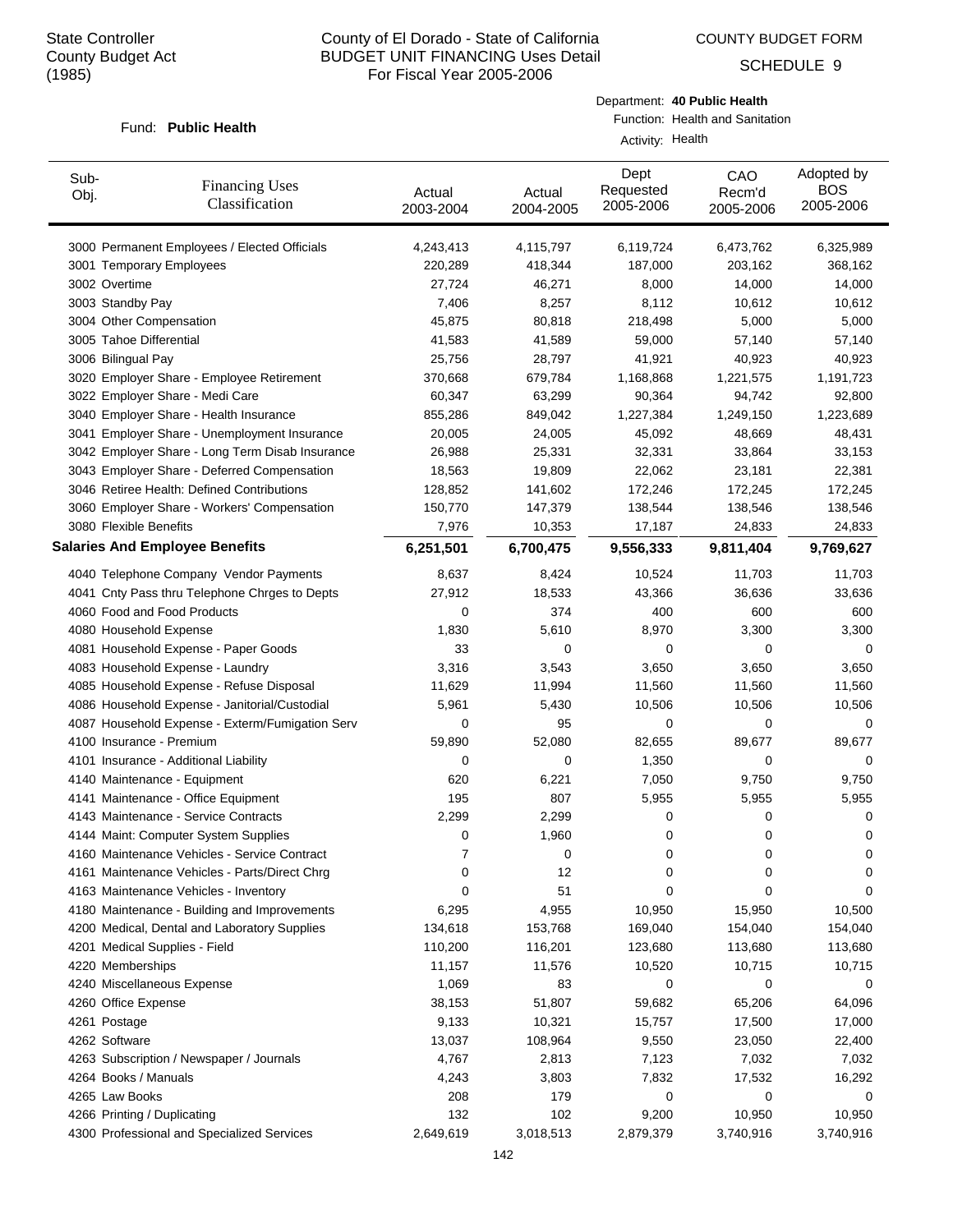COUNTY BUDGET FORM

SCHEDULE 9

#### Fund: Public Health

Department: **40 Public Health**

Function: Health and Sanitation Activity: Health

| Sub-<br>Obj. | <b>Financing Uses</b><br>Classification         | Actual<br>2003-2004 | Actual<br>2004-2005 | Dept<br>Requested<br>2005-2006 | CAO<br>Recm'd<br>2005-2006 | Adopted by<br><b>BOS</b><br>2005-2006 |
|--------------|-------------------------------------------------|---------------------|---------------------|--------------------------------|----------------------------|---------------------------------------|
|              | 3000 Permanent Employees / Elected Officials    | 4,243,413           | 4,115,797           | 6,119,724                      | 6,473,762                  | 6,325,989                             |
|              | 3001 Temporary Employees                        | 220,289             | 418,344             | 187,000                        | 203,162                    | 368,162                               |
|              | 3002 Overtime                                   | 27,724              | 46,271              | 8,000                          | 14,000                     | 14,000                                |
|              | 3003 Standby Pay                                | 7,406               | 8,257               | 8,112                          | 10,612                     | 10,612                                |
|              | 3004 Other Compensation                         | 45,875              | 80,818              | 218,498                        | 5,000                      | 5,000                                 |
|              | 3005 Tahoe Differential                         | 41,583              | 41,589              | 59,000                         | 57,140                     | 57,140                                |
|              | 3006 Bilingual Pay                              | 25,756              | 28,797              | 41,921                         | 40,923                     | 40,923                                |
|              | 3020 Employer Share - Employee Retirement       | 370,668             | 679,784             | 1,168,868                      | 1,221,575                  | 1,191,723                             |
|              | 3022 Employer Share - Medi Care                 | 60,347              | 63,299              | 90,364                         | 94,742                     | 92,800                                |
|              | 3040 Employer Share - Health Insurance          | 855,286             | 849,042             | 1,227,384                      | 1,249,150                  | 1,223,689                             |
|              | 3041 Employer Share - Unemployment Insurance    | 20,005              | 24,005              | 45,092                         | 48,669                     | 48,431                                |
|              | 3042 Employer Share - Long Term Disab Insurance | 26,988              | 25,331              | 32,331                         | 33,864                     | 33,153                                |
|              | 3043 Employer Share - Deferred Compensation     | 18,563              | 19,809              | 22,062                         | 23,181                     | 22,381                                |
|              | 3046 Retiree Health: Defined Contributions      | 128,852             | 141,602             | 172,246                        | 172,245                    | 172,245                               |
|              | 3060 Employer Share - Workers' Compensation     | 150,770             | 147,379             | 138,544                        | 138,546                    | 138,546                               |
|              | 3080 Flexible Benefits                          | 7,976               | 10,353              | 17,187                         | 24,833                     | 24,833                                |
|              | <b>Salaries And Employee Benefits</b>           | 6,251,501           | 6,700,475           | 9,556,333                      | 9,811,404                  | 9,769,627                             |
|              | 4040 Telephone Company Vendor Payments          | 8,637               | 8,424               | 10,524                         | 11,703                     | 11,703                                |
|              | 4041 Cnty Pass thru Telephone Chrges to Depts   | 27,912              | 18,533              | 43,366                         | 36,636                     | 33,636                                |
|              | 4060 Food and Food Products                     | 0                   | 374                 | 400                            | 600                        | 600                                   |
|              | 4080 Household Expense                          | 1,830               | 5,610               | 8,970                          | 3,300                      | 3,300                                 |
|              | 4081 Household Expense - Paper Goods            | 33                  | $\mathbf 0$         | 0                              | 0                          | 0                                     |
|              | 4083 Household Expense - Laundry                | 3,316               | 3,543               | 3,650                          | 3,650                      | 3,650                                 |
|              | 4085 Household Expense - Refuse Disposal        | 11,629              | 11,994              | 11,560                         | 11,560                     | 11,560                                |
|              | 4086 Household Expense - Janitorial/Custodial   | 5,961               | 5,430               | 10,506                         | 10,506                     | 10,506                                |
|              | 4087 Household Expense - Exterm/Fumigation Serv | 0                   | 95                  | 0                              | 0                          | 0                                     |
|              | 4100 Insurance - Premium                        | 59,890              | 52,080              | 82,655                         | 89,677                     | 89,677                                |
|              | 4101 Insurance - Additional Liability           | 0                   | 0                   | 1,350                          | 0                          | 0                                     |
|              | 4140 Maintenance - Equipment                    | 620                 | 6,221               | 7,050                          | 9,750                      | 9,750                                 |
|              | 4141 Maintenance - Office Equipment             | 195                 | 807                 | 5,955                          | 5,955                      | 5,955                                 |
|              | 4143 Maintenance - Service Contracts            | 2,299               | 2,299               | 0                              | 0                          | 0                                     |
|              | 4144 Maint: Computer System Supplies            | 0                   | 1,960               | 0                              | 0                          | 0                                     |
|              | 4160 Maintenance Vehicles - Service Contract    |                     | 0                   | 0                              | 0                          | 0                                     |
|              | 4161 Maintenance Vehicles - Parts/Direct Chrg   | 0                   | 12                  | 0                              | 0                          | 0                                     |
|              | 4163 Maintenance Vehicles - Inventory           | 0                   | 51                  | 0                              | 0                          | 0                                     |
|              | 4180 Maintenance - Building and Improvements    | 6,295               | 4,955               | 10,950                         | 15,950                     | 10,500                                |
|              | 4200 Medical, Dental and Laboratory Supplies    | 134,618             | 153,768             | 169,040                        | 154,040                    | 154,040                               |
|              | 4201 Medical Supplies - Field                   | 110,200             | 116,201             | 123,680                        | 113,680                    | 113,680                               |
|              | 4220 Memberships                                | 11,157              | 11,576              | 10,520                         | 10,715                     | 10,715                                |
|              | 4240 Miscellaneous Expense                      | 1,069               | 83                  | 0                              | 0                          | 0                                     |
|              |                                                 |                     |                     |                                |                            |                                       |
|              | 4260 Office Expense                             | 38,153              | 51,807              | 59,682                         | 65,206                     | 64,096                                |
|              | 4261 Postage                                    | 9,133               | 10,321              | 15,757                         | 17,500                     | 17,000                                |
|              | 4262 Software                                   | 13,037              | 108,964             | 9,550                          | 23,050                     | 22,400                                |
|              | 4263 Subscription / Newspaper / Journals        | 4,767               | 2,813               | 7,123                          | 7,032                      | 7,032                                 |
|              | 4264 Books / Manuals                            | 4,243               | 3,803               | 7,832                          | 17,532                     | 16,292                                |
|              | 4265 Law Books                                  | 208                 | 179                 | 0                              | 0                          | 0                                     |
|              | 4266 Printing / Duplicating                     | 132                 | 102                 | 9,200                          | 10,950                     | 10,950                                |
|              | 4300 Professional and Specialized Services      | 2,649,619           | 3,018,513           | 2,879,379                      | 3,740,916                  | 3,740,916                             |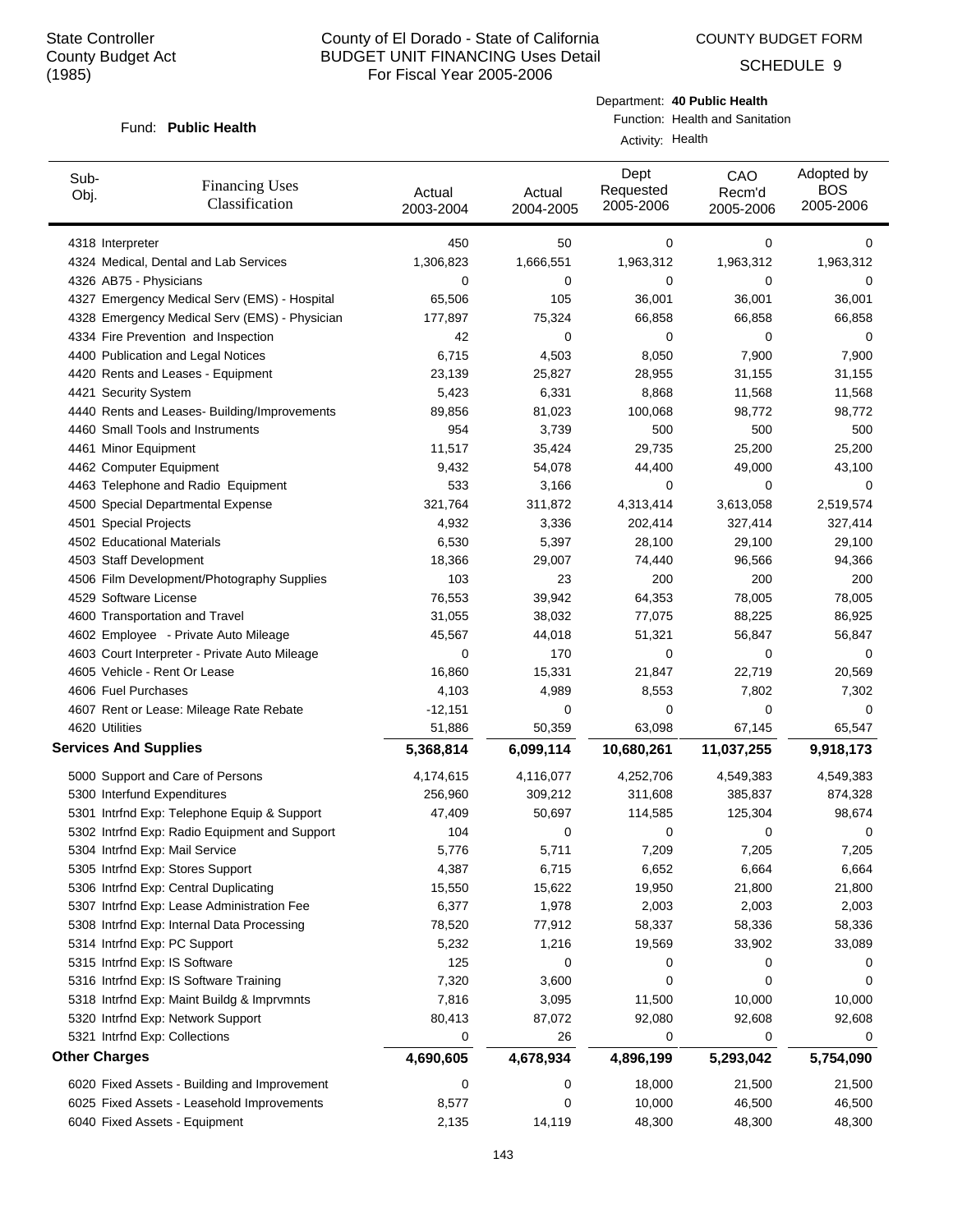COUNTY BUDGET FORM

SCHEDULE 9

#### Fund: Public Health

Department: **40 Public Health** Function: Health and Sanitation

Activity: Health

| Sub-<br>Obj.                 | <b>Financing Uses</b><br>Classification       | Actual<br>2003-2004 | Actual<br>2004-2005 | Dept<br>Requested<br>2005-2006 | CAO<br>Recm'd<br>2005-2006 | Adopted by<br><b>BOS</b><br>2005-2006 |
|------------------------------|-----------------------------------------------|---------------------|---------------------|--------------------------------|----------------------------|---------------------------------------|
| 4318 Interpreter             |                                               | 450                 | 50                  | 0                              | 0                          | 0                                     |
|                              | 4324 Medical, Dental and Lab Services         | 1,306,823           | 1,666,551           | 1,963,312                      | 1,963,312                  | 1,963,312                             |
| 4326 AB75 - Physicians       |                                               | 0                   | 0                   | 0                              | 0                          | 0                                     |
|                              | 4327 Emergency Medical Serv (EMS) - Hospital  | 65,506              | 105                 | 36,001                         | 36,001                     | 36,001                                |
|                              | 4328 Emergency Medical Serv (EMS) - Physician | 177,897             | 75,324              | 66,858                         | 66,858                     | 66,858                                |
|                              | 4334 Fire Prevention and Inspection           | 42                  | 0                   | 0                              | 0                          | 0                                     |
|                              | 4400 Publication and Legal Notices            | 6,715               | 4,503               | 8,050                          | 7,900                      | 7,900                                 |
|                              | 4420 Rents and Leases - Equipment             | 23,139              | 25,827              | 28,955                         | 31,155                     | 31,155                                |
| 4421 Security System         |                                               | 5,423               | 6,331               | 8,868                          | 11,568                     | 11,568                                |
|                              | 4440 Rents and Leases- Building/Improvements  | 89,856              | 81,023              | 100,068                        | 98,772                     | 98,772                                |
|                              | 4460 Small Tools and Instruments              | 954                 | 3,739               | 500                            | 500                        | 500                                   |
| 4461 Minor Equipment         |                                               | 11,517              | 35,424              | 29,735                         | 25,200                     | 25,200                                |
| 4462 Computer Equipment      |                                               | 9,432               | 54,078              | 44,400                         | 49,000                     | 43,100                                |
|                              | 4463 Telephone and Radio Equipment            | 533                 | 3,166               | 0                              | 0                          | 0                                     |
|                              | 4500 Special Departmental Expense             | 321,764             | 311,872             | 4,313,414                      | 3,613,058                  | 2,519,574                             |
| 4501 Special Projects        |                                               | 4,932               | 3,336               | 202,414                        | 327,414                    | 327,414                               |
| 4502 Educational Materials   |                                               | 6,530               | 5,397               | 28,100                         | 29,100                     | 29,100                                |
| 4503 Staff Development       |                                               | 18,366              | 29,007              | 74,440                         | 96,566                     | 94,366                                |
|                              | 4506 Film Development/Photography Supplies    | 103                 | 23                  | 200                            | 200                        | 200                                   |
| 4529 Software License        |                                               | 76,553              | 39,942              | 64,353                         | 78,005                     | 78,005                                |
|                              | 4600 Transportation and Travel                | 31,055              | 38,032              | 77,075                         | 88,225                     | 86,925                                |
|                              | 4602 Employee - Private Auto Mileage          | 45,567              | 44,018              | 51,321                         | 56,847                     | 56,847                                |
|                              | 4603 Court Interpreter - Private Auto Mileage | 0                   | 170                 | 0                              | 0                          | 0                                     |
|                              | 4605 Vehicle - Rent Or Lease                  | 16,860              | 15,331              | 21,847                         | 22,719                     | 20,569                                |
| 4606 Fuel Purchases          |                                               | 4,103               | 4,989               | 8,553                          | 7,802                      | 7,302                                 |
|                              | 4607 Rent or Lease: Mileage Rate Rebate       | $-12,151$           | 0                   | 0                              | 0                          | 0                                     |
| 4620 Utilities               |                                               | 51,886              | 50,359              | 63,098                         | 67,145                     | 65,547                                |
| <b>Services And Supplies</b> |                                               | 5,368,814           | 6,099,114           | 10,680,261                     | 11,037,255                 | 9,918,173                             |
|                              |                                               |                     |                     |                                |                            |                                       |
|                              | 5000 Support and Care of Persons              | 4,174,615           | 4,116,077           | 4,252,706                      | 4,549,383                  | 4,549,383                             |
| 5300 Interfund Expenditures  |                                               | 256,960             | 309,212             | 311,608                        | 385,837                    | 874,328                               |
|                              | 5301 Intrfnd Exp: Telephone Equip & Support   | 47,409              | 50,697              | 114,585                        | 125,304                    | 98,674                                |
|                              | 5302 Intrfnd Exp: Radio Equipment and Support | 104                 | 0                   | 0                              | 0                          | 0                                     |
|                              | 5304 Intrfnd Exp: Mail Service                | 5,776               | 5,711               | 7,209                          | 7,205                      | 7,205                                 |
|                              | 5305 Intrfnd Exp: Stores Support              | 4,387               | 6,715               | 6,652                          | 6,664                      | 6,664                                 |
|                              | 5306 Intrfnd Exp: Central Duplicating         | 15,550              | 15,622              | 19,950                         | 21,800                     | 21,800                                |
|                              | 5307 Intrfnd Exp: Lease Administration Fee    | 6,377               | 1,978               | 2,003                          | 2,003                      | 2,003                                 |
|                              | 5308 Intrfnd Exp: Internal Data Processing    | 78,520              | 77,912              | 58,337                         | 58,336                     | 58,336                                |
|                              | 5314 Intrfnd Exp: PC Support                  | 5,232               | 1,216               | 19,569                         | 33,902                     | 33,089                                |
|                              | 5315 Intrfnd Exp: IS Software                 | 125                 | 0                   | 0                              | 0                          | 0                                     |
|                              | 5316 Intrfnd Exp: IS Software Training        | 7,320               | 3,600               | 0                              | 0                          | 0                                     |
|                              | 5318 Intrfnd Exp: Maint Buildg & Imprvmnts    | 7,816               | 3,095               | 11,500                         | 10,000                     | 10,000                                |
|                              | 5320 Intrfnd Exp: Network Support             | 80,413              | 87,072              | 92,080                         | 92,608                     | 92,608                                |
|                              | 5321 Intrfnd Exp: Collections                 | 0                   | 26                  | 0                              | 0                          | 0                                     |
| <b>Other Charges</b>         |                                               | 4,690,605           | 4,678,934           | 4,896,199                      | 5,293,042                  | 5,754,090                             |
|                              | 6020 Fixed Assets - Building and Improvement  | 0                   | 0                   | 18,000                         | 21,500                     | 21,500                                |
|                              | 6025 Fixed Assets - Leasehold Improvements    | 8,577               | 0                   | 10,000                         | 46,500                     | 46,500                                |
|                              | 6040 Fixed Assets - Equipment                 | 2,135               | 14,119              | 48,300                         | 48,300                     | 48,300                                |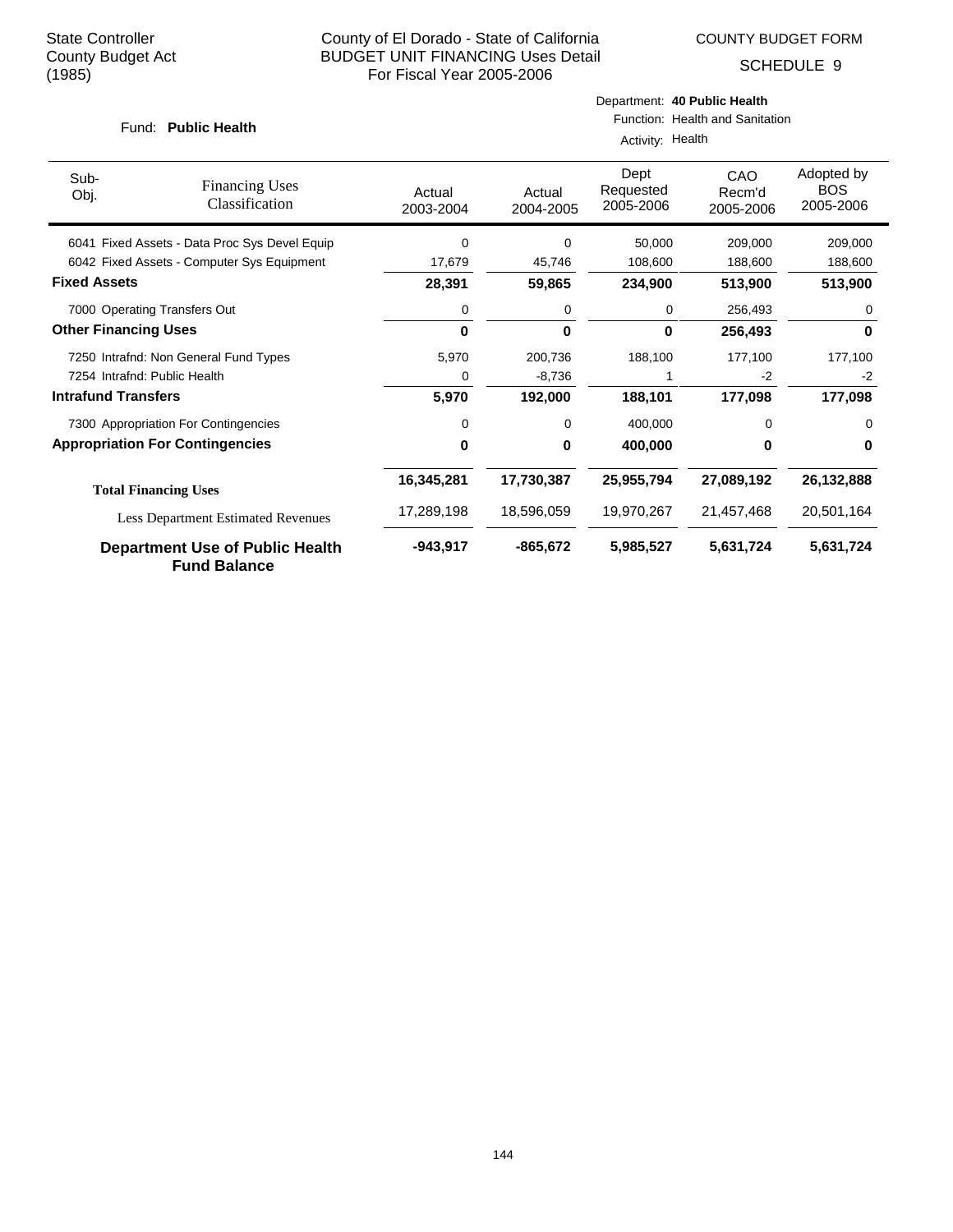SCHEDULE 9

#### Fund: Public Health

# Department: **40 Public Health**

Function: Health and Sanitation

|                             |                                                               | Activity: Health    |                     |                                |                            |                                       |  |  |
|-----------------------------|---------------------------------------------------------------|---------------------|---------------------|--------------------------------|----------------------------|---------------------------------------|--|--|
| Sub-<br>Obj.                | <b>Financing Uses</b><br>Classification                       | Actual<br>2003-2004 | Actual<br>2004-2005 | Dept<br>Requested<br>2005-2006 | CAO<br>Recm'd<br>2005-2006 | Adopted by<br><b>BOS</b><br>2005-2006 |  |  |
|                             | 6041 Fixed Assets - Data Proc Sys Devel Equip                 | 0                   | 0                   | 50.000                         | 209.000                    | 209.000                               |  |  |
|                             | 6042 Fixed Assets - Computer Sys Equipment                    | 17,679              | 45,746              | 108,600                        | 188,600                    | 188,600                               |  |  |
| <b>Fixed Assets</b>         |                                                               | 28,391              | 59,865              | 234,900                        | 513,900                    | 513,900                               |  |  |
|                             | 7000 Operating Transfers Out                                  | 0                   | 0                   | 0                              | 256,493                    | 0                                     |  |  |
| <b>Other Financing Uses</b> |                                                               | 0                   | 0                   | 0                              | 256,493                    | 0                                     |  |  |
|                             | 7250 Intrafnd: Non General Fund Types                         | 5,970               | 200,736             | 188,100                        | 177,100                    | 177,100                               |  |  |
|                             | 7254 Intrafnd: Public Health                                  | 0                   | $-8,736$            |                                | $-2$                       | $-2$                                  |  |  |
| <b>Intrafund Transfers</b>  |                                                               | 5,970               | 192,000             | 188,101                        | 177,098                    | 177,098                               |  |  |
|                             | 7300 Appropriation For Contingencies                          | 0                   | 0                   | 400,000                        | 0                          | 0                                     |  |  |
|                             | <b>Appropriation For Contingencies</b>                        | 0                   | 0                   | 400,000                        | 0                          | 0                                     |  |  |
|                             | <b>Total Financing Uses</b>                                   | 16,345,281          | 17,730,387          | 25,955,794                     | 27,089,192                 | 26,132,888                            |  |  |
|                             | <b>Less Department Estimated Revenues</b>                     | 17,289,198          | 18,596,059          | 19,970,267                     | 21,457,468                 | 20,501,164                            |  |  |
|                             | <b>Department Use of Public Health</b><br><b>Fund Balance</b> | $-943,917$          | $-865,672$          | 5,985,527                      | 5,631,724                  | 5,631,724                             |  |  |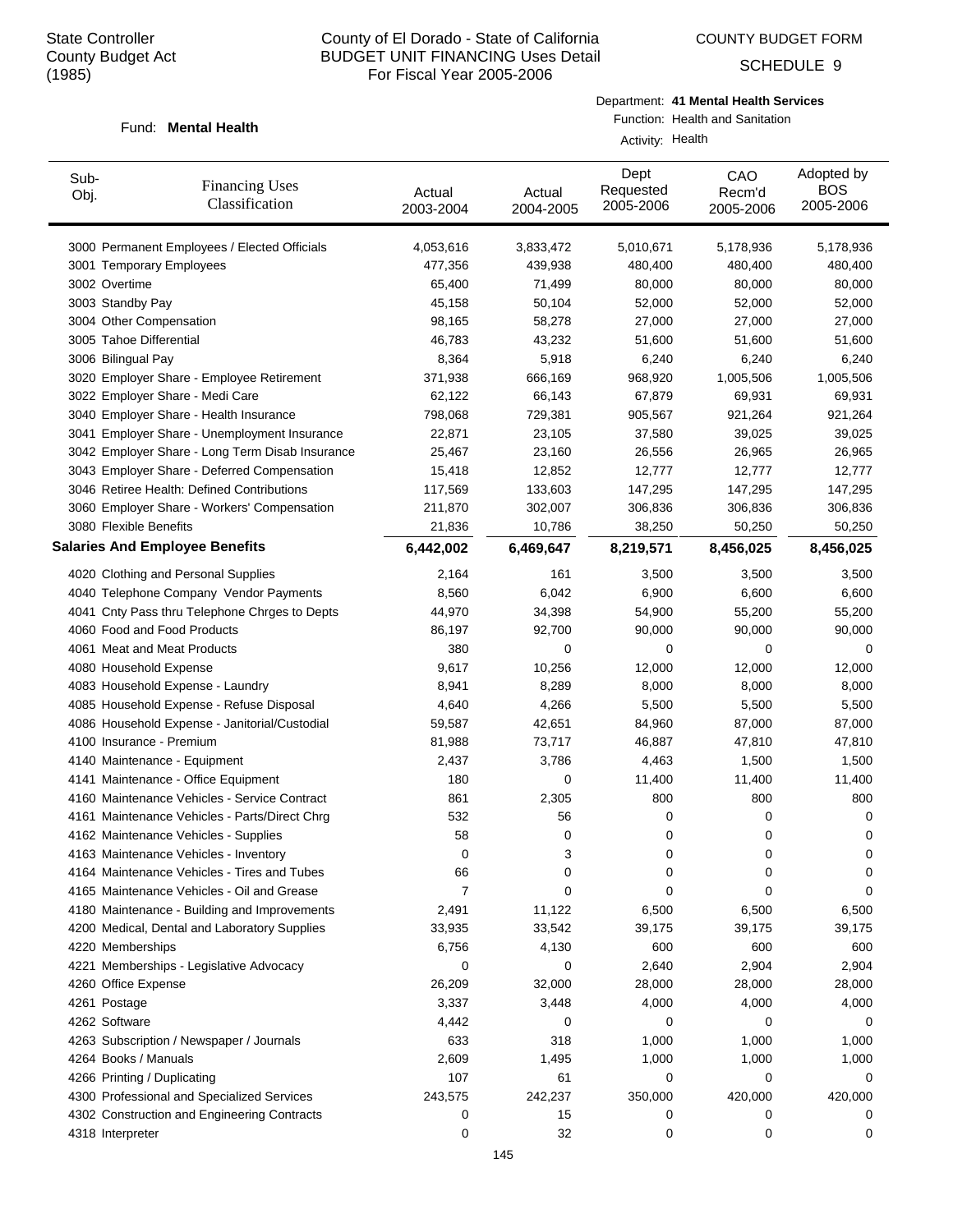COUNTY BUDGET FORM

SCHEDULE 9

## Fund: Mental Health

Department: **41 Mental Health Services**

Function: Health and Sanitation Activity: Health

| Sub-<br>Obj.     | <b>Financing Uses</b><br>Classification         | Actual<br>2003-2004 | Actual<br>2004-2005 | Dept<br>Requested<br>2005-2006 | CAO<br>Recm'd<br>2005-2006 | Adopted by<br><b>BOS</b><br>2005-2006 |
|------------------|-------------------------------------------------|---------------------|---------------------|--------------------------------|----------------------------|---------------------------------------|
|                  | 3000 Permanent Employees / Elected Officials    | 4,053,616           | 3,833,472           | 5,010,671                      | 5,178,936                  | 5,178,936                             |
|                  | 3001 Temporary Employees                        | 477,356             | 439,938             | 480,400                        | 480,400                    | 480,400                               |
| 3002 Overtime    |                                                 | 65,400              | 71,499              | 80,000                         | 80,000                     | 80,000                                |
|                  | 3003 Standby Pay                                | 45,158              | 50,104              | 52,000                         | 52,000                     | 52,000                                |
|                  | 3004 Other Compensation                         | 98,165              | 58,278              | 27,000                         | 27,000                     | 27,000                                |
|                  | 3005 Tahoe Differential                         | 46,783              | 43,232              | 51,600                         | 51,600                     | 51,600                                |
|                  | 3006 Bilingual Pay                              | 8,364               | 5,918               | 6,240                          | 6,240                      | 6,240                                 |
|                  | 3020 Employer Share - Employee Retirement       | 371,938             | 666,169             | 968,920                        | 1,005,506                  | 1,005,506                             |
|                  | 3022 Employer Share - Medi Care                 | 62,122              | 66,143              | 67,879                         | 69,931                     | 69,931                                |
|                  | 3040 Employer Share - Health Insurance          | 798,068             | 729,381             | 905,567                        | 921,264                    | 921,264                               |
|                  | 3041 Employer Share - Unemployment Insurance    | 22,871              | 23,105              | 37,580                         | 39,025                     | 39,025                                |
|                  | 3042 Employer Share - Long Term Disab Insurance | 25,467              | 23,160              | 26,556                         | 26,965                     | 26,965                                |
|                  | 3043 Employer Share - Deferred Compensation     | 15,418              | 12,852              | 12,777                         | 12,777                     | 12,777                                |
|                  | 3046 Retiree Health: Defined Contributions      | 117,569             | 133,603             | 147,295                        | 147,295                    | 147,295                               |
|                  | 3060 Employer Share - Workers' Compensation     | 211,870             | 302,007             | 306,836                        | 306,836                    | 306,836                               |
|                  | 3080 Flexible Benefits                          | 21,836              | 10,786              | 38,250                         | 50,250                     | 50,250                                |
|                  | <b>Salaries And Employee Benefits</b>           | 6,442,002           | 6,469,647           | 8,219,571                      | 8,456,025                  | 8,456,025                             |
|                  | 4020 Clothing and Personal Supplies             | 2,164               | 161                 | 3,500                          | 3,500                      | 3,500                                 |
|                  | 4040 Telephone Company Vendor Payments          | 8,560               | 6,042               | 6,900                          | 6,600                      | 6,600                                 |
|                  | 4041 Cnty Pass thru Telephone Chrges to Depts   | 44,970              | 34,398              | 54,900                         | 55,200                     | 55,200                                |
|                  | 4060 Food and Food Products                     | 86,197              | 92,700              | 90,000                         | 90,000                     | 90,000                                |
|                  | 4061 Meat and Meat Products                     | 380                 | 0                   | 0                              | 0                          | 0                                     |
|                  | 4080 Household Expense                          | 9,617               | 10,256              | 12,000                         | 12,000                     | 12,000                                |
|                  | 4083 Household Expense - Laundry                | 8,941               | 8,289               | 8,000                          | 8,000                      | 8,000                                 |
|                  | 4085 Household Expense - Refuse Disposal        | 4,640               | 4,266               | 5,500                          | 5,500                      | 5,500                                 |
|                  | 4086 Household Expense - Janitorial/Custodial   | 59,587              | 42,651              | 84,960                         | 87,000                     | 87,000                                |
|                  | 4100 Insurance - Premium                        | 81,988              | 73,717              | 46,887                         | 47,810                     | 47,810                                |
|                  | 4140 Maintenance - Equipment                    | 2,437               | 3,786               | 4,463                          | 1,500                      | 1,500                                 |
|                  | 4141 Maintenance - Office Equipment             | 180                 | 0                   | 11,400                         | 11,400                     | 11,400                                |
|                  | 4160 Maintenance Vehicles - Service Contract    | 861                 | 2,305               | 800                            | 800                        | 800                                   |
|                  | 4161 Maintenance Vehicles - Parts/Direct Chrg   | 532                 | 56                  | 0                              | 0                          | 0                                     |
|                  | 4162 Maintenance Vehicles - Supplies            | 58                  | 0                   | 0                              | 0                          | 0                                     |
|                  | 4163 Maintenance Vehicles - Inventory           | 0                   | 3                   | 0                              | 0                          | 0                                     |
|                  | 4164 Maintenance Vehicles - Tires and Tubes     | 66                  | 0                   | 0                              | 0                          | 0                                     |
|                  | 4165 Maintenance Vehicles - Oil and Grease      | 7                   | 0                   | 0                              | 0                          | $\Omega$                              |
|                  | 4180 Maintenance - Building and Improvements    | 2,491               | 11,122              | 6,500                          | 6,500                      | 6,500                                 |
|                  | 4200 Medical, Dental and Laboratory Supplies    | 33,935              | 33,542              | 39,175                         | 39,175                     | 39,175                                |
|                  | 4220 Memberships                                | 6,756               | 4,130               | 600                            | 600                        | 600                                   |
|                  | 4221 Memberships - Legislative Advocacy         | 0                   | 0                   | 2,640                          | 2,904                      | 2,904                                 |
|                  | 4260 Office Expense                             | 26,209              | 32,000              | 28,000                         | 28,000                     | 28,000                                |
| 4261 Postage     |                                                 | 3,337               | 3,448               | 4,000                          | 4,000                      | 4,000                                 |
| 4262 Software    |                                                 | 4,442               | 0                   | 0                              | 0                          | 0                                     |
|                  | 4263 Subscription / Newspaper / Journals        | 633                 | 318                 | 1,000                          | 1,000                      | 1,000                                 |
|                  | 4264 Books / Manuals                            | 2,609               | 1,495               | 1,000                          | 1,000                      | 1,000                                 |
|                  | 4266 Printing / Duplicating                     | 107                 | 61                  | 0                              | 0                          | 0                                     |
|                  | 4300 Professional and Specialized Services      | 243,575             | 242,237             | 350,000                        | 420,000                    | 420,000                               |
|                  | 4302 Construction and Engineering Contracts     | 0                   | 15                  | 0                              | 0                          | 0                                     |
| 4318 Interpreter |                                                 | 0                   | 32                  | 0                              | 0                          | 0                                     |
|                  |                                                 |                     |                     |                                |                            |                                       |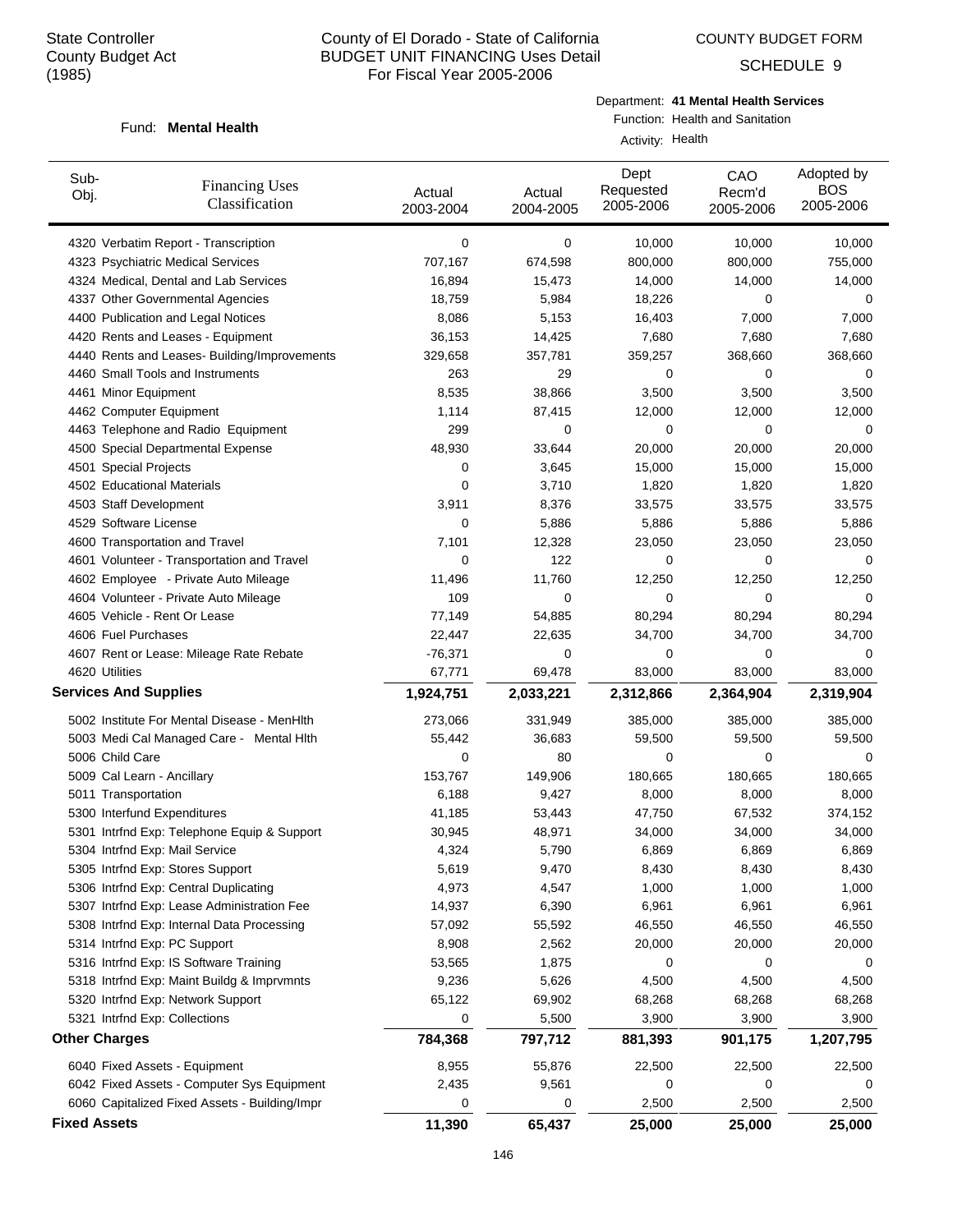SCHEDULE 9

#### Fund: Mental Health

Department: **41 Mental Health Services**

Function: Health and Sanitation Activity: Health

| Sub-<br>Obj.        | <b>Financing Uses</b><br>Classification       | Actual<br>2003-2004 | Actual<br>2004-2005 | Dept<br>Requested<br>2005-2006 | CAO<br>Recm'd<br>2005-2006 | Adopted by<br><b>BOS</b><br>2005-2006 |
|---------------------|-----------------------------------------------|---------------------|---------------------|--------------------------------|----------------------------|---------------------------------------|
|                     | 4320 Verbatim Report - Transcription          | 0                   | 0                   | 10,000                         | 10,000                     | 10,000                                |
|                     | 4323 Psychiatric Medical Services             | 707,167             | 674,598             | 800,000                        | 800,000                    | 755,000                               |
|                     | 4324 Medical, Dental and Lab Services         | 16,894              | 15,473              | 14,000                         | 14,000                     | 14,000                                |
|                     | 4337 Other Governmental Agencies              | 18,759              | 5,984               | 18,226                         | 0                          | 0                                     |
|                     | 4400 Publication and Legal Notices            | 8,086               | 5,153               | 16,403                         | 7,000                      | 7,000                                 |
|                     | 4420 Rents and Leases - Equipment             | 36,153              | 14,425              | 7,680                          | 7,680                      | 7,680                                 |
|                     | 4440 Rents and Leases- Building/Improvements  | 329,658             | 357,781             | 359,257                        | 368,660                    | 368,660                               |
|                     | 4460 Small Tools and Instruments              | 263                 | 29                  | 0                              | 0                          | 0                                     |
|                     | 4461 Minor Equipment                          | 8,535               | 38,866              | 3,500                          | 3,500                      | 3,500                                 |
|                     | 4462 Computer Equipment                       | 1,114               | 87,415              | 12,000                         | 12,000                     | 12,000                                |
|                     | 4463 Telephone and Radio Equipment            | 299                 | 0                   | 0                              | 0                          | 0                                     |
|                     | 4500 Special Departmental Expense             | 48,930              | 33,644              | 20,000                         | 20,000                     | 20,000                                |
|                     | 4501 Special Projects                         | 0                   | 3,645               | 15,000                         | 15,000                     | 15,000                                |
|                     | 4502 Educational Materials                    | 0                   | 3,710               | 1,820                          | 1,820                      | 1,820                                 |
|                     | 4503 Staff Development                        | 3,911               | 8,376               | 33,575                         | 33,575                     | 33,575                                |
|                     | 4529 Software License                         | 0                   | 5,886               | 5,886                          | 5,886                      | 5,886                                 |
|                     | 4600 Transportation and Travel                | 7,101               | 12,328              | 23,050                         | 23,050                     | 23,050                                |
|                     | 4601 Volunteer - Transportation and Travel    | 0                   | 122                 | 0                              | 0                          | 0                                     |
|                     | 4602 Employee - Private Auto Mileage          | 11,496              | 11,760              | 12,250                         | 12,250                     | 12,250                                |
|                     | 4604 Volunteer - Private Auto Mileage         | 109                 | 0                   | 0                              | 0                          | 0                                     |
|                     | 4605 Vehicle - Rent Or Lease                  | 77,149              | 54,885              | 80,294                         | 80,294                     | 80,294                                |
|                     | 4606 Fuel Purchases                           | 22,447              | 22,635              | 34,700                         | 34,700                     | 34,700                                |
|                     | 4607 Rent or Lease: Mileage Rate Rebate       | $-76,371$           | 0                   | 0                              | 0                          | 0                                     |
|                     | 4620 Utilities                                | 67,771              | 69,478              | 83,000                         | 83,000                     | 83,000                                |
|                     | <b>Services And Supplies</b>                  | 1,924,751           | 2,033,221           | 2,312,866                      | 2,364,904                  | 2,319,904                             |
|                     | 5002 Institute For Mental Disease - MenHlth   | 273,066             | 331,949             | 385,000                        | 385,000                    | 385,000                               |
|                     | 5003 Medi Cal Managed Care - Mental Hith      | 55,442              | 36,683              | 59,500                         | 59,500                     | 59,500                                |
|                     | 5006 Child Care                               | 0                   | 80                  | 0                              | 0                          | 0                                     |
|                     | 5009 Cal Learn - Ancillary                    | 153,767             | 149,906             | 180,665                        | 180,665                    | 180,665                               |
|                     | 5011 Transportation                           | 6,188               | 9,427               | 8,000                          | 8,000                      | 8,000                                 |
|                     | 5300 Interfund Expenditures                   | 41,185              | 53,443              | 47,750                         | 67,532                     | 374,152                               |
|                     | 5301 Intrfnd Exp: Telephone Equip & Support   | 30,945              | 48,971              | 34,000                         | 34,000                     | 34,000                                |
|                     | 5304 Intrfnd Exp: Mail Service                | 4,324               | 5,790               | 6,869                          | 6,869                      | 6,869                                 |
|                     | 5305 Intrfnd Exp: Stores Support              | 5,619               | 9,470               | 8,430                          | 8,430                      | 8,430                                 |
|                     | 5306 Intrfnd Exp: Central Duplicating         | 4,973               | 4,547               | 1,000                          | 1,000                      | 1,000                                 |
|                     | 5307 Intrfnd Exp: Lease Administration Fee    | 14,937              | 6,390               | 6,961                          | 6,961                      | 6,961                                 |
|                     | 5308 Intrfnd Exp: Internal Data Processing    | 57,092              | 55,592              | 46,550                         | 46,550                     | 46,550                                |
|                     | 5314 Intrfnd Exp: PC Support                  | 8,908               | 2,562               | 20,000                         | 20,000                     | 20,000                                |
|                     | 5316 Intrfnd Exp: IS Software Training        | 53,565              | 1,875               | 0                              | 0                          | 0                                     |
|                     | 5318 Intrfnd Exp: Maint Buildg & Imprvmnts    | 9,236               | 5,626               | 4,500                          | 4,500                      | 4,500                                 |
|                     | 5320 Intrfnd Exp: Network Support             | 65,122              | 69,902              | 68,268                         | 68,268                     | 68,268                                |
|                     | 5321 Intrfnd Exp: Collections                 | 0                   | 5,500               | 3,900                          | 3,900                      | 3,900                                 |
|                     | <b>Other Charges</b>                          | 784,368             | 797,712             | 881,393                        | 901,175                    | 1,207,795                             |
|                     | 6040 Fixed Assets - Equipment                 | 8,955               | 55,876              | 22,500                         | 22,500                     | 22,500                                |
|                     | 6042 Fixed Assets - Computer Sys Equipment    | 2,435               | 9,561               | 0                              | 0                          | 0                                     |
|                     | 6060 Capitalized Fixed Assets - Building/Impr | 0                   | 0                   | 2,500                          | 2,500                      | 2,500                                 |
| <b>Fixed Assets</b> |                                               | 11,390              | 65,437              | 25,000                         | 25,000                     | 25,000                                |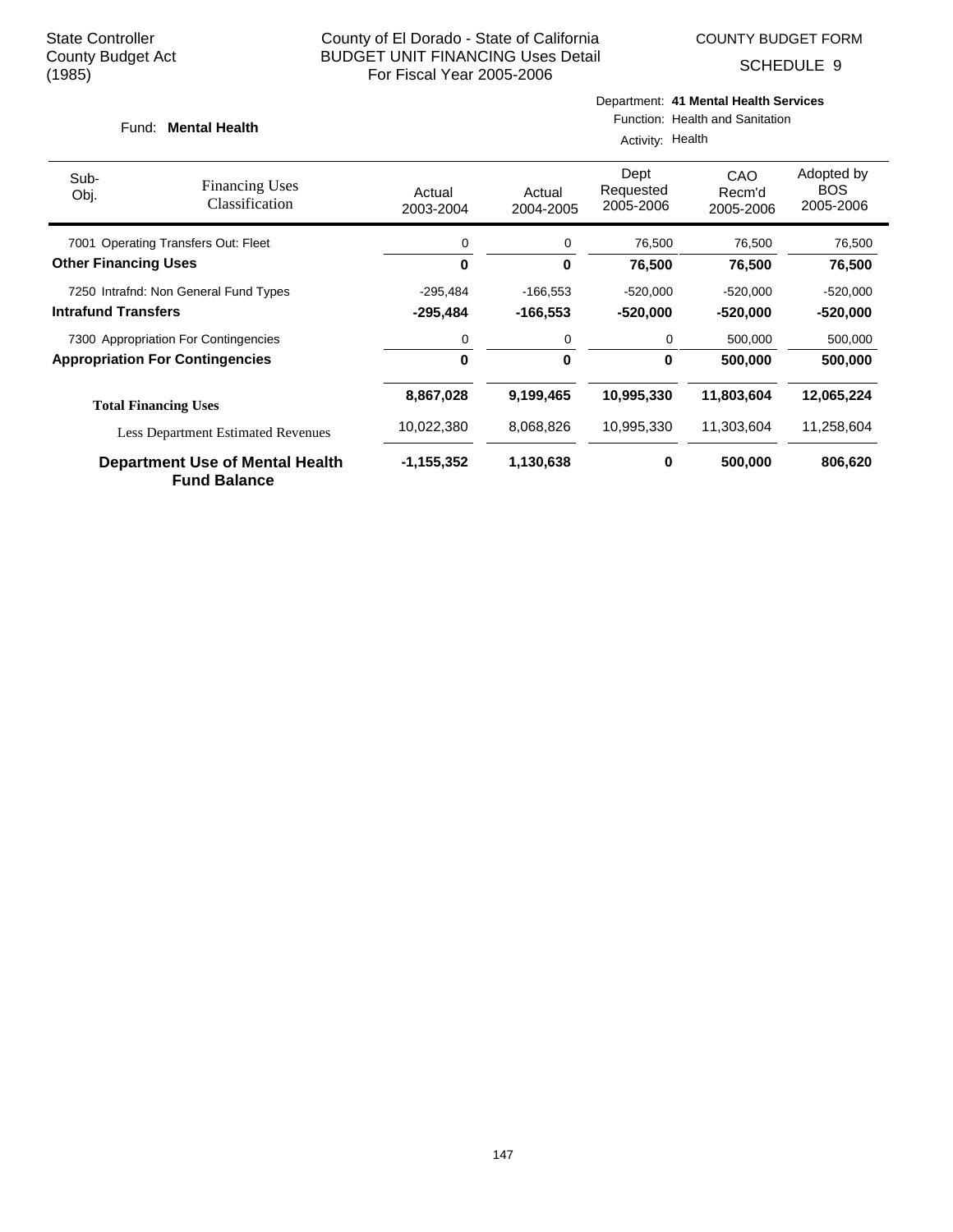SCHEDULE 9

#### Fund: Mental Health

# Department: **41 Mental Health Services**

Function: Health and Sanitation

|                                       |                                                        | Activity: Health    |                     |                                |                            |                                       |  |  |
|---------------------------------------|--------------------------------------------------------|---------------------|---------------------|--------------------------------|----------------------------|---------------------------------------|--|--|
| Sub-<br>Obj.                          | <b>Financing Uses</b><br>Classification                | Actual<br>2003-2004 | Actual<br>2004-2005 | Dept<br>Requested<br>2005-2006 | CAO<br>Recm'd<br>2005-2006 | Adopted by<br><b>BOS</b><br>2005-2006 |  |  |
|                                       | 7001 Operating Transfers Out: Fleet                    | 0                   | 0                   | 76,500                         | 76,500                     | 76,500                                |  |  |
| <b>Other Financing Uses</b>           |                                                        | 0                   | 0                   | 76,500                         | 76,500                     | 76,500                                |  |  |
| 7250 Intrafnd: Non General Fund Types |                                                        | $-295,484$          | $-166,553$          | $-520,000$                     | $-520,000$                 | $-520,000$                            |  |  |
| <b>Intrafund Transfers</b>            |                                                        | $-295,484$          | $-166,553$          | $-520,000$                     | -520,000                   | $-520,000$                            |  |  |
|                                       | 7300 Appropriation For Contingencies                   | 0                   | 0                   | 0                              | 500,000                    | 500,000                               |  |  |
|                                       | <b>Appropriation For Contingencies</b>                 | 0                   | 0                   | 0                              | 500,000                    | 500,000                               |  |  |
|                                       | <b>Total Financing Uses</b>                            | 8,867,028           | 9,199,465           | 10,995,330                     | 11,803,604                 | 12,065,224                            |  |  |
|                                       | <b>Less Department Estimated Revenues</b>              | 10,022,380          | 8,068,826           | 10,995,330                     | 11,303,604                 | 11,258,604                            |  |  |
|                                       | Department Use of Mental Health<br><b>Fund Balance</b> | -1,155,352          | 1,130,638           | 0                              | 500,000                    | 806,620                               |  |  |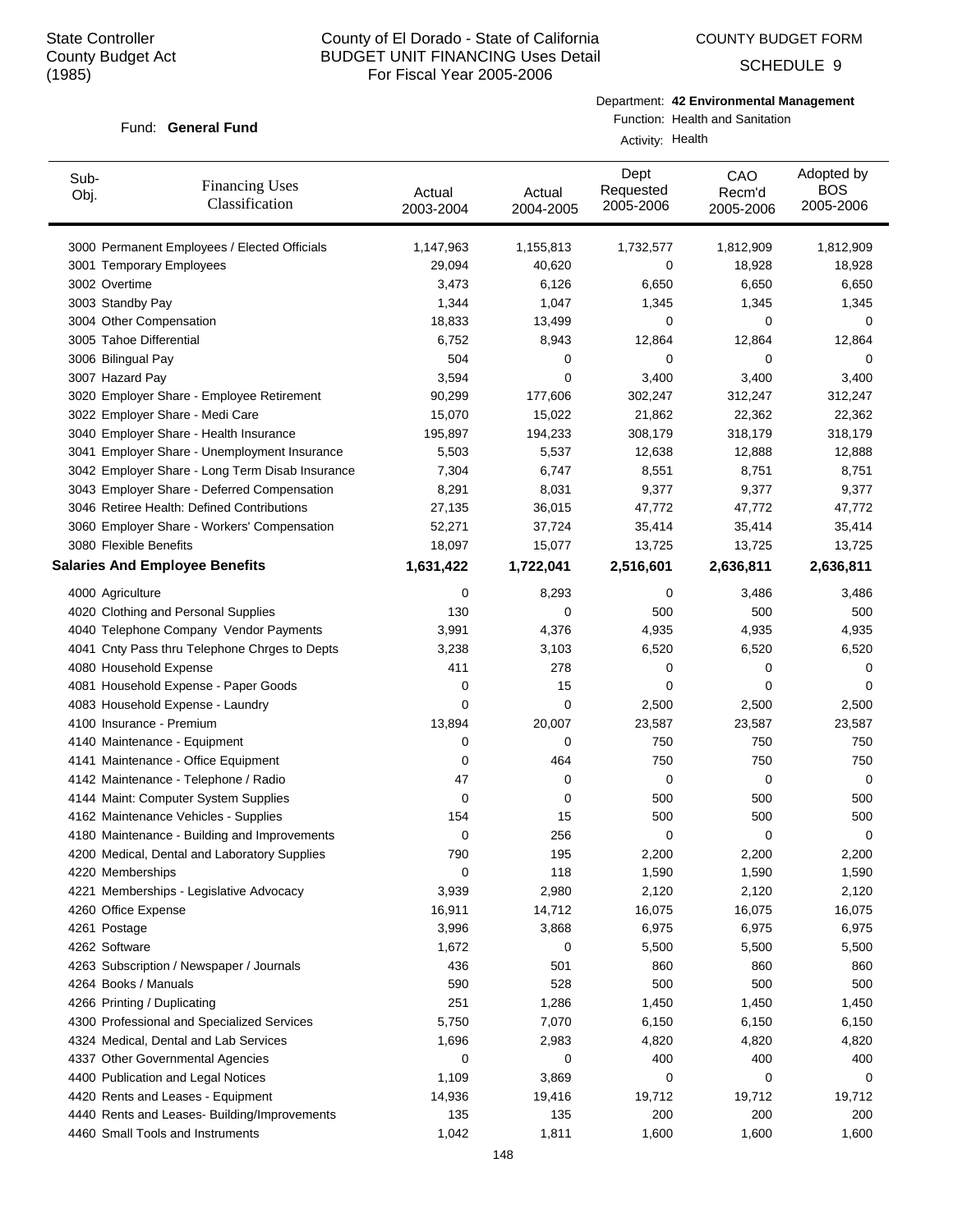Fund: General Fund

## County of El Dorado - State of California BUDGET UNIT FINANCING Uses Detail For Fiscal Year 2005-2006

COUNTY BUDGET FORM

SCHEDULE 9

#### Department: **42 Environmental Management**

## Function: Health and Sanitation

Activity: Health

| Sub-<br>Obj.                | <b>Financing Uses</b><br>Classification         | Actual<br>2003-2004 | Actual<br>2004-2005 | Dept<br>Requested<br>2005-2006 | CAO<br>Recm'd<br>2005-2006 | Adopted by<br><b>BOS</b><br>2005-2006 |
|-----------------------------|-------------------------------------------------|---------------------|---------------------|--------------------------------|----------------------------|---------------------------------------|
|                             | 3000 Permanent Employees / Elected Officials    | 1,147,963           | 1,155,813           | 1,732,577                      | 1,812,909                  | 1,812,909                             |
|                             | 3001 Temporary Employees                        | 29,094              | 40,620              | 0                              | 18,928                     | 18,928                                |
| 3002 Overtime               |                                                 | 3,473               | 6,126               | 6,650                          | 6,650                      | 6,650                                 |
| 3003 Standby Pay            |                                                 | 1,344               | 1,047               | 1,345                          | 1,345                      | 1,345                                 |
| 3004 Other Compensation     |                                                 | 18,833              | 13,499              | 0                              | 0                          | 0                                     |
| 3005 Tahoe Differential     |                                                 | 6,752               | 8,943               | 12,864                         | 12,864                     | 12,864                                |
| 3006 Bilingual Pay          |                                                 | 504                 | 0                   | 0                              | 0                          | 0                                     |
| 3007 Hazard Pay             |                                                 | 3,594               | 0                   | 3,400                          | 3,400                      | 3,400                                 |
|                             | 3020 Employer Share - Employee Retirement       | 90,299              | 177,606             | 302,247                        | 312,247                    | 312,247                               |
|                             | 3022 Employer Share - Medi Care                 | 15,070              | 15,022              | 21,862                         | 22,362                     | 22,362                                |
|                             | 3040 Employer Share - Health Insurance          | 195,897             | 194,233             | 308,179                        | 318,179                    | 318,179                               |
|                             | 3041 Employer Share - Unemployment Insurance    | 5,503               | 5,537               | 12,638                         | 12,888                     | 12,888                                |
|                             | 3042 Employer Share - Long Term Disab Insurance | 7,304               | 6,747               | 8,551                          | 8,751                      | 8,751                                 |
|                             | 3043 Employer Share - Deferred Compensation     | 8,291               | 8,031               | 9,377                          | 9,377                      | 9,377                                 |
|                             | 3046 Retiree Health: Defined Contributions      | 27,135              | 36,015              | 47,772                         | 47,772                     | 47,772                                |
|                             | 3060 Employer Share - Workers' Compensation     | 52,271              | 37,724              | 35,414                         | 35,414                     | 35,414                                |
| 3080 Flexible Benefits      |                                                 | 18,097              | 15,077              | 13,725                         | 13,725                     | 13,725                                |
|                             | <b>Salaries And Employee Benefits</b>           | 1,631,422           | 1,722,041           | 2,516,601                      | 2,636,811                  | 2,636,811                             |
| 4000 Agriculture            |                                                 | 0                   | 8,293               | 0                              | 3,486                      | 3,486                                 |
|                             | 4020 Clothing and Personal Supplies             | 130                 | 0                   | 500                            | 500                        | 500                                   |
|                             | 4040 Telephone Company Vendor Payments          | 3,991               | 4,376               | 4,935                          | 4,935                      | 4,935                                 |
|                             | 4041 Cnty Pass thru Telephone Chrges to Depts   | 3,238               | 3,103               | 6,520                          | 6,520                      | 6,520                                 |
| 4080 Household Expense      |                                                 | 411                 | 278                 | 0                              | 0                          | 0                                     |
|                             | 4081 Household Expense - Paper Goods            | 0                   | 15                  | 0                              | 0                          | 0                                     |
|                             | 4083 Household Expense - Laundry                | 0                   | 0                   | 2,500                          | 2,500                      | 2,500                                 |
| 4100 Insurance - Premium    |                                                 | 13,894              | 20,007              | 23,587                         | 23,587                     | 23,587                                |
|                             | 4140 Maintenance - Equipment                    | 0                   | 0                   | 750                            | 750                        | 750                                   |
|                             | 4141 Maintenance - Office Equipment             | 0                   | 464                 | 750                            | 750                        | 750                                   |
|                             | 4142 Maintenance - Telephone / Radio            | 47                  | 0                   | 0                              | 0                          | 0                                     |
|                             | 4144 Maint: Computer System Supplies            | 0                   | 0                   | 500                            | 500                        | 500                                   |
|                             | 4162 Maintenance Vehicles - Supplies            | 154                 | 15                  | 500                            | 500                        | 500                                   |
|                             | 4180 Maintenance - Building and Improvements    | 0                   | 256                 | 0                              | 0                          | 0                                     |
|                             | 4200 Medical, Dental and Laboratory Supplies    | 790                 | 195                 | 2,200                          | 2,200                      | 2,200                                 |
| 4220 Memberships            |                                                 | 0                   | 118                 | 1,590                          | 1,590                      | 1,590                                 |
|                             | 4221 Memberships - Legislative Advocacy         | 3,939               | 2,980               | 2,120                          | 2,120                      | 2,120                                 |
| 4260 Office Expense         |                                                 | 16,911              | 14,712              | 16,075                         | 16,075                     | 16,075                                |
| 4261 Postage                |                                                 | 3,996               | 3,868               | 6,975                          | 6,975                      | 6,975                                 |
| 4262 Software               |                                                 | 1,672               | 0                   | 5,500                          | 5,500                      | 5,500                                 |
|                             | 4263 Subscription / Newspaper / Journals        | 436                 | 501                 | 860                            | 860                        | 860                                   |
| 4264 Books / Manuals        |                                                 | 590                 | 528                 | 500                            | 500                        | 500                                   |
| 4266 Printing / Duplicating |                                                 | 251                 | 1,286               | 1,450                          | 1,450                      | 1,450                                 |
|                             | 4300 Professional and Specialized Services      | 5,750               | 7,070               | 6,150                          | 6,150                      | 6,150                                 |
|                             | 4324 Medical, Dental and Lab Services           | 1,696               | 2,983               | 4,820                          | 4,820                      | 4,820                                 |
|                             | 4337 Other Governmental Agencies                | 0                   | 0                   | 400                            | 400                        | 400                                   |
|                             | 4400 Publication and Legal Notices              | 1,109               | 3,869               | 0                              | 0                          | 0                                     |
|                             | 4420 Rents and Leases - Equipment               | 14,936              | 19,416              | 19,712                         | 19,712                     | 19,712                                |
|                             | 4440 Rents and Leases- Building/Improvements    | 135                 | 135                 | 200                            | 200                        | 200                                   |
|                             | 4460 Small Tools and Instruments                |                     |                     |                                |                            |                                       |
|                             |                                                 | 1,042               | 1,811               | 1,600                          | 1,600                      | 1,600                                 |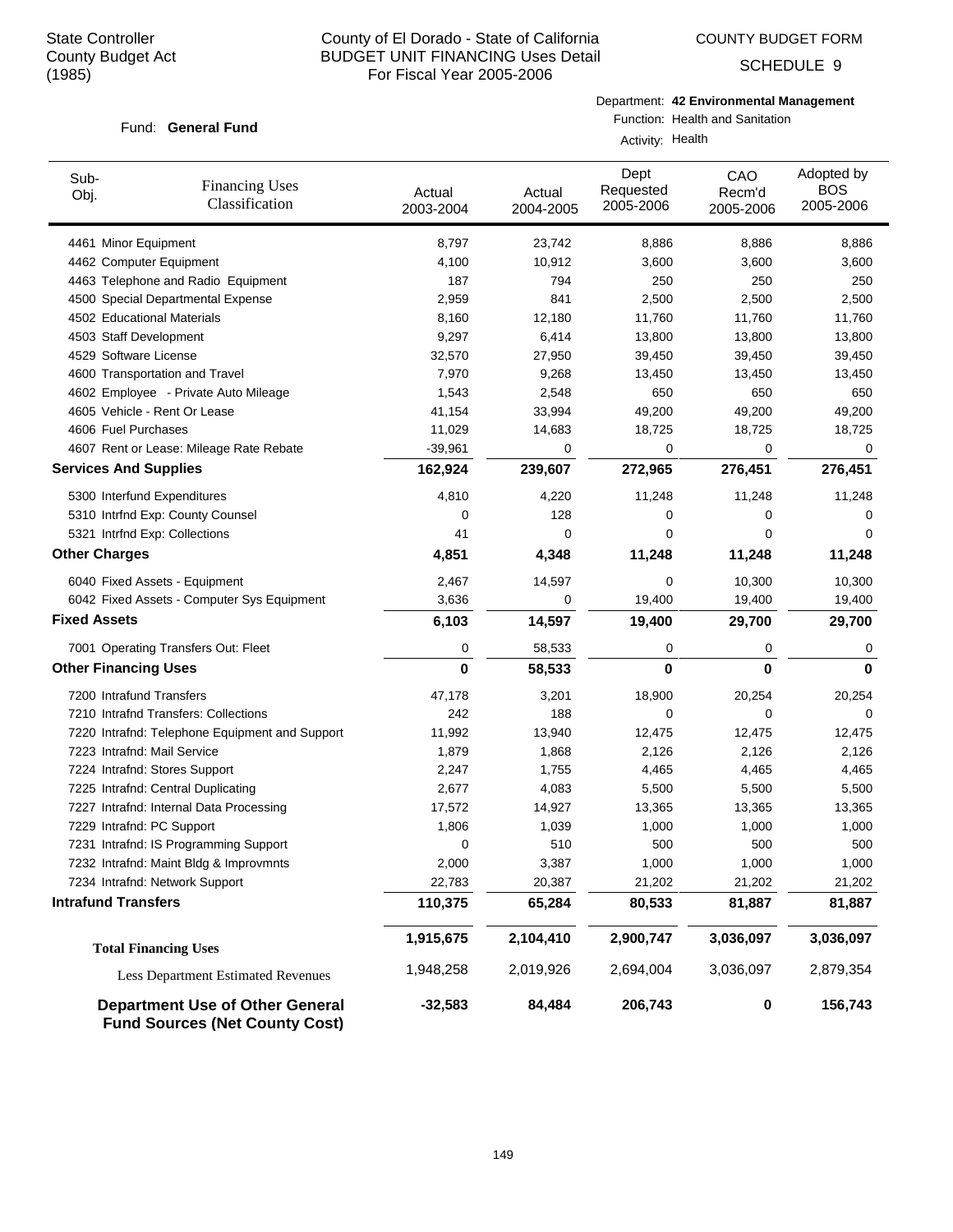COUNTY BUDGET FORM

SCHEDULE 9

### Fund: General Fund

Department: **42 Environmental Management**

Function: Health and Sanitation

Activity: Health

| Sub-<br>Obj.        | <b>Financing Uses</b><br>Classification                                         | Actual<br>2003-2004 | Actual<br>2004-2005 | Dept<br>Requested<br>2005-2006 | CAO<br>Recm'd<br>2005-2006 | Adopted by<br><b>BOS</b><br>2005-2006 |
|---------------------|---------------------------------------------------------------------------------|---------------------|---------------------|--------------------------------|----------------------------|---------------------------------------|
|                     | 4461 Minor Equipment                                                            | 8,797               | 23,742              | 8,886                          | 8,886                      | 8,886                                 |
|                     | 4462 Computer Equipment                                                         | 4,100               | 10,912              | 3,600                          | 3,600                      | 3,600                                 |
|                     | 4463 Telephone and Radio Equipment                                              | 187                 | 794                 | 250                            | 250                        | 250                                   |
|                     | 4500 Special Departmental Expense                                               | 2,959               | 841                 | 2,500                          | 2,500                      | 2,500                                 |
|                     | 4502 Educational Materials                                                      | 8,160               | 12,180              | 11,760                         | 11,760                     | 11,760                                |
|                     | 4503 Staff Development                                                          | 9,297               | 6,414               | 13,800                         | 13,800                     | 13,800                                |
|                     | 4529 Software License                                                           | 32,570              | 27,950              | 39,450                         | 39,450                     | 39,450                                |
|                     | 4600 Transportation and Travel                                                  | 7,970               | 9,268               | 13,450                         | 13,450                     | 13,450                                |
|                     | 4602 Employee - Private Auto Mileage                                            | 1,543               | 2,548               | 650                            | 650                        | 650                                   |
|                     | 4605 Vehicle - Rent Or Lease                                                    | 41,154              | 33,994              | 49,200                         | 49,200                     | 49,200                                |
|                     | 4606 Fuel Purchases                                                             | 11,029              | 14,683              | 18,725                         | 18,725                     | 18,725                                |
|                     | 4607 Rent or Lease: Mileage Rate Rebate                                         | $-39,961$           | 0                   | 0                              | 0                          | 0                                     |
|                     | <b>Services And Supplies</b>                                                    | 162,924             | 239,607             | 272,965                        | 276,451                    | 276,451                               |
|                     | 5300 Interfund Expenditures                                                     | 4,810               | 4,220               | 11,248                         | 11,248                     | 11,248                                |
|                     | 5310 Intrfnd Exp: County Counsel                                                | 0                   | 128                 | 0                              | 0                          | 0                                     |
|                     | 5321 Intrfnd Exp: Collections                                                   | 41                  | 0                   | 0                              | 0                          | 0                                     |
|                     | <b>Other Charges</b>                                                            | 4,851               | 4,348               | 11,248                         | 11,248                     | 11,248                                |
|                     | 6040 Fixed Assets - Equipment                                                   | 2,467               | 14,597              | 0                              | 10,300                     | 10,300                                |
|                     | 6042 Fixed Assets - Computer Sys Equipment                                      | 3,636               | 0                   | 19,400                         | 19,400                     | 19,400                                |
| <b>Fixed Assets</b> |                                                                                 | 6,103               | 14,597              | 19,400                         | 29,700                     | 29,700                                |
|                     | 7001 Operating Transfers Out: Fleet                                             | 0                   | 58,533              | 0                              | 0                          | 0                                     |
|                     | <b>Other Financing Uses</b>                                                     | 0                   | 58,533              | $\mathbf 0$                    | 0                          | 0                                     |
|                     | 7200 Intrafund Transfers                                                        | 47,178              | 3,201               | 18,900                         | 20,254                     | 20,254                                |
|                     | 7210 Intrafnd Transfers: Collections                                            | 242                 | 188                 | 0                              | 0                          | 0                                     |
|                     | 7220 Intrafnd: Telephone Equipment and Support                                  | 11,992              | 13,940              | 12,475                         | 12,475                     | 12,475                                |
|                     | 7223 Intrafnd: Mail Service                                                     | 1,879               | 1,868               | 2,126                          | 2,126                      | 2,126                                 |
|                     | 7224 Intrafnd: Stores Support                                                   | 2,247               | 1,755               | 4,465                          | 4,465                      | 4,465                                 |
|                     | 7225 Intrafnd: Central Duplicating                                              | 2,677               | 4,083               | 5,500                          | 5,500                      | 5,500                                 |
|                     | 7227 Intrafnd: Internal Data Processing                                         | 17,572              | 14,927              | 13,365                         | 13,365                     | 13,365                                |
|                     | 7229 Intrafnd: PC Support                                                       | 1,806               | 1,039               | 1,000                          | 1,000                      | 1,000                                 |
|                     | 7231 Intrafnd: IS Programming Support                                           | 0                   | 510                 | 500                            | 500                        | 500                                   |
|                     | 7232 Intrafnd: Maint Bldg & Improvmnts                                          | 2,000               | 3,387               | 1,000                          | 1,000                      | 1,000                                 |
|                     | 7234 Intrafnd: Network Support                                                  | 22,783              | 20,387              | 21,202                         | 21,202                     | 21,202                                |
|                     | <b>Intrafund Transfers</b>                                                      | 110,375             | 65,284              | 80,533                         | 81,887                     | 81,887                                |
|                     | <b>Total Financing Uses</b>                                                     | 1,915,675           | 2,104,410           | 2,900,747                      | 3,036,097                  | 3,036,097                             |
|                     | Less Department Estimated Revenues                                              | 1,948,258           | 2,019,926           | 2,694,004                      | 3,036,097                  | 2,879,354                             |
|                     | <b>Department Use of Other General</b><br><b>Fund Sources (Net County Cost)</b> | $-32,583$           | 84,484              | 206,743                        | 0                          | 156,743                               |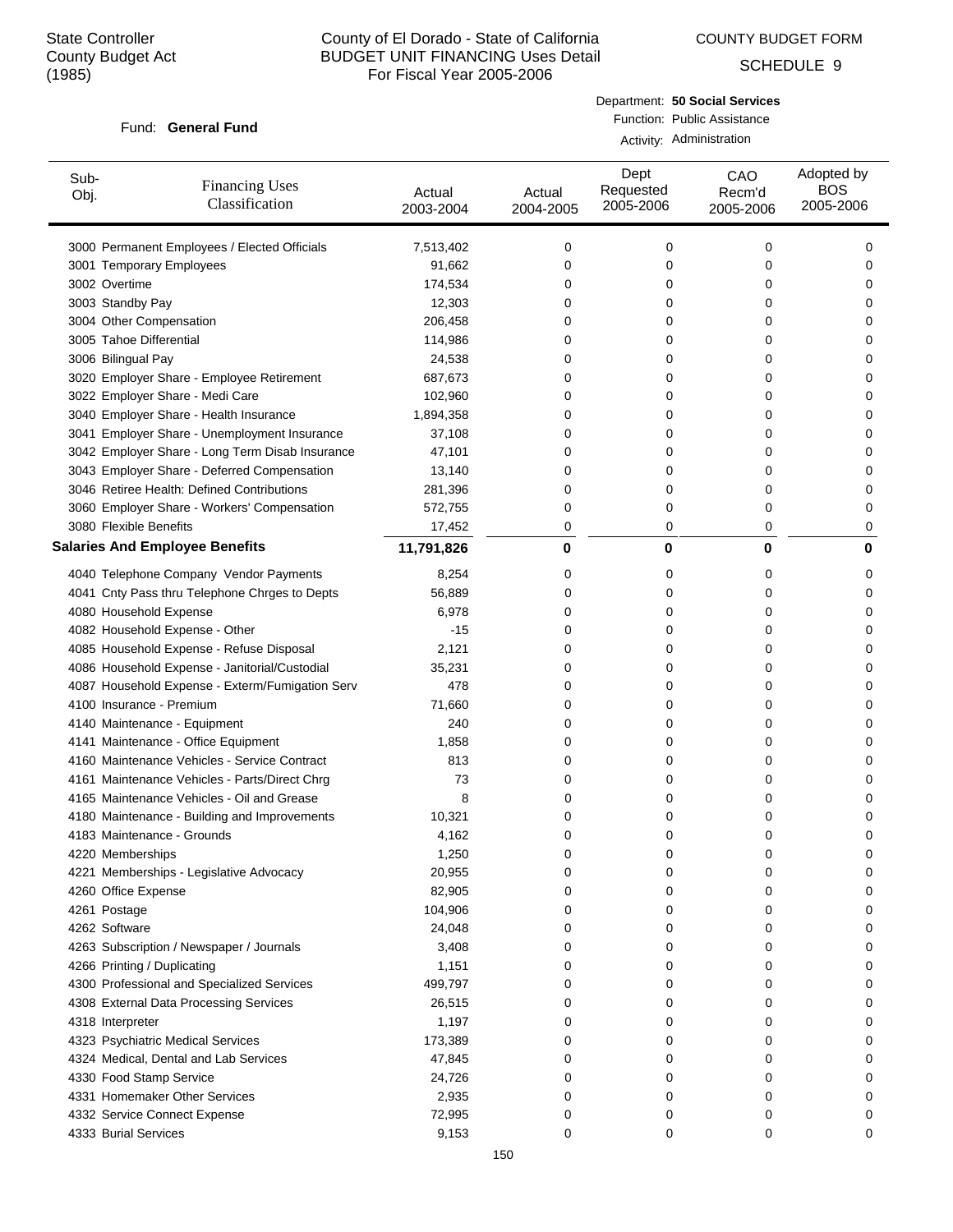COUNTY BUDGET FORM

SCHEDULE 9

#### Fund: General Fund

## Department: **50 Social Services** Function: Public Assistance

Activity: Administration

| Sub-<br>Obj. | <b>Financing Uses</b><br>Classification         | Actual<br>2003-2004 | Actual<br>2004-2005 | Dept<br>Requested<br>2005-2006 | CAO<br>Recm'd<br>2005-2006 | Adopted by<br><b>BOS</b><br>2005-2006 |
|--------------|-------------------------------------------------|---------------------|---------------------|--------------------------------|----------------------------|---------------------------------------|
|              | 3000 Permanent Employees / Elected Officials    | 7,513,402           | 0                   | 0                              | 0                          | 0                                     |
|              | 3001 Temporary Employees                        | 91,662              | 0                   | 0                              | 0                          | 0                                     |
|              | 3002 Overtime                                   | 174,534             | 0                   | 0                              | 0                          | 0                                     |
|              | 3003 Standby Pay                                | 12,303              | 0                   | 0                              | 0                          | 0                                     |
|              | 3004 Other Compensation                         | 206,458             | 0                   | 0                              | 0                          | 0                                     |
|              | 3005 Tahoe Differential                         | 114,986             | 0                   | 0                              | 0                          | 0                                     |
|              | 3006 Bilingual Pay                              | 24,538              | 0                   | 0                              | 0                          | 0                                     |
|              | 3020 Employer Share - Employee Retirement       | 687,673             | 0                   | 0                              | 0                          | 0                                     |
|              | 3022 Employer Share - Medi Care                 | 102,960             | 0                   | 0                              | 0                          | 0                                     |
|              | 3040 Employer Share - Health Insurance          | 1,894,358           | 0                   | 0                              | 0                          | 0                                     |
|              | 3041 Employer Share - Unemployment Insurance    | 37,108              | 0                   | 0                              | 0                          | 0                                     |
|              | 3042 Employer Share - Long Term Disab Insurance | 47,101              | 0                   | 0                              | 0                          | 0                                     |
|              | 3043 Employer Share - Deferred Compensation     | 13,140              | 0                   | 0                              | 0                          | 0                                     |
|              | 3046 Retiree Health: Defined Contributions      | 281,396             | 0                   | 0                              | 0                          | 0                                     |
|              | 3060 Employer Share - Workers' Compensation     | 572,755             | 0                   | 0                              | 0                          | 0                                     |
|              | 3080 Flexible Benefits                          | 17,452              | 0                   | 0                              | 0                          | 0                                     |
|              | <b>Salaries And Employee Benefits</b>           | 11,791,826          | 0                   | 0                              | 0                          | 0                                     |
|              | 4040 Telephone Company Vendor Payments          | 8,254               | 0                   | 0                              | 0                          | 0                                     |
|              | 4041 Cnty Pass thru Telephone Chrges to Depts   | 56,889              | 0                   | 0                              | 0                          | 0                                     |
|              | 4080 Household Expense                          | 6,978               | 0                   | 0                              | 0                          | 0                                     |
|              | 4082 Household Expense - Other                  | $-15$               | 0                   | 0                              | 0                          | 0                                     |
|              | 4085 Household Expense - Refuse Disposal        | 2,121               | 0                   | 0                              | 0                          | 0                                     |
|              | 4086 Household Expense - Janitorial/Custodial   | 35,231              | 0                   | 0                              | 0                          | 0                                     |
|              | 4087 Household Expense - Exterm/Fumigation Serv | 478                 | 0                   | 0                              | 0                          | 0                                     |
|              | 4100 Insurance - Premium                        | 71,660              | 0                   | 0                              | 0                          | 0                                     |
|              | 4140 Maintenance - Equipment                    | 240                 | 0                   | 0                              | 0                          | 0                                     |
|              | 4141 Maintenance - Office Equipment             | 1,858               | 0                   | 0                              | 0                          | 0                                     |
|              | 4160 Maintenance Vehicles - Service Contract    | 813                 | 0                   | 0                              | 0                          | 0                                     |
|              | 4161 Maintenance Vehicles - Parts/Direct Chrg   | 73                  | 0                   | 0                              | 0                          | 0                                     |
|              | 4165 Maintenance Vehicles - Oil and Grease      | 8                   | 0                   | 0                              | 0                          | 0                                     |
|              | 4180 Maintenance - Building and Improvements    | 10,321              | 0                   | 0                              | 0                          | 0                                     |
|              | 4183 Maintenance - Grounds                      | 4,162               | 0                   | 0                              | 0                          | 0                                     |
|              | 4220 Memberships                                | 1,250               | 0                   | 0                              | U                          | U                                     |
|              | 4221 Memberships - Legislative Advocacy         | 20,955              | 0                   | 0                              | 0                          | 0                                     |
|              | 4260 Office Expense                             | 82,905              | 0                   | 0                              | 0                          | 0                                     |
|              | 4261 Postage                                    | 104,906             | 0                   | 0                              | 0                          | 0                                     |
|              | 4262 Software                                   | 24,048              | 0                   | 0                              | 0                          | 0                                     |
|              | 4263 Subscription / Newspaper / Journals        | 3,408               | 0                   | 0                              | 0                          | 0                                     |
|              | 4266 Printing / Duplicating                     | 1,151               | 0                   | 0                              | 0                          | 0                                     |
|              | 4300 Professional and Specialized Services      | 499,797             | 0                   | 0                              | 0                          | 0                                     |
|              | 4308 External Data Processing Services          | 26,515              | 0                   | 0                              | 0                          | 0                                     |
|              | 4318 Interpreter                                | 1,197               | 0                   | 0                              | 0                          | 0                                     |
|              | 4323 Psychiatric Medical Services               | 173,389             | 0                   | 0                              | 0                          | 0                                     |
|              | 4324 Medical, Dental and Lab Services           | 47,845              | 0                   | 0                              | 0                          | 0                                     |
|              | 4330 Food Stamp Service                         | 24,726              | 0                   | 0                              | 0                          | 0                                     |
|              | 4331 Homemaker Other Services                   | 2,935               | 0                   | 0                              | 0                          | 0                                     |
|              | 4332 Service Connect Expense                    | 72,995              | 0                   | 0                              | 0                          | 0                                     |
|              | 4333 Burial Services                            | 9,153               | 0                   | 0                              | 0                          | 0                                     |
|              |                                                 |                     |                     |                                |                            |                                       |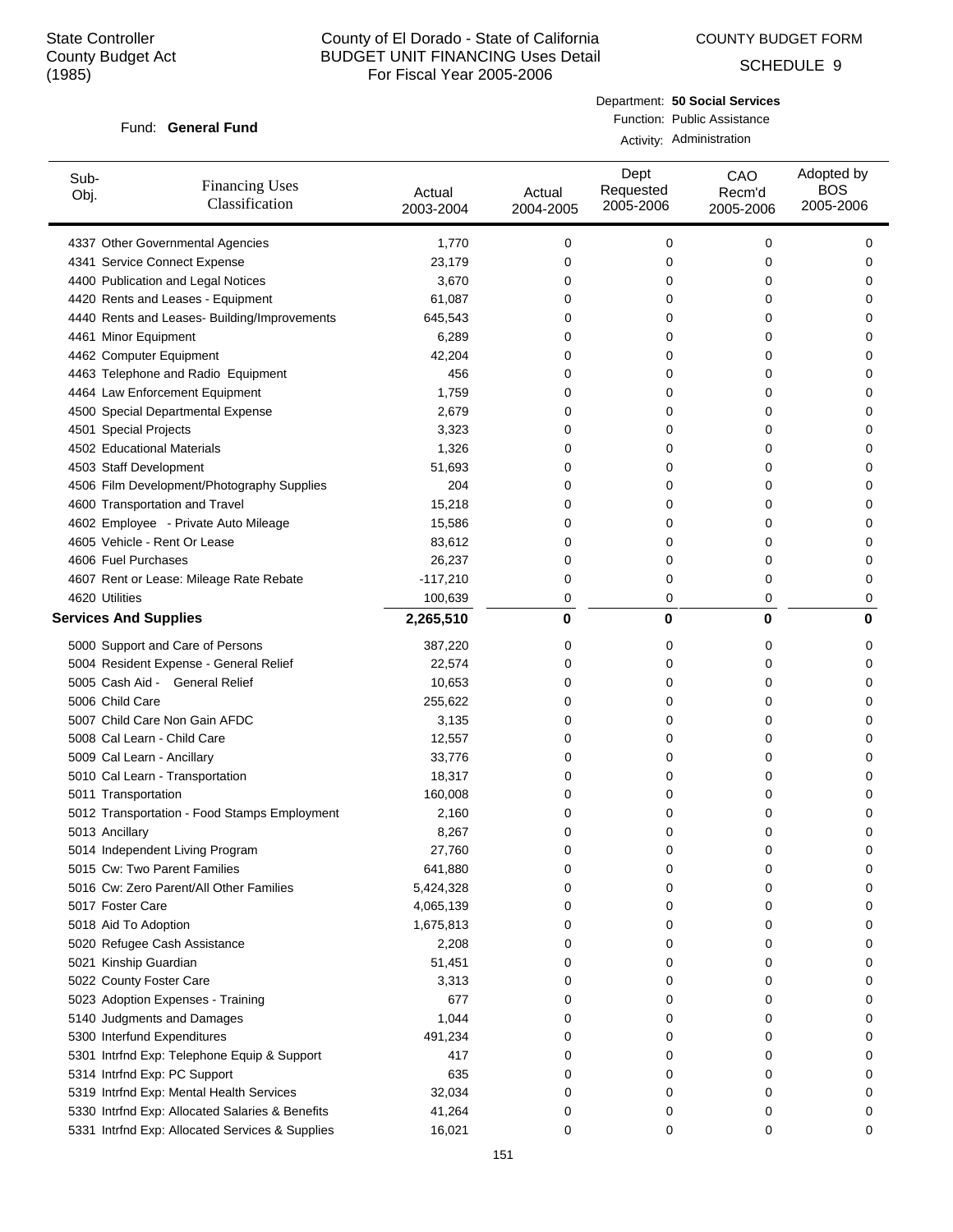COUNTY BUDGET FORM

SCHEDULE 9

#### Fund: General Fund

Department: **50 Social Services** Function: Public Assistance

| Activity: Administration |
|--------------------------|
|                          |

| Sub-<br>Obj. | <b>Financing Uses</b><br>Classification         | Actual<br>2003-2004 | Actual<br>2004-2005 | Dept<br>Requested<br>2005-2006 | CAO<br>Recm'd<br>2005-2006 | Adopted by<br><b>BOS</b><br>2005-2006 |
|--------------|-------------------------------------------------|---------------------|---------------------|--------------------------------|----------------------------|---------------------------------------|
|              | 4337 Other Governmental Agencies                | 1,770               | 0                   | 0                              | 0                          | 0                                     |
|              | 4341 Service Connect Expense                    | 23,179              | 0                   | 0                              | 0                          | 0                                     |
|              | 4400 Publication and Legal Notices              | 3,670               | 0                   | 0                              | 0                          | 0                                     |
|              | 4420 Rents and Leases - Equipment               | 61,087              | 0                   | 0                              | 0                          | 0                                     |
|              | 4440 Rents and Leases- Building/Improvements    | 645,543             | 0                   | 0                              | 0                          | 0                                     |
|              | 4461 Minor Equipment                            | 6,289               | 0                   | 0                              | 0                          | 0                                     |
|              | 4462 Computer Equipment                         | 42,204              | 0                   | 0                              | 0                          | 0                                     |
|              | 4463 Telephone and Radio Equipment              | 456                 | 0                   | 0                              | 0                          | 0                                     |
|              | 4464 Law Enforcement Equipment                  | 1,759               | 0                   | 0                              | 0                          | 0                                     |
|              | 4500 Special Departmental Expense               | 2,679               | 0                   | 0                              | 0                          | 0                                     |
|              | 4501 Special Projects                           | 3,323               | 0                   | 0                              | 0                          | 0                                     |
|              | 4502 Educational Materials                      | 1,326               | 0                   | 0                              | 0                          | 0                                     |
|              | 4503 Staff Development                          | 51,693              | 0                   | 0                              | 0                          | 0                                     |
|              | 4506 Film Development/Photography Supplies      | 204                 | 0                   | 0                              | 0                          | 0                                     |
|              | 4600 Transportation and Travel                  | 15,218              | 0                   | 0                              | 0                          | 0                                     |
|              | 4602 Employee - Private Auto Mileage            | 15,586              | 0                   | 0                              | 0                          | 0                                     |
|              | 4605 Vehicle - Rent Or Lease                    | 83,612              | 0                   | 0                              | 0                          | 0                                     |
|              | 4606 Fuel Purchases                             | 26,237              | 0                   | 0                              | 0                          | 0                                     |
|              | 4607 Rent or Lease: Mileage Rate Rebate         | $-117,210$          | 0                   | 0                              | 0                          | 0                                     |
|              | 4620 Utilities                                  | 100,639             | 0                   | 0                              | 0                          | 0                                     |
|              | <b>Services And Supplies</b>                    | 2,265,510           | 0                   | 0                              | 0                          | 0                                     |
|              |                                                 |                     |                     |                                |                            |                                       |
|              | 5000 Support and Care of Persons                | 387,220             | 0                   | 0                              | 0                          | 0                                     |
|              | 5004 Resident Expense - General Relief          | 22,574              | 0                   | 0                              | 0                          | 0                                     |
|              | 5005 Cash Aid - General Relief                  | 10,653              | 0                   | 0                              | 0                          | 0                                     |
|              | 5006 Child Care                                 | 255,622             | 0                   | 0                              | 0                          | 0                                     |
|              | 5007 Child Care Non Gain AFDC                   | 3,135               | 0                   | 0                              | 0                          | 0                                     |
|              | 5008 Cal Learn - Child Care                     | 12,557              | 0                   | 0                              | 0                          | 0                                     |
|              | 5009 Cal Learn - Ancillary                      | 33,776              | 0                   | 0                              | 0                          | 0                                     |
|              | 5010 Cal Learn - Transportation                 | 18,317              | 0                   | 0                              | 0                          | 0                                     |
|              | 5011 Transportation                             | 160,008             | 0                   | 0                              | 0                          | 0                                     |
|              | 5012 Transportation - Food Stamps Employment    | 2,160               | 0                   | 0                              | 0                          | 0                                     |
|              | 5013 Ancillary                                  | 8,267               | 0                   | 0                              | 0                          | 0                                     |
|              | 5014 Independent Living Program                 | 27,760              | $\mathbf 0$         | 0                              | 0                          | 0                                     |
|              | 5015 Cw: Two Parent Families                    | 641,880             | 0                   | 0                              | 0                          | 0                                     |
|              | 5016 Cw: Zero Parent/All Other Families         | 5,424,328           | 0                   | 0                              | 0                          | 0                                     |
|              | 5017 Foster Care                                | 4,065,139           | 0                   | 0                              | 0                          | 0                                     |
|              | 5018 Aid To Adoption                            | 1,675,813           | 0                   | 0                              | 0                          | 0                                     |
|              | 5020 Refugee Cash Assistance                    | 2,208               | 0                   | 0                              | 0                          | 0                                     |
|              | 5021 Kinship Guardian                           | 51,451              | 0                   | 0                              | 0                          | 0                                     |
|              | 5022 County Foster Care                         | 3,313               | 0                   | 0                              | 0                          | 0                                     |
|              | 5023 Adoption Expenses - Training               | 677                 | 0                   | 0                              | 0                          | 0                                     |
|              | 5140 Judgments and Damages                      | 1,044               | 0                   | 0                              | 0                          | 0                                     |
|              | 5300 Interfund Expenditures                     | 491,234             | 0                   | 0                              | 0                          | 0                                     |
|              | 5301 Intrfnd Exp: Telephone Equip & Support     | 417                 | 0                   | 0                              | 0                          | 0                                     |
|              | 5314 Intrfnd Exp: PC Support                    | 635                 | 0                   | 0                              | 0                          | 0                                     |
|              | 5319 Intrfnd Exp: Mental Health Services        | 32,034              | 0                   | 0                              | 0                          | 0                                     |
|              | 5330 Intrfnd Exp: Allocated Salaries & Benefits | 41,264              | 0                   | 0                              | 0                          | 0                                     |
|              | 5331 Intrfnd Exp: Allocated Services & Supplies | 16,021              | 0                   | 0                              | 0                          | 0                                     |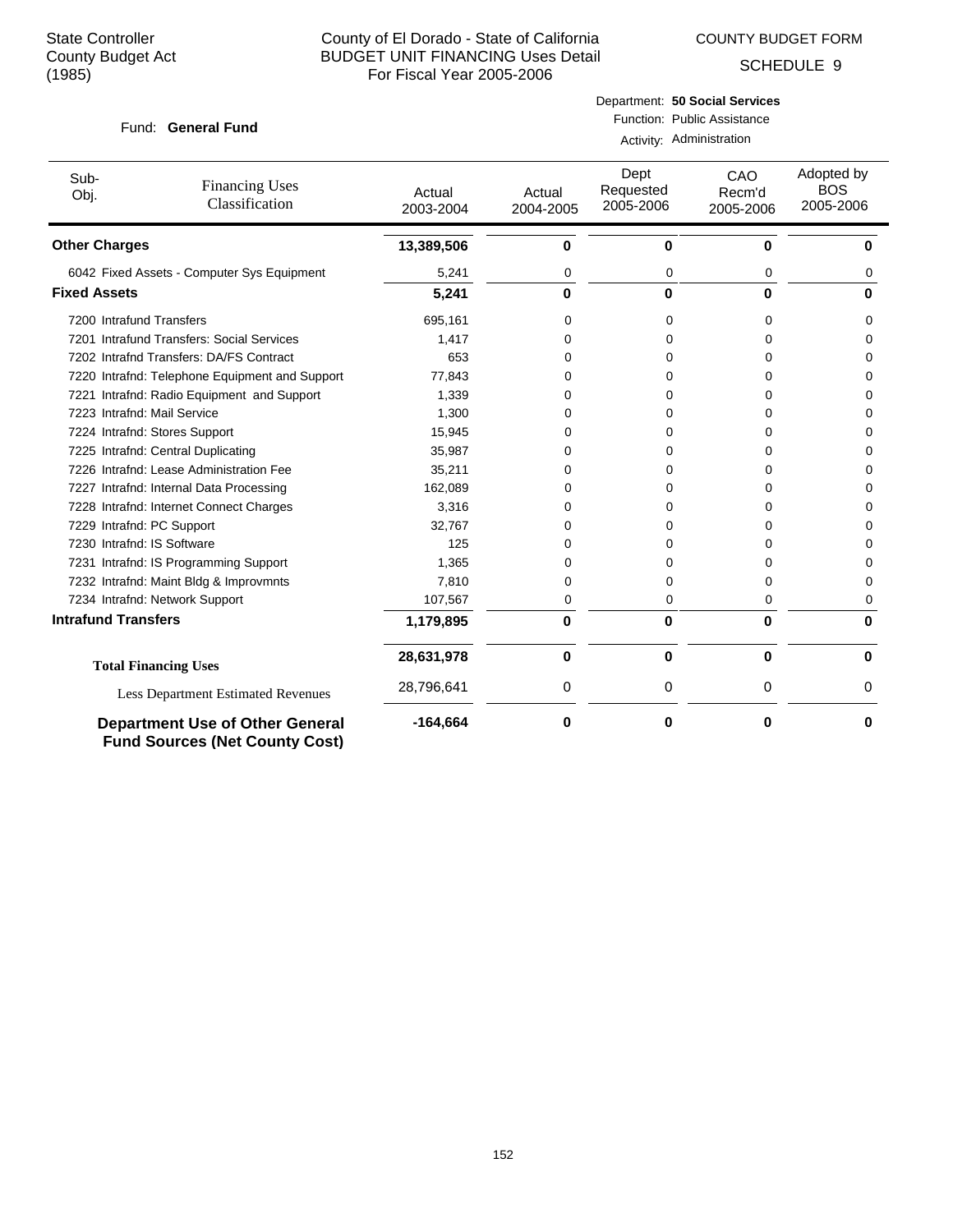COUNTY BUDGET FORM

SCHEDULE 9

#### Fund: General Fund

## Department: **50 Social Services** Function: Public Assistance

Activity: Administration

| Sub-<br>Obj.               | <b>Financing Uses</b><br>Classification                                         | Actual<br>2003-2004 | Actual<br>2004-2005 | Dept<br>Requested<br>2005-2006 | CAO<br>Recm'd<br>2005-2006 | Adopted by<br><b>BOS</b><br>2005-2006 |
|----------------------------|---------------------------------------------------------------------------------|---------------------|---------------------|--------------------------------|----------------------------|---------------------------------------|
| <b>Other Charges</b>       |                                                                                 | 13,389,506          | 0                   | 0                              | 0                          | U                                     |
|                            | 6042 Fixed Assets - Computer Sys Equipment                                      | 5,241               | 0                   | 0                              | 0                          | 0                                     |
| <b>Fixed Assets</b>        |                                                                                 | 5,241               | 0                   | 0                              | 0                          | 0                                     |
| 7200 Intrafund Transfers   |                                                                                 | 695,161             | 0                   | 0                              | 0                          | 0                                     |
|                            | 7201 Intrafund Transfers: Social Services                                       | 1,417               | 0                   | 0                              | 0                          | 0                                     |
|                            | 7202 Intrafnd Transfers: DA/FS Contract                                         | 653                 | 0                   | 0                              | 0                          | 0                                     |
|                            | 7220 Intrafnd: Telephone Equipment and Support                                  | 77,843              | 0                   | 0                              | 0                          | 0                                     |
|                            | 7221 Intrafnd: Radio Equipment and Support                                      | 1,339               | 0                   | 0                              | 0                          | 0                                     |
|                            | 7223 Intrafnd: Mail Service                                                     | 1,300               | 0                   | $\Omega$                       | 0                          | 0                                     |
|                            | 7224 Intrafnd: Stores Support                                                   | 15,945              | 0                   | 0                              | 0                          | 0                                     |
|                            | 7225 Intrafnd: Central Duplicating                                              | 35,987              | 0                   | 0                              | 0                          | 0                                     |
|                            | 7226 Intrafnd: Lease Administration Fee                                         | 35,211              | 0                   | 0                              | 0                          | <sup>0</sup>                          |
|                            | 7227 Intrafnd: Internal Data Processing                                         | 162,089             | 0                   | 0                              | 0                          | 0                                     |
|                            | 7228 Intrafnd: Internet Connect Charges                                         | 3,316               | 0                   | $\Omega$                       | 0                          | 0                                     |
|                            | 7229 Intrafnd: PC Support                                                       | 32,767              | 0                   | 0                              | 0                          | 0                                     |
|                            | 7230 Intrafnd: IS Software                                                      | 125                 | 0                   | 0                              | 0                          | 0                                     |
|                            | 7231 Intrafnd: IS Programming Support                                           | 1,365               | 0                   | 0                              | 0                          | 0                                     |
|                            | 7232 Intrafnd: Maint Bldg & Improvmnts                                          | 7,810               | 0                   | 0                              | 0                          | $\Omega$                              |
|                            | 7234 Intrafnd: Network Support                                                  | 107,567             | 0                   | $\Omega$                       | 0                          | 0                                     |
| <b>Intrafund Transfers</b> |                                                                                 | 1,179,895           | $\bf{0}$            | $\bf{0}$                       | $\mathbf{0}$               | O                                     |
|                            | <b>Total Financing Uses</b>                                                     | 28,631,978          | 0                   | $\bf{0}$                       | $\bf{0}$                   | U                                     |
|                            | <b>Less Department Estimated Revenues</b>                                       | 28,796,641          | 0                   | 0                              | 0                          | 0                                     |
|                            | <b>Department Use of Other General</b><br><b>Fund Sources (Net County Cost)</b> | $-164,664$          | 0                   | 0                              | 0                          | 0                                     |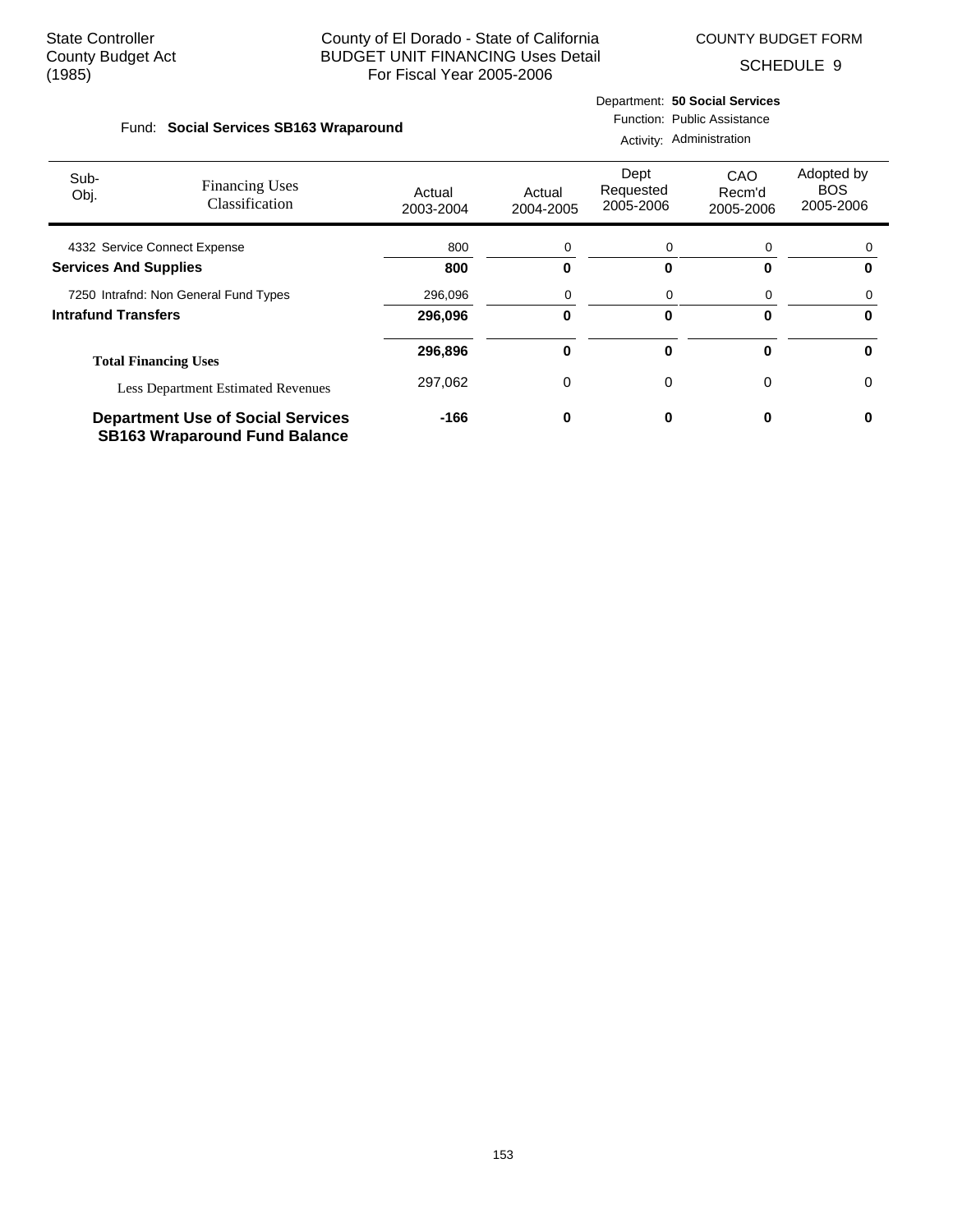$\sim$  10  $\mu$ 

## County of El Dorado - State of California BUDGET UNIT FINANCING Uses Detail For Fiscal Year 2005-2006

COUNTY BUDGET FORM

SCHEDULE 9

|      |                                        |       |                             | Department: 50 Social Services |
|------|----------------------------------------|-------|-----------------------------|--------------------------------|
|      | Fund: Social Services SB163 Wraparound |       | Function: Public Assistance |                                |
|      |                                        |       |                             | Activity: Administration       |
| Sub- |                                        | Ein出' | Dept                        | CAO                            |

| Sub-<br>Obj.                 | <b>Financing Uses</b><br>Classification                                          | Actual<br>2003-2004 | Actual<br>2004-2005 | Dept<br>Requested<br>2005-2006 | CAO<br>Recm'd<br>2005-2006 | Adopted by<br><b>BOS</b><br>2005-2006 |
|------------------------------|----------------------------------------------------------------------------------|---------------------|---------------------|--------------------------------|----------------------------|---------------------------------------|
|                              | 4332 Service Connect Expense                                                     | 800                 | 0                   | 0                              | 0                          |                                       |
| <b>Services And Supplies</b> |                                                                                  | 800                 | 0                   | O                              | 0                          |                                       |
|                              | 7250 Intrafnd: Non General Fund Types                                            | 296,096             | 0                   | 0                              | 0                          |                                       |
| <b>Intrafund Transfers</b>   |                                                                                  | 296.096             | 0                   |                                | 0                          | n                                     |
|                              | <b>Total Financing Uses</b>                                                      | 296,896             | 0                   | 0                              | 0                          | <sup>0</sup>                          |
|                              | <b>Less Department Estimated Revenues</b>                                        | 297,062             | 0                   | 0                              | 0                          | 0                                     |
|                              | <b>Department Use of Social Services</b><br><b>SB163 Wraparound Fund Balance</b> | $-166$              | 0                   |                                |                            |                                       |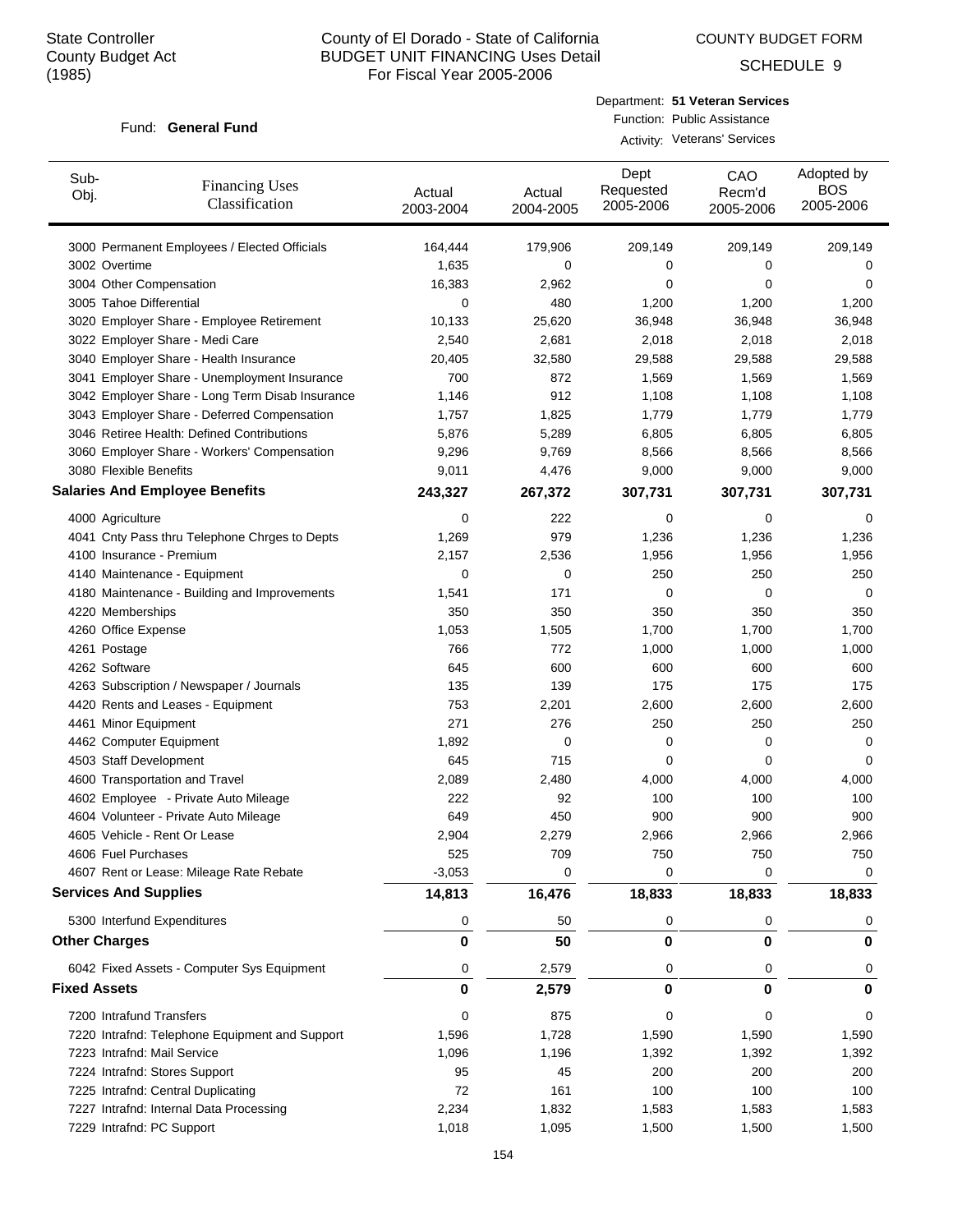COUNTY BUDGET FORM

SCHEDULE 9

#### Fund: General Fund

Department: **51 Veteran Services** Function: Public Assistance Activity: Veterans' Services

| Sub-<br>Obj.        | <b>Financing Uses</b><br>Classification         | Actual<br>2003-2004 | Actual<br>2004-2005 | Dept<br>Requested<br>2005-2006 | CAO<br>Recm'd<br>2005-2006 | Adopted by<br><b>BOS</b><br>2005-2006 |
|---------------------|-------------------------------------------------|---------------------|---------------------|--------------------------------|----------------------------|---------------------------------------|
|                     | 3000 Permanent Employees / Elected Officials    | 164,444             | 179,906             | 209,149                        | 209,149                    | 209,149                               |
|                     | 3002 Overtime                                   | 1,635               | 0                   | 0                              | 0                          | 0                                     |
|                     | 3004 Other Compensation                         | 16,383              | 2,962               | 0                              | 0                          | 0                                     |
|                     | 3005 Tahoe Differential                         | 0                   | 480                 | 1,200                          | 1,200                      | 1,200                                 |
|                     | 3020 Employer Share - Employee Retirement       | 10,133              | 25,620              | 36,948                         | 36,948                     | 36,948                                |
|                     | 3022 Employer Share - Medi Care                 | 2,540               | 2,681               | 2,018                          | 2,018                      | 2,018                                 |
|                     | 3040 Employer Share - Health Insurance          | 20,405              | 32,580              | 29,588                         | 29,588                     | 29,588                                |
|                     | 3041 Employer Share - Unemployment Insurance    | 700                 | 872                 | 1,569                          | 1,569                      | 1,569                                 |
|                     | 3042 Employer Share - Long Term Disab Insurance | 1,146               | 912                 | 1,108                          | 1,108                      | 1,108                                 |
|                     | 3043 Employer Share - Deferred Compensation     | 1,757               | 1,825               | 1,779                          | 1,779                      | 1,779                                 |
|                     | 3046 Retiree Health: Defined Contributions      | 5,876               | 5,289               | 6,805                          | 6,805                      | 6,805                                 |
|                     | 3060 Employer Share - Workers' Compensation     | 9,296               | 9,769               | 8,566                          | 8,566                      | 8,566                                 |
|                     | 3080 Flexible Benefits                          | 9,011               | 4,476               | 9,000                          | 9,000                      | 9,000                                 |
|                     | <b>Salaries And Employee Benefits</b>           | 243,327             | 267,372             | 307,731                        | 307,731                    | 307,731                               |
|                     | 4000 Agriculture                                | 0                   | 222                 | 0                              | 0                          | 0                                     |
|                     | 4041 Cnty Pass thru Telephone Chrges to Depts   | 1,269               | 979                 | 1,236                          | 1,236                      | 1,236                                 |
|                     | 4100 Insurance - Premium                        | 2,157               | 2,536               | 1,956                          | 1,956                      | 1,956                                 |
|                     | 4140 Maintenance - Equipment                    | $\mathbf 0$         | 0                   | 250                            | 250                        | 250                                   |
|                     | 4180 Maintenance - Building and Improvements    | 1,541               | 171                 | 0                              | 0                          | 0                                     |
|                     | 4220 Memberships                                | 350                 | 350                 | 350                            | 350                        | 350                                   |
|                     | 4260 Office Expense                             | 1,053               | 1,505               | 1,700                          | 1,700                      | 1,700                                 |
|                     | 4261 Postage                                    | 766                 | 772                 | 1,000                          | 1,000                      | 1,000                                 |
|                     | 4262 Software                                   | 645                 | 600                 | 600                            | 600                        | 600                                   |
|                     | 4263 Subscription / Newspaper / Journals        | 135                 | 139                 | 175                            | 175                        | 175                                   |
|                     | 4420 Rents and Leases - Equipment               | 753                 | 2,201               | 2,600                          | 2,600                      | 2,600                                 |
|                     | 4461 Minor Equipment                            | 271                 | 276                 | 250                            | 250                        | 250                                   |
|                     | 4462 Computer Equipment                         | 1,892               | 0                   | 0                              | 0                          | 0                                     |
|                     | 4503 Staff Development                          | 645                 | 715                 | 0                              | 0                          | 0                                     |
|                     | 4600 Transportation and Travel                  | 2,089               | 2,480               | 4,000                          | 4,000                      | 4,000                                 |
|                     | 4602 Employee - Private Auto Mileage            | 222                 | 92                  | 100                            | 100                        | 100                                   |
|                     | 4604 Volunteer - Private Auto Mileage           | 649                 | 450                 | 900                            | 900                        | 900                                   |
|                     | 4605 Vehicle - Rent Or Lease                    | 2,904               | 2,279               | 2,966                          | 2,966                      | 2,966                                 |
|                     | 4606 Fuel Purchases                             | 525                 | 709                 | 750                            | 750                        | 750                                   |
|                     | 4607 Rent or Lease: Mileage Rate Rebate         | $-3,053$            | 0                   | 0                              | 0                          | 0                                     |
|                     | <b>Services And Supplies</b>                    | 14,813              | 16,476              | 18,833                         | 18,833                     | 18,833                                |
|                     | 5300 Interfund Expenditures                     | 0                   | 50                  | 0                              | 0                          | 0                                     |
|                     | <b>Other Charges</b>                            | 0                   | 50                  | 0                              | 0                          | 0                                     |
|                     | 6042 Fixed Assets - Computer Sys Equipment      | 0                   | 2,579               | 0                              | 0                          | 0                                     |
| <b>Fixed Assets</b> |                                                 | 0                   | 2,579               | 0                              | 0                          | 0                                     |
|                     | 7200 Intrafund Transfers                        | 0                   | 875                 | 0                              | 0                          | 0                                     |
|                     | 7220 Intrafnd: Telephone Equipment and Support  | 1,596               | 1,728               | 1,590                          | 1,590                      | 1,590                                 |
|                     | 7223 Intrafnd: Mail Service                     | 1,096               | 1,196               | 1,392                          | 1,392                      | 1,392                                 |
|                     | 7224 Intrafnd: Stores Support                   | 95                  | 45                  | 200                            | 200                        | 200                                   |
|                     | 7225 Intrafnd: Central Duplicating              | 72                  | 161                 | 100                            | 100                        | 100                                   |
|                     | 7227 Intrafnd: Internal Data Processing         | 2,234               | 1,832               | 1,583                          | 1,583                      | 1,583                                 |
|                     | 7229 Intrafnd: PC Support                       | 1,018               | 1,095               | 1,500                          | 1,500                      | 1,500                                 |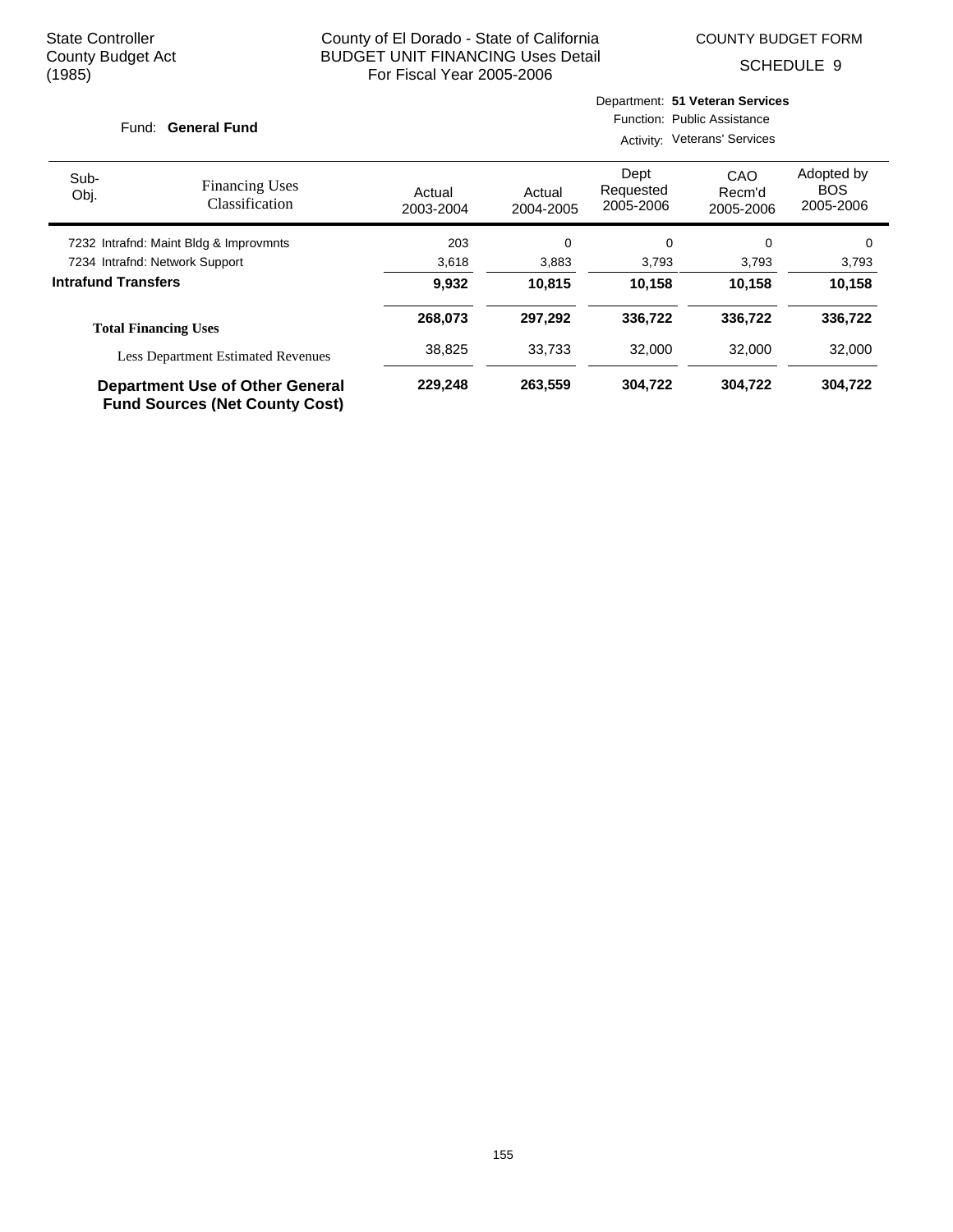COUNTY BUDGET FORM

Department: **51 Veteran Services**

SCHEDULE 9

| Fund: General Fund                     |                                                                                 |                     | Function: Public Assistance<br>Activity: Veterans' Services |                                |                            |                                       |  |
|----------------------------------------|---------------------------------------------------------------------------------|---------------------|-------------------------------------------------------------|--------------------------------|----------------------------|---------------------------------------|--|
| Sub-<br>Obj.                           | <b>Financing Uses</b><br><b>Classification</b>                                  | Actual<br>2003-2004 | Actual<br>2004-2005                                         | Dept<br>Requested<br>2005-2006 | CAO<br>Recm'd<br>2005-2006 | Adopted by<br><b>BOS</b><br>2005-2006 |  |
| 7232 Intrafnd: Maint Bldg & Improvmnts |                                                                                 | 203                 | 0                                                           | $\Omega$                       | $\Omega$                   | $\Omega$                              |  |
|                                        | 7234 Intrafnd: Network Support                                                  | 3,618               | 3,883                                                       | 3,793                          | 3,793                      | 3,793                                 |  |
| <b>Intrafund Transfers</b>             |                                                                                 | 9,932               | 10.815                                                      | 10,158                         | 10,158                     | 10,158                                |  |
|                                        | <b>Total Financing Uses</b>                                                     | 268,073             | 297,292                                                     | 336,722                        | 336,722                    | 336,722                               |  |
|                                        | <b>Less Department Estimated Revenues</b>                                       | 38,825              | 33.733                                                      | 32,000                         | 32,000                     | 32,000                                |  |
|                                        | <b>Department Use of Other General</b><br><b>Fund Sources (Net County Cost)</b> | 229,248             | 263,559                                                     | 304,722                        | 304,722                    | 304,722                               |  |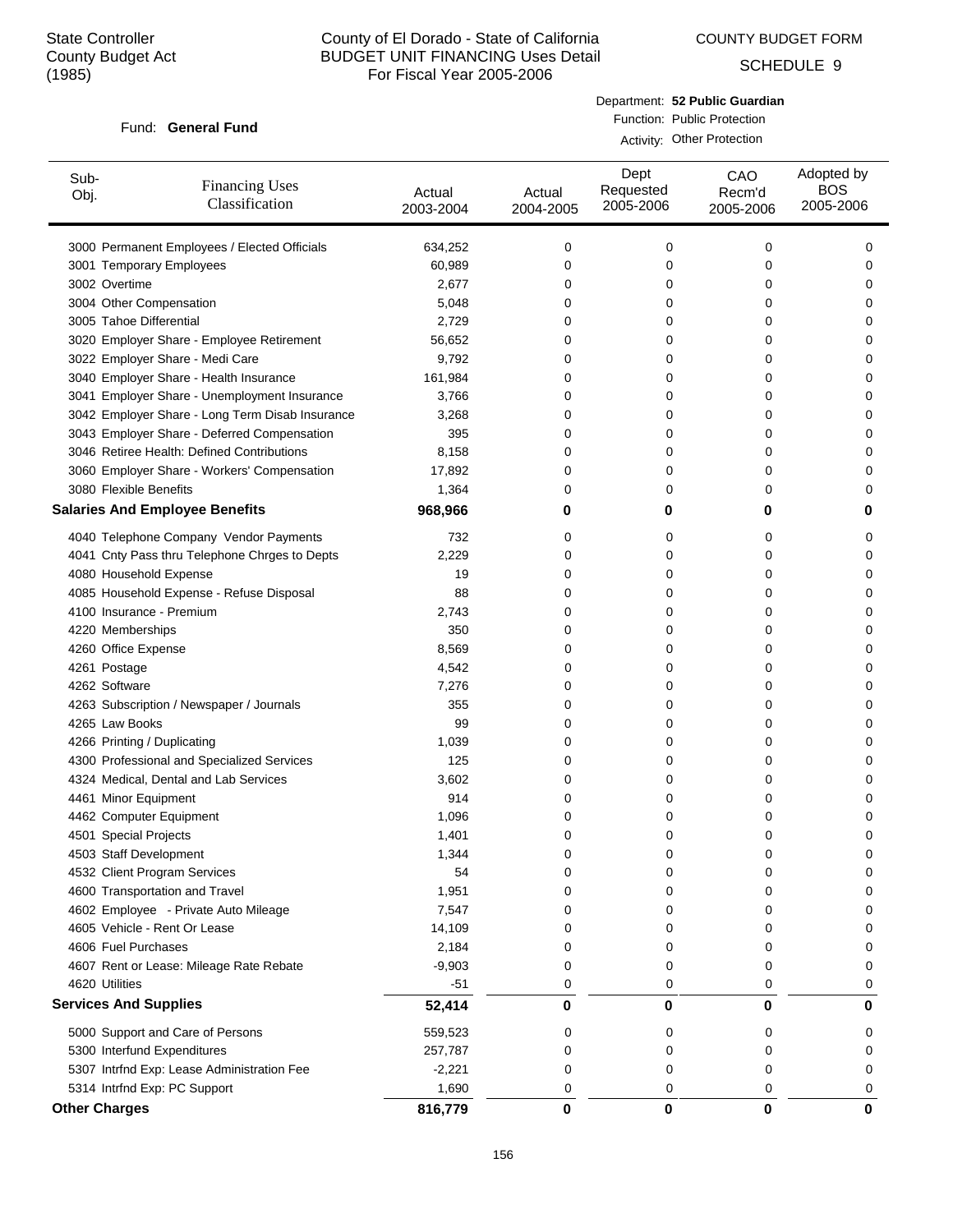COUNTY BUDGET FORM

SCHEDULE 9

#### Fund: General Fund

Department: **52 Public Guardian** Function: Public Protection Activity: Other Protection

| Sub-<br>Obj.         | <b>Financing Uses</b><br>Classification         | Actual<br>2003-2004 | Actual<br>2004-2005 | Dept<br>Requested<br>2005-2006 | CAO<br>Recm'd<br>2005-2006 | Adopted by<br><b>BOS</b><br>2005-2006 |
|----------------------|-------------------------------------------------|---------------------|---------------------|--------------------------------|----------------------------|---------------------------------------|
|                      | 3000 Permanent Employees / Elected Officials    | 634,252             | 0                   | 0                              | 0                          | 0                                     |
|                      | 3001 Temporary Employees                        | 60,989              | 0                   | 0                              | 0                          | 0                                     |
| 3002 Overtime        |                                                 | 2,677               | 0                   | 0                              | 0                          | 0                                     |
|                      | 3004 Other Compensation                         | 5,048               | 0                   | 0                              | 0                          | 0                                     |
|                      | 3005 Tahoe Differential                         | 2,729               | 0                   | 0                              | 0                          | 0                                     |
|                      | 3020 Employer Share - Employee Retirement       | 56,652              | 0                   | 0                              | 0                          | 0                                     |
|                      | 3022 Employer Share - Medi Care                 | 9,792               | 0                   | 0                              | 0                          | 0                                     |
|                      | 3040 Employer Share - Health Insurance          | 161,984             | 0                   | 0                              | 0                          | 0                                     |
|                      | 3041 Employer Share - Unemployment Insurance    | 3,766               | 0                   | 0                              | 0                          | 0                                     |
|                      | 3042 Employer Share - Long Term Disab Insurance | 3,268               | 0                   | 0                              | 0                          | 0                                     |
|                      | 3043 Employer Share - Deferred Compensation     | 395                 | 0                   | 0                              | 0                          | 0                                     |
|                      | 3046 Retiree Health: Defined Contributions      | 8,158               | 0                   | 0                              | 0                          | 0                                     |
|                      | 3060 Employer Share - Workers' Compensation     | 17,892              | 0                   | 0                              | 0                          | 0                                     |
|                      | 3080 Flexible Benefits                          | 1,364               | 0                   | 0                              | 0                          | 0                                     |
|                      | <b>Salaries And Employee Benefits</b>           | 968,966             | 0                   | 0                              | 0                          | 0                                     |
|                      | 4040 Telephone Company Vendor Payments          | 732                 | 0                   | 0                              | 0                          | 0                                     |
|                      | 4041 Cnty Pass thru Telephone Chrges to Depts   | 2,229               | 0                   | 0                              | 0                          | 0                                     |
|                      | 4080 Household Expense                          | 19                  | 0                   | 0                              | 0                          | 0                                     |
|                      | 4085 Household Expense - Refuse Disposal        | 88                  | 0                   | 0                              | 0                          | 0                                     |
|                      | 4100 Insurance - Premium                        | 2,743               | 0                   | 0                              | 0                          | 0                                     |
|                      | 4220 Memberships                                | 350                 | 0                   | 0                              | 0                          | 0                                     |
|                      | 4260 Office Expense                             | 8,569               | 0                   | 0                              | 0                          | 0                                     |
| 4261 Postage         |                                                 | 4,542               | 0                   | 0                              | 0                          | 0                                     |
| 4262 Software        |                                                 | 7,276               | 0                   | 0                              | 0                          | 0                                     |
|                      | 4263 Subscription / Newspaper / Journals        | 355                 | 0                   | 0                              | 0                          | 0                                     |
|                      | 4265 Law Books                                  | 99                  | 0                   | 0                              | 0                          | 0                                     |
|                      | 4266 Printing / Duplicating                     | 1,039               | 0                   | 0                              | 0                          | 0                                     |
|                      | 4300 Professional and Specialized Services      | 125                 | 0                   | 0                              | 0                          | 0                                     |
|                      | 4324 Medical, Dental and Lab Services           | 3,602               | 0                   | 0                              | 0                          | 0                                     |
|                      | 4461 Minor Equipment                            | 914                 | 0                   | 0                              | 0                          | 0                                     |
|                      | 4462 Computer Equipment                         | 1,096               | 0                   | 0                              | 0                          | 0                                     |
|                      | 4501 Special Projects                           | 1,401               | 0                   | 0                              | 0                          | 0                                     |
|                      | 4503 Staff Development                          | 1,344               | 0                   | 0                              | 0                          | 0                                     |
|                      | 4532 Client Program Services                    | 54                  | 0                   | 0                              | 0                          | 0                                     |
|                      | 4600 Transportation and Travel                  | 1,951               | 0                   | 0                              | 0                          | 0                                     |
|                      | 4602 Employee - Private Auto Mileage            | 7,547               | 0                   | 0                              | 0                          | 0                                     |
|                      | 4605 Vehicle - Rent Or Lease                    | 14,109              | 0                   | 0                              | 0                          | 0                                     |
|                      | 4606 Fuel Purchases                             | 2,184               | 0                   | 0                              | 0                          | 0                                     |
|                      | 4607 Rent or Lease: Mileage Rate Rebate         | $-9,903$            | 0                   | 0                              | 0                          | 0                                     |
| 4620 Utilities       |                                                 | $-51$               | 0                   | 0                              | 0                          | 0                                     |
|                      | <b>Services And Supplies</b>                    | 52,414              | 0                   | 0                              | 0                          | 0                                     |
|                      | 5000 Support and Care of Persons                | 559,523             | 0                   | 0                              | 0                          | 0                                     |
|                      | 5300 Interfund Expenditures                     | 257,787             | 0                   | 0                              | 0                          | 0                                     |
|                      | 5307 Intrfnd Exp: Lease Administration Fee      | $-2,221$            | 0                   | 0                              | 0                          | 0                                     |
|                      | 5314 Intrfnd Exp: PC Support                    | 1,690               | 0                   | 0                              | 0                          | 0                                     |
| <b>Other Charges</b> |                                                 | 816,779             | 0                   | 0                              | 0                          | 0                                     |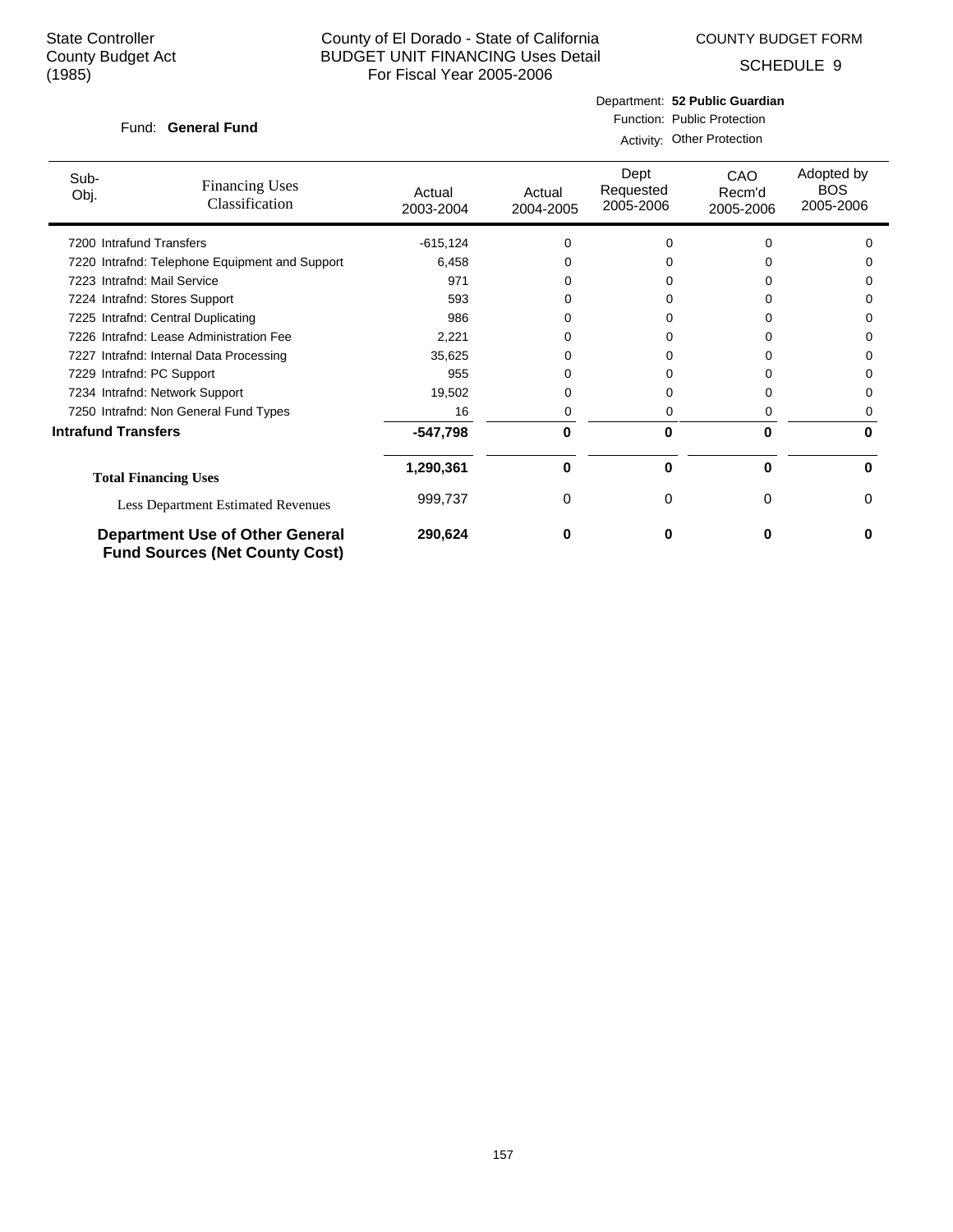COUNTY BUDGET FORM

SCHEDULE 9

#### Fund: General Fund

Department: **52 Public Guardian** Function: Public Protection

|  | Activity: Other Protection |
|--|----------------------------|
|  |                            |

| Sub-<br>Obj.               | <b>Financing Uses</b><br>Classification                                         | Actual<br>2003-2004 | Actual<br>2004-2005 | Dept<br>Requested<br>2005-2006 | CAO<br>Recm'd<br>2005-2006 | Adopted by<br><b>BOS</b><br>2005-2006 |
|----------------------------|---------------------------------------------------------------------------------|---------------------|---------------------|--------------------------------|----------------------------|---------------------------------------|
| 7200 Intrafund Transfers   |                                                                                 | $-615, 124$         | 0                   | 0                              |                            | $\Omega$                              |
|                            | 7220 Intrafnd: Telephone Equipment and Support                                  | 6,458               | ი                   |                                |                            | O                                     |
|                            | 7223 Intrafnd: Mail Service                                                     | 971                 |                     |                                |                            | 0                                     |
|                            | 7224 Intrafnd: Stores Support                                                   | 593                 | ი                   | O                              |                            | <sup>0</sup>                          |
|                            | 7225 Intrafnd: Central Duplicating                                              | 986                 | 0                   | o                              |                            | 0                                     |
|                            | 7226 Intrafnd: Lease Administration Fee                                         | 2,221               | 0                   | 0                              |                            | 0                                     |
|                            | 7227 Intrafnd: Internal Data Processing                                         | 35,625              | 0                   | Ω                              |                            | O                                     |
| 7229 Intrafnd: PC Support  |                                                                                 | 955                 | 0                   | 0                              |                            | 0                                     |
|                            | 7234 Intrafnd: Network Support                                                  | 19,502              | 0                   | 0                              |                            | 0                                     |
|                            | 7250 Intrafnd: Non General Fund Types                                           | 16                  | 0                   | 0                              |                            | 0                                     |
| <b>Intrafund Transfers</b> |                                                                                 | $-547,798$          | 0                   | 0                              | 0                          | 0                                     |
|                            | <b>Total Financing Uses</b>                                                     | 1,290,361           | 0                   | 0                              | 0                          | U                                     |
|                            | <b>Less Department Estimated Revenues</b>                                       | 999,737             | 0                   | 0                              | $\Omega$                   | 0                                     |
|                            | <b>Department Use of Other General</b><br><b>Fund Sources (Net County Cost)</b> | 290,624             | n                   | o                              | O                          | U                                     |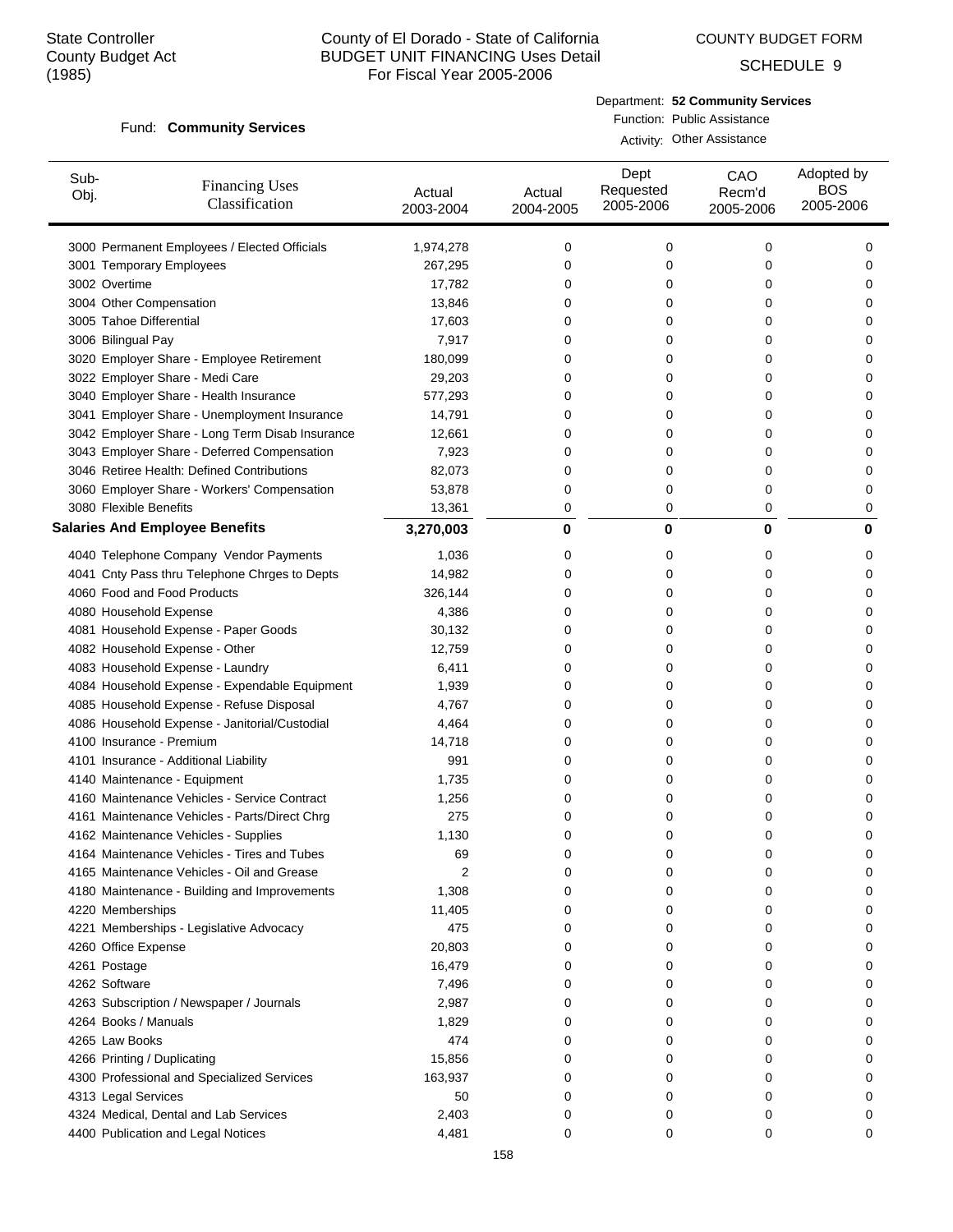COUNTY BUDGET FORM

SCHEDULE 9

#### Fund: Community Services

Department: **52 Community Services** Function: Public Assistance

Activity: Other Assistance

| 3000 Permanent Employees / Elected Officials<br>1,974,278<br>0<br>0<br>0<br>0<br>3001 Temporary Employees<br>267,295<br>0<br>0<br>0<br>0<br>3002 Overtime<br>17,782<br>0<br>0<br>0<br>0<br>3004 Other Compensation<br>13,846<br>0<br>0<br>0<br>0<br>3005 Tahoe Differential<br>17,603<br>0<br>0<br>0<br>0<br>3006 Bilingual Pay<br>7,917<br>0<br>0<br>0<br>0<br>3020 Employer Share - Employee Retirement<br>180,099<br>0<br>0<br>0<br>0<br>3022 Employer Share - Medi Care<br>29,203<br>0<br>0<br>0<br>0<br>3040 Employer Share - Health Insurance<br>577,293<br>0<br>0<br>0<br>0<br>3041 Employer Share - Unemployment Insurance<br>14,791<br>0<br>0<br>0<br>0<br>3042 Employer Share - Long Term Disab Insurance<br>12,661<br>0<br>0<br>0<br>0<br>3043 Employer Share - Deferred Compensation<br>7,923<br>0<br>0<br>0<br>0<br>3046 Retiree Health: Defined Contributions<br>82,073<br>0<br>0<br>0<br>0<br>3060 Employer Share - Workers' Compensation<br>0<br>0<br>53,878<br>0<br>0<br>3080 Flexible Benefits<br>13,361<br>0<br>0<br>0<br>0<br><b>Salaries And Employee Benefits</b><br>3,270,003<br>0<br>0<br>0<br>0<br>4040 Telephone Company Vendor Payments<br>1,036<br>0<br>0<br>0<br>0<br>4041 Cnty Pass thru Telephone Chrges to Depts<br>14,982<br>0<br>0<br>0<br>0<br>4060 Food and Food Products<br>326,144<br>0<br>0<br>0<br>0<br>4080 Household Expense<br>4,386<br>0<br>0<br>0<br>0<br>4081 Household Expense - Paper Goods<br>30,132<br>0<br>0<br>0<br>0<br>4082 Household Expense - Other<br>12,759<br>0<br>0<br>0<br>0<br>4083 Household Expense - Laundry<br>6,411<br>0<br>0<br>0<br>0<br>4084 Household Expense - Expendable Equipment<br>1,939<br>0<br>0<br>0<br>0<br>4085 Household Expense - Refuse Disposal<br>4,767<br>0<br>0<br>0<br>0<br>4086 Household Expense - Janitorial/Custodial<br>4,464<br>0<br>0<br>0<br>0<br>4100 Insurance - Premium<br>14,718<br>0<br>0<br>0<br>0<br>4101 Insurance - Additional Liability<br>991<br>0<br>0<br>0<br>0<br>4140 Maintenance - Equipment<br>1,735<br>0<br>0<br>0<br>0<br>4160 Maintenance Vehicles - Service Contract<br>1,256<br>0<br>0<br>0<br>0<br>4161 Maintenance Vehicles - Parts/Direct Chrg<br>275<br>0<br>0<br>0<br>0<br>4162 Maintenance Vehicles - Supplies<br>1,130<br>0<br>0<br>0<br>0<br>4164 Maintenance Vehicles - Tires and Tubes<br>69<br>0<br>U<br>U<br>U<br>4165 Maintenance Vehicles - Oil and Grease<br>2<br>0<br>0<br>0<br>0<br>4180 Maintenance - Building and Improvements<br>1,308<br>0<br>0<br>0<br>0<br>4220 Memberships<br>11,405<br>0<br>0<br>0<br>0<br>475<br>4221 Memberships - Legislative Advocacy<br>0<br>0<br>0<br>0<br>4260 Office Expense<br>20,803<br>0<br>0<br>0<br>0<br>4261 Postage<br>16,479<br>0<br>0<br>0<br>0<br>4262 Software<br>7,496<br>0<br>0<br>0<br>0<br>4263 Subscription / Newspaper / Journals<br>2,987<br>0<br>0<br>0<br>0<br>4264 Books / Manuals<br>1,829<br>0<br>0<br>0<br>0<br>4265 Law Books<br>474<br>0<br>0<br>0<br>0<br>4266 Printing / Duplicating<br>15,856<br>0<br>0<br>0<br>0<br>4300 Professional and Specialized Services<br>163,937<br>0<br>0<br>0<br>0<br>4313 Legal Services<br>50<br>0<br>0<br>0<br>0<br>4324 Medical, Dental and Lab Services<br>2,403<br>0<br>0<br>0<br>0<br>4400 Publication and Legal Notices<br>4,481<br>0<br>0<br>0<br>0 | Sub-<br>Obj. | <b>Financing Uses</b><br>Classification | Actual<br>2003-2004 | Actual<br>2004-2005 | Dept<br>Requested<br>2005-2006 | CAO<br>Recm'd<br>2005-2006 | Adopted by<br><b>BOS</b><br>2005-2006 |
|-----------------------------------------------------------------------------------------------------------------------------------------------------------------------------------------------------------------------------------------------------------------------------------------------------------------------------------------------------------------------------------------------------------------------------------------------------------------------------------------------------------------------------------------------------------------------------------------------------------------------------------------------------------------------------------------------------------------------------------------------------------------------------------------------------------------------------------------------------------------------------------------------------------------------------------------------------------------------------------------------------------------------------------------------------------------------------------------------------------------------------------------------------------------------------------------------------------------------------------------------------------------------------------------------------------------------------------------------------------------------------------------------------------------------------------------------------------------------------------------------------------------------------------------------------------------------------------------------------------------------------------------------------------------------------------------------------------------------------------------------------------------------------------------------------------------------------------------------------------------------------------------------------------------------------------------------------------------------------------------------------------------------------------------------------------------------------------------------------------------------------------------------------------------------------------------------------------------------------------------------------------------------------------------------------------------------------------------------------------------------------------------------------------------------------------------------------------------------------------------------------------------------------------------------------------------------------------------------------------------------------------------------------------------------------------------------------------------------------------------------------------------------------------------------------------------------------------------------------------------------------------------------------------------------------------------------------------------------------------------------------------------------------------------------------------------------------------------------------------------------------------------------------------------------------------------------------------------------------------------------------------------------------------------------|--------------|-----------------------------------------|---------------------|---------------------|--------------------------------|----------------------------|---------------------------------------|
|                                                                                                                                                                                                                                                                                                                                                                                                                                                                                                                                                                                                                                                                                                                                                                                                                                                                                                                                                                                                                                                                                                                                                                                                                                                                                                                                                                                                                                                                                                                                                                                                                                                                                                                                                                                                                                                                                                                                                                                                                                                                                                                                                                                                                                                                                                                                                                                                                                                                                                                                                                                                                                                                                                                                                                                                                                                                                                                                                                                                                                                                                                                                                                                                                                                                                               |              |                                         |                     |                     |                                |                            |                                       |
|                                                                                                                                                                                                                                                                                                                                                                                                                                                                                                                                                                                                                                                                                                                                                                                                                                                                                                                                                                                                                                                                                                                                                                                                                                                                                                                                                                                                                                                                                                                                                                                                                                                                                                                                                                                                                                                                                                                                                                                                                                                                                                                                                                                                                                                                                                                                                                                                                                                                                                                                                                                                                                                                                                                                                                                                                                                                                                                                                                                                                                                                                                                                                                                                                                                                                               |              |                                         |                     |                     |                                |                            |                                       |
|                                                                                                                                                                                                                                                                                                                                                                                                                                                                                                                                                                                                                                                                                                                                                                                                                                                                                                                                                                                                                                                                                                                                                                                                                                                                                                                                                                                                                                                                                                                                                                                                                                                                                                                                                                                                                                                                                                                                                                                                                                                                                                                                                                                                                                                                                                                                                                                                                                                                                                                                                                                                                                                                                                                                                                                                                                                                                                                                                                                                                                                                                                                                                                                                                                                                                               |              |                                         |                     |                     |                                |                            |                                       |
|                                                                                                                                                                                                                                                                                                                                                                                                                                                                                                                                                                                                                                                                                                                                                                                                                                                                                                                                                                                                                                                                                                                                                                                                                                                                                                                                                                                                                                                                                                                                                                                                                                                                                                                                                                                                                                                                                                                                                                                                                                                                                                                                                                                                                                                                                                                                                                                                                                                                                                                                                                                                                                                                                                                                                                                                                                                                                                                                                                                                                                                                                                                                                                                                                                                                                               |              |                                         |                     |                     |                                |                            |                                       |
|                                                                                                                                                                                                                                                                                                                                                                                                                                                                                                                                                                                                                                                                                                                                                                                                                                                                                                                                                                                                                                                                                                                                                                                                                                                                                                                                                                                                                                                                                                                                                                                                                                                                                                                                                                                                                                                                                                                                                                                                                                                                                                                                                                                                                                                                                                                                                                                                                                                                                                                                                                                                                                                                                                                                                                                                                                                                                                                                                                                                                                                                                                                                                                                                                                                                                               |              |                                         |                     |                     |                                |                            |                                       |
|                                                                                                                                                                                                                                                                                                                                                                                                                                                                                                                                                                                                                                                                                                                                                                                                                                                                                                                                                                                                                                                                                                                                                                                                                                                                                                                                                                                                                                                                                                                                                                                                                                                                                                                                                                                                                                                                                                                                                                                                                                                                                                                                                                                                                                                                                                                                                                                                                                                                                                                                                                                                                                                                                                                                                                                                                                                                                                                                                                                                                                                                                                                                                                                                                                                                                               |              |                                         |                     |                     |                                |                            |                                       |
|                                                                                                                                                                                                                                                                                                                                                                                                                                                                                                                                                                                                                                                                                                                                                                                                                                                                                                                                                                                                                                                                                                                                                                                                                                                                                                                                                                                                                                                                                                                                                                                                                                                                                                                                                                                                                                                                                                                                                                                                                                                                                                                                                                                                                                                                                                                                                                                                                                                                                                                                                                                                                                                                                                                                                                                                                                                                                                                                                                                                                                                                                                                                                                                                                                                                                               |              |                                         |                     |                     |                                |                            |                                       |
|                                                                                                                                                                                                                                                                                                                                                                                                                                                                                                                                                                                                                                                                                                                                                                                                                                                                                                                                                                                                                                                                                                                                                                                                                                                                                                                                                                                                                                                                                                                                                                                                                                                                                                                                                                                                                                                                                                                                                                                                                                                                                                                                                                                                                                                                                                                                                                                                                                                                                                                                                                                                                                                                                                                                                                                                                                                                                                                                                                                                                                                                                                                                                                                                                                                                                               |              |                                         |                     |                     |                                |                            |                                       |
|                                                                                                                                                                                                                                                                                                                                                                                                                                                                                                                                                                                                                                                                                                                                                                                                                                                                                                                                                                                                                                                                                                                                                                                                                                                                                                                                                                                                                                                                                                                                                                                                                                                                                                                                                                                                                                                                                                                                                                                                                                                                                                                                                                                                                                                                                                                                                                                                                                                                                                                                                                                                                                                                                                                                                                                                                                                                                                                                                                                                                                                                                                                                                                                                                                                                                               |              |                                         |                     |                     |                                |                            |                                       |
|                                                                                                                                                                                                                                                                                                                                                                                                                                                                                                                                                                                                                                                                                                                                                                                                                                                                                                                                                                                                                                                                                                                                                                                                                                                                                                                                                                                                                                                                                                                                                                                                                                                                                                                                                                                                                                                                                                                                                                                                                                                                                                                                                                                                                                                                                                                                                                                                                                                                                                                                                                                                                                                                                                                                                                                                                                                                                                                                                                                                                                                                                                                                                                                                                                                                                               |              |                                         |                     |                     |                                |                            |                                       |
|                                                                                                                                                                                                                                                                                                                                                                                                                                                                                                                                                                                                                                                                                                                                                                                                                                                                                                                                                                                                                                                                                                                                                                                                                                                                                                                                                                                                                                                                                                                                                                                                                                                                                                                                                                                                                                                                                                                                                                                                                                                                                                                                                                                                                                                                                                                                                                                                                                                                                                                                                                                                                                                                                                                                                                                                                                                                                                                                                                                                                                                                                                                                                                                                                                                                                               |              |                                         |                     |                     |                                |                            |                                       |
|                                                                                                                                                                                                                                                                                                                                                                                                                                                                                                                                                                                                                                                                                                                                                                                                                                                                                                                                                                                                                                                                                                                                                                                                                                                                                                                                                                                                                                                                                                                                                                                                                                                                                                                                                                                                                                                                                                                                                                                                                                                                                                                                                                                                                                                                                                                                                                                                                                                                                                                                                                                                                                                                                                                                                                                                                                                                                                                                                                                                                                                                                                                                                                                                                                                                                               |              |                                         |                     |                     |                                |                            |                                       |
|                                                                                                                                                                                                                                                                                                                                                                                                                                                                                                                                                                                                                                                                                                                                                                                                                                                                                                                                                                                                                                                                                                                                                                                                                                                                                                                                                                                                                                                                                                                                                                                                                                                                                                                                                                                                                                                                                                                                                                                                                                                                                                                                                                                                                                                                                                                                                                                                                                                                                                                                                                                                                                                                                                                                                                                                                                                                                                                                                                                                                                                                                                                                                                                                                                                                                               |              |                                         |                     |                     |                                |                            |                                       |
|                                                                                                                                                                                                                                                                                                                                                                                                                                                                                                                                                                                                                                                                                                                                                                                                                                                                                                                                                                                                                                                                                                                                                                                                                                                                                                                                                                                                                                                                                                                                                                                                                                                                                                                                                                                                                                                                                                                                                                                                                                                                                                                                                                                                                                                                                                                                                                                                                                                                                                                                                                                                                                                                                                                                                                                                                                                                                                                                                                                                                                                                                                                                                                                                                                                                                               |              |                                         |                     |                     |                                |                            |                                       |
|                                                                                                                                                                                                                                                                                                                                                                                                                                                                                                                                                                                                                                                                                                                                                                                                                                                                                                                                                                                                                                                                                                                                                                                                                                                                                                                                                                                                                                                                                                                                                                                                                                                                                                                                                                                                                                                                                                                                                                                                                                                                                                                                                                                                                                                                                                                                                                                                                                                                                                                                                                                                                                                                                                                                                                                                                                                                                                                                                                                                                                                                                                                                                                                                                                                                                               |              |                                         |                     |                     |                                |                            |                                       |
|                                                                                                                                                                                                                                                                                                                                                                                                                                                                                                                                                                                                                                                                                                                                                                                                                                                                                                                                                                                                                                                                                                                                                                                                                                                                                                                                                                                                                                                                                                                                                                                                                                                                                                                                                                                                                                                                                                                                                                                                                                                                                                                                                                                                                                                                                                                                                                                                                                                                                                                                                                                                                                                                                                                                                                                                                                                                                                                                                                                                                                                                                                                                                                                                                                                                                               |              |                                         |                     |                     |                                |                            |                                       |
|                                                                                                                                                                                                                                                                                                                                                                                                                                                                                                                                                                                                                                                                                                                                                                                                                                                                                                                                                                                                                                                                                                                                                                                                                                                                                                                                                                                                                                                                                                                                                                                                                                                                                                                                                                                                                                                                                                                                                                                                                                                                                                                                                                                                                                                                                                                                                                                                                                                                                                                                                                                                                                                                                                                                                                                                                                                                                                                                                                                                                                                                                                                                                                                                                                                                                               |              |                                         |                     |                     |                                |                            |                                       |
|                                                                                                                                                                                                                                                                                                                                                                                                                                                                                                                                                                                                                                                                                                                                                                                                                                                                                                                                                                                                                                                                                                                                                                                                                                                                                                                                                                                                                                                                                                                                                                                                                                                                                                                                                                                                                                                                                                                                                                                                                                                                                                                                                                                                                                                                                                                                                                                                                                                                                                                                                                                                                                                                                                                                                                                                                                                                                                                                                                                                                                                                                                                                                                                                                                                                                               |              |                                         |                     |                     |                                |                            |                                       |
|                                                                                                                                                                                                                                                                                                                                                                                                                                                                                                                                                                                                                                                                                                                                                                                                                                                                                                                                                                                                                                                                                                                                                                                                                                                                                                                                                                                                                                                                                                                                                                                                                                                                                                                                                                                                                                                                                                                                                                                                                                                                                                                                                                                                                                                                                                                                                                                                                                                                                                                                                                                                                                                                                                                                                                                                                                                                                                                                                                                                                                                                                                                                                                                                                                                                                               |              |                                         |                     |                     |                                |                            |                                       |
|                                                                                                                                                                                                                                                                                                                                                                                                                                                                                                                                                                                                                                                                                                                                                                                                                                                                                                                                                                                                                                                                                                                                                                                                                                                                                                                                                                                                                                                                                                                                                                                                                                                                                                                                                                                                                                                                                                                                                                                                                                                                                                                                                                                                                                                                                                                                                                                                                                                                                                                                                                                                                                                                                                                                                                                                                                                                                                                                                                                                                                                                                                                                                                                                                                                                                               |              |                                         |                     |                     |                                |                            |                                       |
|                                                                                                                                                                                                                                                                                                                                                                                                                                                                                                                                                                                                                                                                                                                                                                                                                                                                                                                                                                                                                                                                                                                                                                                                                                                                                                                                                                                                                                                                                                                                                                                                                                                                                                                                                                                                                                                                                                                                                                                                                                                                                                                                                                                                                                                                                                                                                                                                                                                                                                                                                                                                                                                                                                                                                                                                                                                                                                                                                                                                                                                                                                                                                                                                                                                                                               |              |                                         |                     |                     |                                |                            |                                       |
|                                                                                                                                                                                                                                                                                                                                                                                                                                                                                                                                                                                                                                                                                                                                                                                                                                                                                                                                                                                                                                                                                                                                                                                                                                                                                                                                                                                                                                                                                                                                                                                                                                                                                                                                                                                                                                                                                                                                                                                                                                                                                                                                                                                                                                                                                                                                                                                                                                                                                                                                                                                                                                                                                                                                                                                                                                                                                                                                                                                                                                                                                                                                                                                                                                                                                               |              |                                         |                     |                     |                                |                            |                                       |
|                                                                                                                                                                                                                                                                                                                                                                                                                                                                                                                                                                                                                                                                                                                                                                                                                                                                                                                                                                                                                                                                                                                                                                                                                                                                                                                                                                                                                                                                                                                                                                                                                                                                                                                                                                                                                                                                                                                                                                                                                                                                                                                                                                                                                                                                                                                                                                                                                                                                                                                                                                                                                                                                                                                                                                                                                                                                                                                                                                                                                                                                                                                                                                                                                                                                                               |              |                                         |                     |                     |                                |                            |                                       |
|                                                                                                                                                                                                                                                                                                                                                                                                                                                                                                                                                                                                                                                                                                                                                                                                                                                                                                                                                                                                                                                                                                                                                                                                                                                                                                                                                                                                                                                                                                                                                                                                                                                                                                                                                                                                                                                                                                                                                                                                                                                                                                                                                                                                                                                                                                                                                                                                                                                                                                                                                                                                                                                                                                                                                                                                                                                                                                                                                                                                                                                                                                                                                                                                                                                                                               |              |                                         |                     |                     |                                |                            |                                       |
|                                                                                                                                                                                                                                                                                                                                                                                                                                                                                                                                                                                                                                                                                                                                                                                                                                                                                                                                                                                                                                                                                                                                                                                                                                                                                                                                                                                                                                                                                                                                                                                                                                                                                                                                                                                                                                                                                                                                                                                                                                                                                                                                                                                                                                                                                                                                                                                                                                                                                                                                                                                                                                                                                                                                                                                                                                                                                                                                                                                                                                                                                                                                                                                                                                                                                               |              |                                         |                     |                     |                                |                            |                                       |
|                                                                                                                                                                                                                                                                                                                                                                                                                                                                                                                                                                                                                                                                                                                                                                                                                                                                                                                                                                                                                                                                                                                                                                                                                                                                                                                                                                                                                                                                                                                                                                                                                                                                                                                                                                                                                                                                                                                                                                                                                                                                                                                                                                                                                                                                                                                                                                                                                                                                                                                                                                                                                                                                                                                                                                                                                                                                                                                                                                                                                                                                                                                                                                                                                                                                                               |              |                                         |                     |                     |                                |                            |                                       |
|                                                                                                                                                                                                                                                                                                                                                                                                                                                                                                                                                                                                                                                                                                                                                                                                                                                                                                                                                                                                                                                                                                                                                                                                                                                                                                                                                                                                                                                                                                                                                                                                                                                                                                                                                                                                                                                                                                                                                                                                                                                                                                                                                                                                                                                                                                                                                                                                                                                                                                                                                                                                                                                                                                                                                                                                                                                                                                                                                                                                                                                                                                                                                                                                                                                                                               |              |                                         |                     |                     |                                |                            |                                       |
|                                                                                                                                                                                                                                                                                                                                                                                                                                                                                                                                                                                                                                                                                                                                                                                                                                                                                                                                                                                                                                                                                                                                                                                                                                                                                                                                                                                                                                                                                                                                                                                                                                                                                                                                                                                                                                                                                                                                                                                                                                                                                                                                                                                                                                                                                                                                                                                                                                                                                                                                                                                                                                                                                                                                                                                                                                                                                                                                                                                                                                                                                                                                                                                                                                                                                               |              |                                         |                     |                     |                                |                            |                                       |
|                                                                                                                                                                                                                                                                                                                                                                                                                                                                                                                                                                                                                                                                                                                                                                                                                                                                                                                                                                                                                                                                                                                                                                                                                                                                                                                                                                                                                                                                                                                                                                                                                                                                                                                                                                                                                                                                                                                                                                                                                                                                                                                                                                                                                                                                                                                                                                                                                                                                                                                                                                                                                                                                                                                                                                                                                                                                                                                                                                                                                                                                                                                                                                                                                                                                                               |              |                                         |                     |                     |                                |                            |                                       |
|                                                                                                                                                                                                                                                                                                                                                                                                                                                                                                                                                                                                                                                                                                                                                                                                                                                                                                                                                                                                                                                                                                                                                                                                                                                                                                                                                                                                                                                                                                                                                                                                                                                                                                                                                                                                                                                                                                                                                                                                                                                                                                                                                                                                                                                                                                                                                                                                                                                                                                                                                                                                                                                                                                                                                                                                                                                                                                                                                                                                                                                                                                                                                                                                                                                                                               |              |                                         |                     |                     |                                |                            |                                       |
|                                                                                                                                                                                                                                                                                                                                                                                                                                                                                                                                                                                                                                                                                                                                                                                                                                                                                                                                                                                                                                                                                                                                                                                                                                                                                                                                                                                                                                                                                                                                                                                                                                                                                                                                                                                                                                                                                                                                                                                                                                                                                                                                                                                                                                                                                                                                                                                                                                                                                                                                                                                                                                                                                                                                                                                                                                                                                                                                                                                                                                                                                                                                                                                                                                                                                               |              |                                         |                     |                     |                                |                            |                                       |
|                                                                                                                                                                                                                                                                                                                                                                                                                                                                                                                                                                                                                                                                                                                                                                                                                                                                                                                                                                                                                                                                                                                                                                                                                                                                                                                                                                                                                                                                                                                                                                                                                                                                                                                                                                                                                                                                                                                                                                                                                                                                                                                                                                                                                                                                                                                                                                                                                                                                                                                                                                                                                                                                                                                                                                                                                                                                                                                                                                                                                                                                                                                                                                                                                                                                                               |              |                                         |                     |                     |                                |                            |                                       |
|                                                                                                                                                                                                                                                                                                                                                                                                                                                                                                                                                                                                                                                                                                                                                                                                                                                                                                                                                                                                                                                                                                                                                                                                                                                                                                                                                                                                                                                                                                                                                                                                                                                                                                                                                                                                                                                                                                                                                                                                                                                                                                                                                                                                                                                                                                                                                                                                                                                                                                                                                                                                                                                                                                                                                                                                                                                                                                                                                                                                                                                                                                                                                                                                                                                                                               |              |                                         |                     |                     |                                |                            |                                       |
|                                                                                                                                                                                                                                                                                                                                                                                                                                                                                                                                                                                                                                                                                                                                                                                                                                                                                                                                                                                                                                                                                                                                                                                                                                                                                                                                                                                                                                                                                                                                                                                                                                                                                                                                                                                                                                                                                                                                                                                                                                                                                                                                                                                                                                                                                                                                                                                                                                                                                                                                                                                                                                                                                                                                                                                                                                                                                                                                                                                                                                                                                                                                                                                                                                                                                               |              |                                         |                     |                     |                                |                            |                                       |
|                                                                                                                                                                                                                                                                                                                                                                                                                                                                                                                                                                                                                                                                                                                                                                                                                                                                                                                                                                                                                                                                                                                                                                                                                                                                                                                                                                                                                                                                                                                                                                                                                                                                                                                                                                                                                                                                                                                                                                                                                                                                                                                                                                                                                                                                                                                                                                                                                                                                                                                                                                                                                                                                                                                                                                                                                                                                                                                                                                                                                                                                                                                                                                                                                                                                                               |              |                                         |                     |                     |                                |                            |                                       |
|                                                                                                                                                                                                                                                                                                                                                                                                                                                                                                                                                                                                                                                                                                                                                                                                                                                                                                                                                                                                                                                                                                                                                                                                                                                                                                                                                                                                                                                                                                                                                                                                                                                                                                                                                                                                                                                                                                                                                                                                                                                                                                                                                                                                                                                                                                                                                                                                                                                                                                                                                                                                                                                                                                                                                                                                                                                                                                                                                                                                                                                                                                                                                                                                                                                                                               |              |                                         |                     |                     |                                |                            |                                       |
|                                                                                                                                                                                                                                                                                                                                                                                                                                                                                                                                                                                                                                                                                                                                                                                                                                                                                                                                                                                                                                                                                                                                                                                                                                                                                                                                                                                                                                                                                                                                                                                                                                                                                                                                                                                                                                                                                                                                                                                                                                                                                                                                                                                                                                                                                                                                                                                                                                                                                                                                                                                                                                                                                                                                                                                                                                                                                                                                                                                                                                                                                                                                                                                                                                                                                               |              |                                         |                     |                     |                                |                            |                                       |
|                                                                                                                                                                                                                                                                                                                                                                                                                                                                                                                                                                                                                                                                                                                                                                                                                                                                                                                                                                                                                                                                                                                                                                                                                                                                                                                                                                                                                                                                                                                                                                                                                                                                                                                                                                                                                                                                                                                                                                                                                                                                                                                                                                                                                                                                                                                                                                                                                                                                                                                                                                                                                                                                                                                                                                                                                                                                                                                                                                                                                                                                                                                                                                                                                                                                                               |              |                                         |                     |                     |                                |                            |                                       |
|                                                                                                                                                                                                                                                                                                                                                                                                                                                                                                                                                                                                                                                                                                                                                                                                                                                                                                                                                                                                                                                                                                                                                                                                                                                                                                                                                                                                                                                                                                                                                                                                                                                                                                                                                                                                                                                                                                                                                                                                                                                                                                                                                                                                                                                                                                                                                                                                                                                                                                                                                                                                                                                                                                                                                                                                                                                                                                                                                                                                                                                                                                                                                                                                                                                                                               |              |                                         |                     |                     |                                |                            |                                       |
|                                                                                                                                                                                                                                                                                                                                                                                                                                                                                                                                                                                                                                                                                                                                                                                                                                                                                                                                                                                                                                                                                                                                                                                                                                                                                                                                                                                                                                                                                                                                                                                                                                                                                                                                                                                                                                                                                                                                                                                                                                                                                                                                                                                                                                                                                                                                                                                                                                                                                                                                                                                                                                                                                                                                                                                                                                                                                                                                                                                                                                                                                                                                                                                                                                                                                               |              |                                         |                     |                     |                                |                            |                                       |
|                                                                                                                                                                                                                                                                                                                                                                                                                                                                                                                                                                                                                                                                                                                                                                                                                                                                                                                                                                                                                                                                                                                                                                                                                                                                                                                                                                                                                                                                                                                                                                                                                                                                                                                                                                                                                                                                                                                                                                                                                                                                                                                                                                                                                                                                                                                                                                                                                                                                                                                                                                                                                                                                                                                                                                                                                                                                                                                                                                                                                                                                                                                                                                                                                                                                                               |              |                                         |                     |                     |                                |                            |                                       |
|                                                                                                                                                                                                                                                                                                                                                                                                                                                                                                                                                                                                                                                                                                                                                                                                                                                                                                                                                                                                                                                                                                                                                                                                                                                                                                                                                                                                                                                                                                                                                                                                                                                                                                                                                                                                                                                                                                                                                                                                                                                                                                                                                                                                                                                                                                                                                                                                                                                                                                                                                                                                                                                                                                                                                                                                                                                                                                                                                                                                                                                                                                                                                                                                                                                                                               |              |                                         |                     |                     |                                |                            |                                       |
|                                                                                                                                                                                                                                                                                                                                                                                                                                                                                                                                                                                                                                                                                                                                                                                                                                                                                                                                                                                                                                                                                                                                                                                                                                                                                                                                                                                                                                                                                                                                                                                                                                                                                                                                                                                                                                                                                                                                                                                                                                                                                                                                                                                                                                                                                                                                                                                                                                                                                                                                                                                                                                                                                                                                                                                                                                                                                                                                                                                                                                                                                                                                                                                                                                                                                               |              |                                         |                     |                     |                                |                            |                                       |
|                                                                                                                                                                                                                                                                                                                                                                                                                                                                                                                                                                                                                                                                                                                                                                                                                                                                                                                                                                                                                                                                                                                                                                                                                                                                                                                                                                                                                                                                                                                                                                                                                                                                                                                                                                                                                                                                                                                                                                                                                                                                                                                                                                                                                                                                                                                                                                                                                                                                                                                                                                                                                                                                                                                                                                                                                                                                                                                                                                                                                                                                                                                                                                                                                                                                                               |              |                                         |                     |                     |                                |                            |                                       |
|                                                                                                                                                                                                                                                                                                                                                                                                                                                                                                                                                                                                                                                                                                                                                                                                                                                                                                                                                                                                                                                                                                                                                                                                                                                                                                                                                                                                                                                                                                                                                                                                                                                                                                                                                                                                                                                                                                                                                                                                                                                                                                                                                                                                                                                                                                                                                                                                                                                                                                                                                                                                                                                                                                                                                                                                                                                                                                                                                                                                                                                                                                                                                                                                                                                                                               |              |                                         |                     |                     |                                |                            |                                       |
|                                                                                                                                                                                                                                                                                                                                                                                                                                                                                                                                                                                                                                                                                                                                                                                                                                                                                                                                                                                                                                                                                                                                                                                                                                                                                                                                                                                                                                                                                                                                                                                                                                                                                                                                                                                                                                                                                                                                                                                                                                                                                                                                                                                                                                                                                                                                                                                                                                                                                                                                                                                                                                                                                                                                                                                                                                                                                                                                                                                                                                                                                                                                                                                                                                                                                               |              |                                         |                     |                     |                                |                            |                                       |
|                                                                                                                                                                                                                                                                                                                                                                                                                                                                                                                                                                                                                                                                                                                                                                                                                                                                                                                                                                                                                                                                                                                                                                                                                                                                                                                                                                                                                                                                                                                                                                                                                                                                                                                                                                                                                                                                                                                                                                                                                                                                                                                                                                                                                                                                                                                                                                                                                                                                                                                                                                                                                                                                                                                                                                                                                                                                                                                                                                                                                                                                                                                                                                                                                                                                                               |              |                                         |                     |                     |                                |                            |                                       |
|                                                                                                                                                                                                                                                                                                                                                                                                                                                                                                                                                                                                                                                                                                                                                                                                                                                                                                                                                                                                                                                                                                                                                                                                                                                                                                                                                                                                                                                                                                                                                                                                                                                                                                                                                                                                                                                                                                                                                                                                                                                                                                                                                                                                                                                                                                                                                                                                                                                                                                                                                                                                                                                                                                                                                                                                                                                                                                                                                                                                                                                                                                                                                                                                                                                                                               |              |                                         |                     |                     |                                |                            |                                       |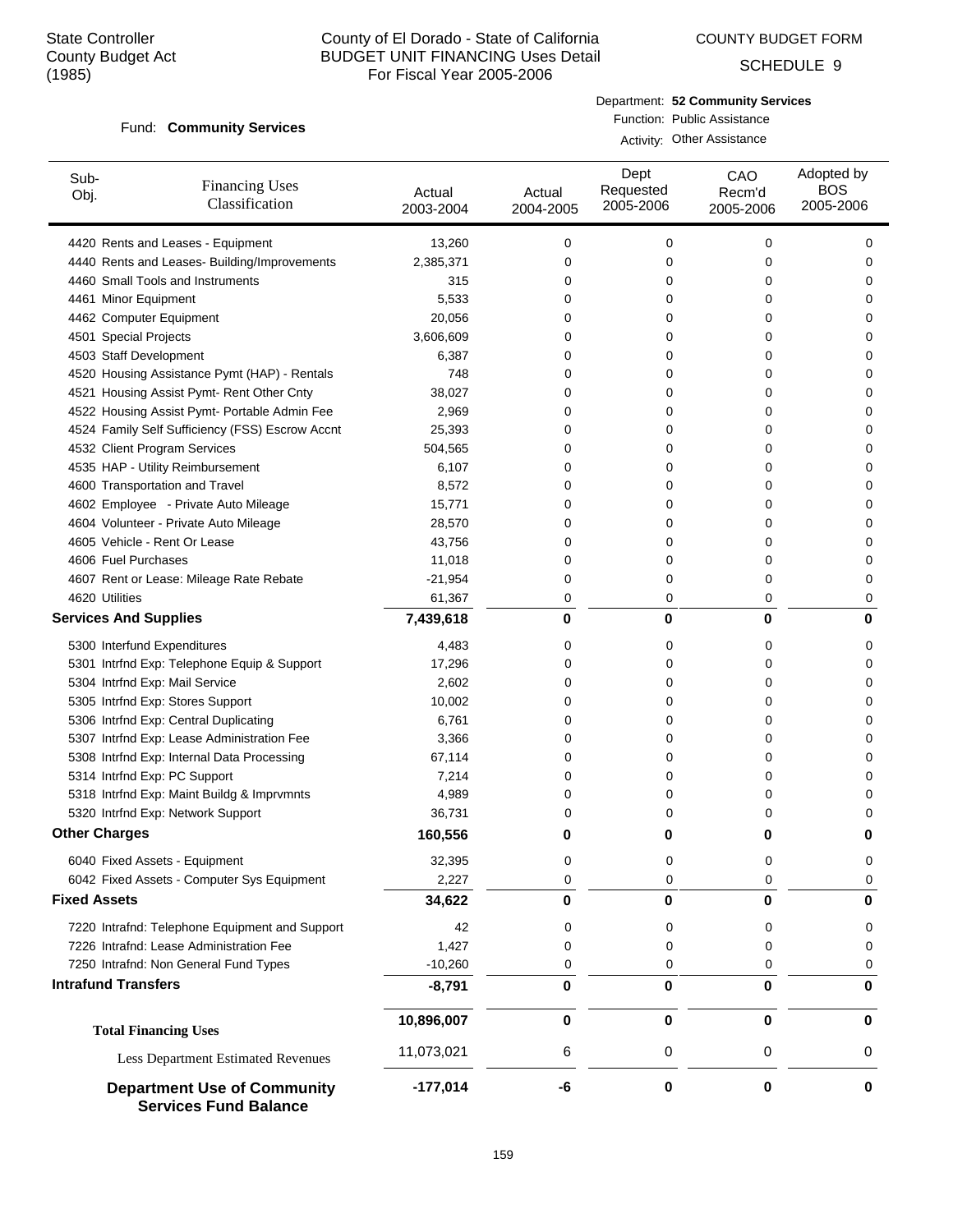COUNTY BUDGET FORM

SCHEDULE 9

#### Fund: Community Services

Department: **52 Community Services** Function: Public Assistance

Activity: Other Assistance

| Sub-<br><b>Financing Uses</b><br>Obj.<br>Classification            | Actual<br>2003-2004 | Actual<br>2004-2005 | Dept<br>Requested<br>2005-2006 | CAO<br>Recm'd<br>2005-2006 | Adopted by<br><b>BOS</b><br>2005-2006 |
|--------------------------------------------------------------------|---------------------|---------------------|--------------------------------|----------------------------|---------------------------------------|
| 4420 Rents and Leases - Equipment                                  | 13,260              | 0                   | 0                              | $\mathbf 0$                | 0                                     |
| 4440 Rents and Leases- Building/Improvements                       | 2,385,371           | 0                   | 0                              | 0                          | 0                                     |
| 4460 Small Tools and Instruments                                   | 315                 | 0                   | 0                              | 0                          | 0                                     |
| 4461 Minor Equipment                                               | 5,533               | 0                   | 0                              | 0                          | 0                                     |
| 4462 Computer Equipment                                            | 20,056              | 0                   | 0                              | 0                          | 0                                     |
| 4501 Special Projects                                              | 3,606,609           | 0                   | 0                              | 0                          | 0                                     |
| 4503 Staff Development                                             | 6,387               | 0                   | 0                              | 0                          | 0                                     |
| 4520 Housing Assistance Pymt (HAP) - Rentals                       | 748                 | 0                   | 0                              | 0                          | 0                                     |
| 4521 Housing Assist Pymt- Rent Other Cnty                          | 38,027              | 0                   | 0                              | 0                          | 0                                     |
| 4522 Housing Assist Pymt- Portable Admin Fee                       | 2,969               | 0                   | 0                              | 0                          | $\Omega$                              |
| 4524 Family Self Sufficiency (FSS) Escrow Accnt                    | 25,393              | 0                   | 0                              | 0                          | 0                                     |
| 4532 Client Program Services                                       | 504,565             | 0                   | 0                              | 0                          | 0                                     |
| 4535 HAP - Utility Reimbursement                                   | 6,107               | 0                   | 0                              | 0                          | 0                                     |
| 4600 Transportation and Travel                                     | 8,572               | 0                   | 0                              | 0                          | 0                                     |
| 4602 Employee - Private Auto Mileage                               | 15,771              | 0                   | 0                              | 0                          | 0                                     |
| 4604 Volunteer - Private Auto Mileage                              | 28,570              | 0                   | 0                              | 0                          | 0                                     |
| 4605 Vehicle - Rent Or Lease                                       | 43,756              | 0                   | 0                              | 0                          | 0                                     |
| 4606 Fuel Purchases                                                | 11,018              | 0                   | 0                              | 0                          | 0                                     |
| 4607 Rent or Lease: Mileage Rate Rebate                            | $-21,954$           | 0                   | 0                              | 0                          | 0                                     |
| 4620 Utilities                                                     | 61,367              | 0                   | 0                              | 0                          | 0                                     |
| <b>Services And Supplies</b>                                       | 7,439,618           | 0                   | 0                              | 0                          | 0                                     |
| 5300 Interfund Expenditures                                        | 4,483               | 0                   | 0                              | 0                          | 0                                     |
| 5301 Intrfnd Exp: Telephone Equip & Support                        | 17,296              | 0                   | 0                              | 0                          | 0                                     |
| 5304 Intrfnd Exp: Mail Service                                     | 2,602               | 0                   | 0                              | 0                          | 0                                     |
| 5305 Intrfnd Exp: Stores Support                                   | 10,002              | 0                   | 0                              | 0                          | 0                                     |
| 5306 Intrfnd Exp: Central Duplicating                              | 6,761               | 0                   | 0                              | 0                          | 0                                     |
| 5307 Intrfnd Exp: Lease Administration Fee                         | 3,366               | 0                   | 0                              | 0                          | 0                                     |
| 5308 Intrfnd Exp: Internal Data Processing                         | 67,114              | 0                   | 0                              | 0                          | 0                                     |
| 5314 Intrfnd Exp: PC Support                                       | 7,214               | 0                   | 0                              | 0                          | 0                                     |
| 5318 Intrfnd Exp: Maint Buildg & Imprvmnts                         | 4,989               | 0                   | 0                              | 0                          | $\Omega$                              |
| 5320 Intrfnd Exp: Network Support                                  | 36,731              | 0                   | 0                              | 0                          | 0                                     |
| <b>Other Charges</b>                                               | 160,556             | 0                   | 0                              | 0                          | 0                                     |
| 6040 Fixed Assets - Equipment                                      | 32,395              | 0                   | 0                              | 0                          | 0                                     |
| 6042 Fixed Assets - Computer Sys Equipment                         | 2,227               | 0                   | 0                              | 0                          | 0                                     |
| <b>Fixed Assets</b>                                                | 34,622              | 0                   | 0                              | 0                          | 0                                     |
| 7220 Intrafnd: Telephone Equipment and Support                     | 42                  | 0                   | 0                              | 0                          | 0                                     |
| 7226 Intrafnd: Lease Administration Fee                            | 1,427               | 0                   | 0                              | 0                          | 0                                     |
| 7250 Intrafnd: Non General Fund Types                              | $-10,260$           | 0                   | 0                              | 0                          | 0                                     |
| <b>Intrafund Transfers</b>                                         | $-8,791$            | 0                   | 0                              | 0                          | 0                                     |
| <b>Total Financing Uses</b>                                        | 10,896,007          | 0                   | 0                              | 0                          | 0                                     |
| Less Department Estimated Revenues                                 | 11,073,021          | 6                   | 0                              | 0                          | 0                                     |
| <b>Department Use of Community</b><br><b>Services Fund Balance</b> | $-177,014$          | -6                  | 0                              | 0                          | 0                                     |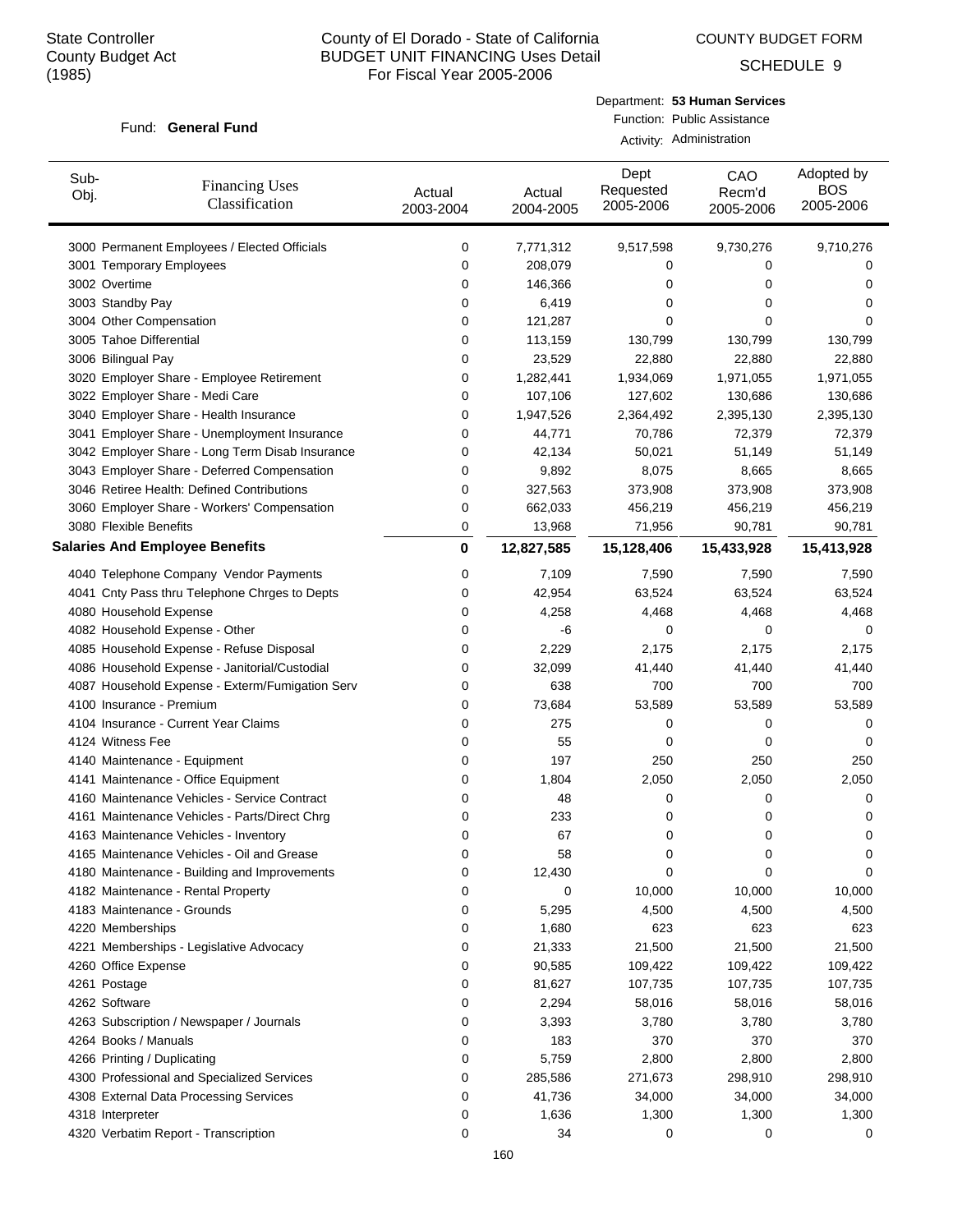COUNTY BUDGET FORM

SCHEDULE 9

#### Fund: General Fund

Department: **53 Human Services** Function: Public Assistance Activity: Administration

| Sub-<br>Obj.                | <b>Financing Uses</b><br>Classification         | Actual<br>2003-2004 | Actual<br>2004-2005 | Dept<br>Requested<br>2005-2006 | CAO<br>Recm'd<br>2005-2006 | Adopted by<br><b>BOS</b><br>2005-2006 |
|-----------------------------|-------------------------------------------------|---------------------|---------------------|--------------------------------|----------------------------|---------------------------------------|
|                             | 3000 Permanent Employees / Elected Officials    | 0                   | 7,771,312           | 9,517,598                      | 9,730,276                  | 9,710,276                             |
|                             | 3001 Temporary Employees                        | 0                   | 208,079             | 0                              | 0                          | 0                                     |
| 3002 Overtime               |                                                 | 0                   | 146,366             | 0                              | 0                          | 0                                     |
| 3003 Standby Pay            |                                                 | 0                   | 6,419               | 0                              | 0                          | 0                                     |
| 3004 Other Compensation     |                                                 | 0                   | 121,287             | 0                              | 0                          | 0                                     |
| 3005 Tahoe Differential     |                                                 | 0                   | 113,159             | 130,799                        | 130,799                    | 130,799                               |
| 3006 Bilingual Pay          |                                                 | 0                   | 23,529              | 22,880                         | 22,880                     | 22,880                                |
|                             | 3020 Employer Share - Employee Retirement       | 0                   | 1,282,441           | 1,934,069                      | 1,971,055                  | 1,971,055                             |
|                             | 3022 Employer Share - Medi Care                 | 0                   | 107,106             | 127,602                        | 130,686                    | 130,686                               |
|                             | 3040 Employer Share - Health Insurance          | 0                   | 1,947,526           | 2,364,492                      | 2,395,130                  | 2,395,130                             |
|                             | 3041 Employer Share - Unemployment Insurance    | 0                   | 44,771              | 70,786                         | 72,379                     | 72,379                                |
|                             | 3042 Employer Share - Long Term Disab Insurance | 0                   | 42,134              | 50,021                         | 51,149                     | 51,149                                |
|                             | 3043 Employer Share - Deferred Compensation     | 0                   | 9,892               | 8,075                          | 8,665                      | 8,665                                 |
|                             | 3046 Retiree Health: Defined Contributions      | 0                   | 327,563             | 373,908                        | 373,908                    | 373,908                               |
|                             | 3060 Employer Share - Workers' Compensation     | 0                   | 662,033             | 456,219                        | 456,219                    | 456,219                               |
| 3080 Flexible Benefits      |                                                 | 0                   | 13,968              | 71,956                         | 90,781                     | 90,781                                |
|                             | <b>Salaries And Employee Benefits</b>           | $\bf{0}$            | 12,827,585          | 15,128,406                     | 15,433,928                 | 15,413,928                            |
|                             | 4040 Telephone Company Vendor Payments          | 0                   | 7,109               | 7,590                          | 7,590                      | 7,590                                 |
|                             | 4041 Cnty Pass thru Telephone Chrges to Depts   | 0                   | 42,954              | 63,524                         | 63,524                     | 63,524                                |
| 4080 Household Expense      |                                                 | 0                   | 4,258               | 4,468                          | 4,468                      | 4,468                                 |
|                             | 4082 Household Expense - Other                  | 0                   | -6                  | 0                              | 0                          | 0                                     |
|                             | 4085 Household Expense - Refuse Disposal        | 0                   | 2,229               | 2,175                          | 2,175                      | 2,175                                 |
|                             | 4086 Household Expense - Janitorial/Custodial   | 0                   | 32,099              | 41,440                         | 41,440                     | 41,440                                |
|                             | 4087 Household Expense - Exterm/Fumigation Serv | 0                   | 638                 | 700                            | 700                        | 700                                   |
| 4100 Insurance - Premium    |                                                 | 0                   | 73,684              | 53,589                         | 53,589                     | 53,589                                |
|                             | 4104 Insurance - Current Year Claims            | 0                   | 275                 | 0                              | 0                          | 0                                     |
| 4124 Witness Fee            |                                                 | 0                   | 55                  | 0                              | 0                          | 0                                     |
|                             | 4140 Maintenance - Equipment                    | 0                   | 197                 | 250                            | 250                        | 250                                   |
|                             | 4141 Maintenance - Office Equipment             | 0                   | 1,804               | 2,050                          | 2,050                      | 2,050                                 |
|                             | 4160 Maintenance Vehicles - Service Contract    | 0                   | 48                  | 0                              | 0                          | 0                                     |
|                             | 4161 Maintenance Vehicles - Parts/Direct Chrg   | 0                   | 233                 | 0                              | 0                          | 0                                     |
|                             | 4163 Maintenance Vehicles - Inventory           | 0                   | 67                  | 0                              | 0                          | 0                                     |
|                             | 4165 Maintenance Vehicles - Oil and Grease      | 0                   | 58                  | 0                              | 0                          | 0                                     |
|                             | 4180 Maintenance - Building and Improvements    | 0                   | 12,430              | 0                              | 0                          | 0                                     |
|                             | 4182 Maintenance - Rental Property              | 0                   | 0                   | 10,000                         | 10,000                     | 10,000                                |
|                             | 4183 Maintenance - Grounds                      | 0                   | 5,295               | 4,500                          | 4,500                      | 4,500                                 |
| 4220 Memberships            |                                                 | 0                   | 1,680               | 623                            | 623                        | 623                                   |
|                             | 4221 Memberships - Legislative Advocacy         | 0                   | 21,333              | 21,500                         | 21,500                     | 21,500                                |
| 4260 Office Expense         |                                                 | 0                   | 90,585              | 109,422                        | 109,422                    | 109,422                               |
| 4261 Postage                |                                                 | 0                   | 81,627              | 107,735                        | 107,735                    | 107,735                               |
| 4262 Software               |                                                 | 0                   | 2,294               | 58,016                         | 58,016                     | 58,016                                |
|                             | 4263 Subscription / Newspaper / Journals        | 0                   | 3,393               | 3,780                          | 3,780                      | 3,780                                 |
| 4264 Books / Manuals        |                                                 | 0                   | 183                 | 370                            | 370                        | 370                                   |
| 4266 Printing / Duplicating |                                                 | 0                   | 5,759               | 2,800                          | 2,800                      | 2,800                                 |
|                             | 4300 Professional and Specialized Services      | 0                   | 285,586             | 271,673                        | 298,910                    | 298,910                               |
|                             | 4308 External Data Processing Services          | 0                   | 41,736              | 34,000                         | 34,000                     | 34,000                                |
| 4318 Interpreter            |                                                 | 0                   | 1,636               | 1,300                          | 1,300                      | 1,300                                 |
|                             | 4320 Verbatim Report - Transcription            | 0                   | 34                  | 0                              | 0                          | 0                                     |
|                             |                                                 |                     |                     |                                |                            |                                       |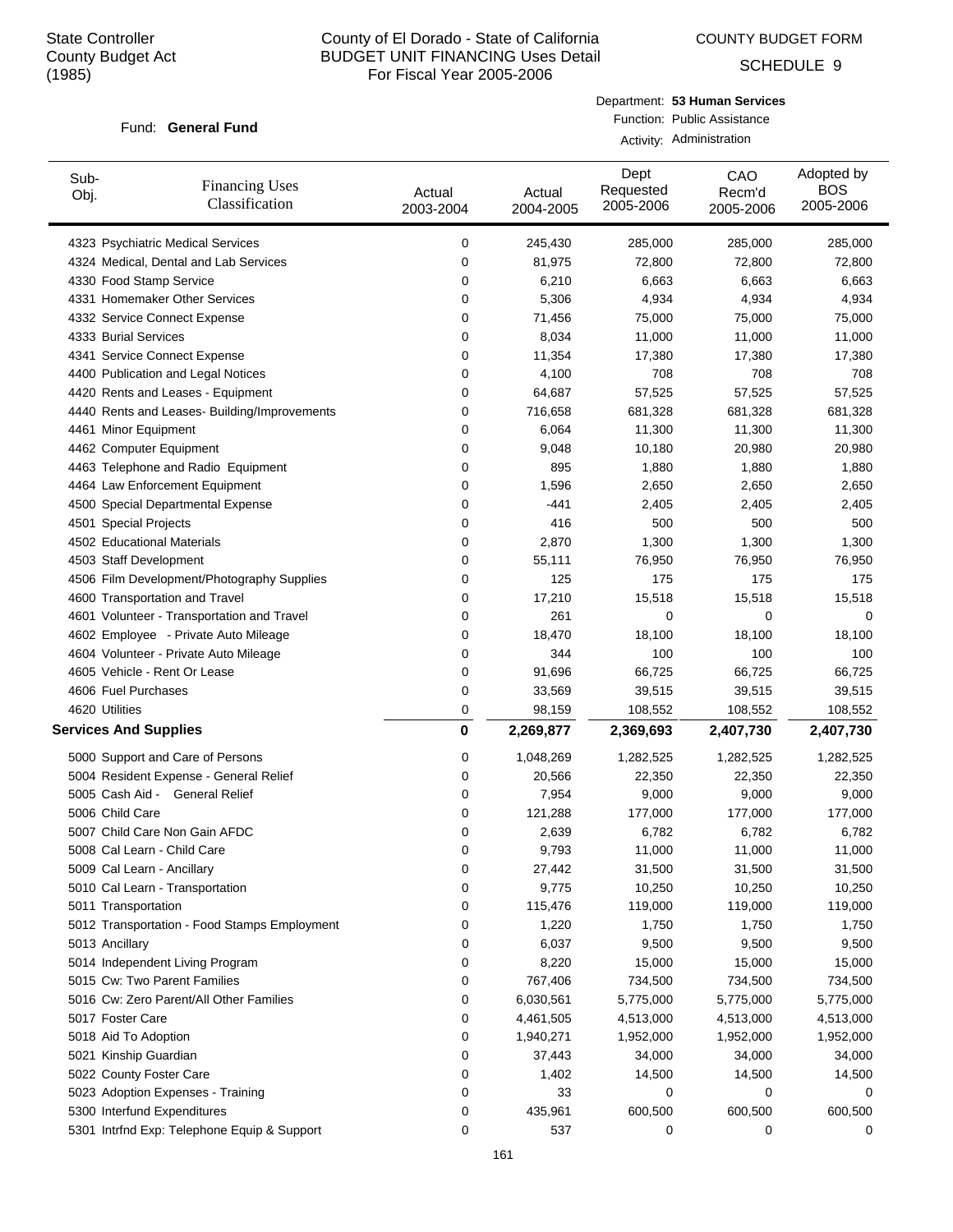COUNTY BUDGET FORM

SCHEDULE 9

#### Fund: General Fund

Department: **53 Human Services** Function: Public Assistance Activity: Administration

| Sub-<br>Obj.                 | <b>Financing Uses</b><br>Classification      | Actual<br>2003-2004 | Actual<br>2004-2005 | Dept<br>Requested<br>2005-2006 | CAO<br>Recm'd<br>2005-2006 | Adopted by<br><b>BOS</b><br>2005-2006 |
|------------------------------|----------------------------------------------|---------------------|---------------------|--------------------------------|----------------------------|---------------------------------------|
|                              | 4323 Psychiatric Medical Services            | 0                   | 245,430             | 285,000                        | 285,000                    | 285,000                               |
|                              | 4324 Medical, Dental and Lab Services        | 0                   | 81,975              | 72,800                         | 72,800                     | 72,800                                |
| 4330 Food Stamp Service      |                                              | 0                   | 6,210               | 6,663                          | 6,663                      | 6,663                                 |
|                              | 4331 Homemaker Other Services                | 0                   | 5,306               | 4,934                          | 4,934                      | 4,934                                 |
|                              | 4332 Service Connect Expense                 | 0                   | 71,456              | 75,000                         | 75,000                     | 75,000                                |
| 4333 Burial Services         |                                              | 0                   | 8,034               | 11,000                         | 11,000                     | 11,000                                |
|                              | 4341 Service Connect Expense                 | 0                   | 11,354              | 17,380                         | 17,380                     | 17,380                                |
|                              | 4400 Publication and Legal Notices           | 0                   | 4,100               | 708                            | 708                        | 708                                   |
|                              | 4420 Rents and Leases - Equipment            | 0                   | 64,687              | 57,525                         | 57,525                     | 57,525                                |
|                              | 4440 Rents and Leases- Building/Improvements | 0                   | 716,658             | 681,328                        | 681,328                    | 681,328                               |
| 4461 Minor Equipment         |                                              | 0                   | 6,064               | 11,300                         | 11,300                     | 11,300                                |
| 4462 Computer Equipment      |                                              | 0                   | 9,048               | 10,180                         | 20,980                     | 20,980                                |
|                              | 4463 Telephone and Radio Equipment           | 0                   | 895                 | 1,880                          | 1,880                      | 1,880                                 |
|                              | 4464 Law Enforcement Equipment               | 0                   | 1,596               | 2,650                          | 2,650                      | 2,650                                 |
|                              | 4500 Special Departmental Expense            | 0                   | $-441$              | 2,405                          | 2,405                      | 2,405                                 |
| 4501 Special Projects        |                                              | 0                   | 416                 | 500                            | 500                        | 500                                   |
| 4502 Educational Materials   |                                              | 0                   | 2,870               | 1,300                          | 1,300                      | 1,300                                 |
| 4503 Staff Development       |                                              | 0                   | 55,111              | 76,950                         | 76,950                     | 76,950                                |
|                              | 4506 Film Development/Photography Supplies   | 0                   | 125                 | 175                            | 175                        | 175                                   |
|                              | 4600 Transportation and Travel               | 0                   | 17,210              | 15,518                         | 15,518                     | 15,518                                |
|                              | 4601 Volunteer - Transportation and Travel   | 0                   | 261                 | 0                              | 0                          | 0                                     |
|                              | 4602 Employee - Private Auto Mileage         | 0                   | 18,470              | 18,100                         | 18,100                     | 18,100                                |
|                              | 4604 Volunteer - Private Auto Mileage        | 0                   | 344                 | 100                            | 100                        | 100                                   |
|                              | 4605 Vehicle - Rent Or Lease                 | 0                   | 91,696              | 66,725                         | 66,725                     | 66,725                                |
| 4606 Fuel Purchases          |                                              | 0                   | 33,569              | 39,515                         | 39,515                     | 39,515                                |
| 4620 Utilities               |                                              | 0                   | 98,159              | 108,552                        | 108,552                    | 108,552                               |
| <b>Services And Supplies</b> |                                              | 0                   | 2,269,877           | 2,369,693                      | 2,407,730                  | 2,407,730                             |
|                              | 5000 Support and Care of Persons             | 0                   | 1,048,269           | 1,282,525                      | 1,282,525                  | 1,282,525                             |
|                              | 5004 Resident Expense - General Relief       | 0                   | 20,566              | 22,350                         | 22,350                     | 22,350                                |
|                              | 5005 Cash Aid - General Relief               | 0                   | 7,954               | 9,000                          | 9,000                      | 9,000                                 |
| 5006 Child Care              |                                              | 0                   | 121,288             | 177,000                        | 177,000                    | 177,000                               |
|                              | 5007 Child Care Non Gain AFDC                | 0                   | 2,639               | 6,782                          | 6,782                      | 6,782                                 |
|                              |                                              | 0                   | 9,793               | 11,000                         |                            | 11,000                                |
|                              | 5008 Cal Learn - Child Care                  |                     |                     | 31,500                         | 11,000                     |                                       |
| 5009 Cal Learn - Ancillary   | 5010 Cal Learn - Transportation              | 0<br>0              | 27,442<br>9,775     | 10,250                         | 31,500<br>10,250           | 31,500<br>10,250                      |
|                              |                                              | 0                   |                     | 119,000                        | 119,000                    |                                       |
| 5011 Transportation          |                                              |                     | 115,476             |                                |                            | 119,000                               |
|                              | 5012 Transportation - Food Stamps Employment | 0                   | 1,220               | 1,750                          | 1,750                      | 1,750                                 |
| 5013 Ancillary               |                                              | 0                   | 6,037               | 9,500                          | 9,500                      | 9,500                                 |
|                              | 5014 Independent Living Program              | 0                   | 8,220               | 15,000                         | 15,000                     | 15,000                                |
|                              | 5015 Cw: Two Parent Families                 | 0                   | 767,406             | 734,500                        | 734,500                    | 734,500                               |
|                              | 5016 Cw: Zero Parent/All Other Families      | 0                   | 6,030,561           | 5,775,000                      | 5,775,000                  | 5,775,000                             |
| 5017 Foster Care             |                                              | 0                   | 4,461,505           | 4,513,000                      | 4,513,000                  | 4,513,000                             |
| 5018 Aid To Adoption         |                                              | 0                   | 1,940,271           | 1,952,000                      | 1,952,000                  | 1,952,000                             |
| 5021 Kinship Guardian        |                                              | 0                   | 37,443              | 34,000                         | 34,000                     | 34,000                                |
| 5022 County Foster Care      |                                              | 0                   | 1,402               | 14,500                         | 14,500                     | 14,500                                |
|                              | 5023 Adoption Expenses - Training            | 0                   | 33                  | 0                              | 0                          | 0                                     |
|                              | 5300 Interfund Expenditures                  | 0                   | 435,961             | 600,500                        | 600,500                    | 600,500                               |
|                              | 5301 Intrfnd Exp: Telephone Equip & Support  | 0                   | 537                 | 0                              | 0                          | 0                                     |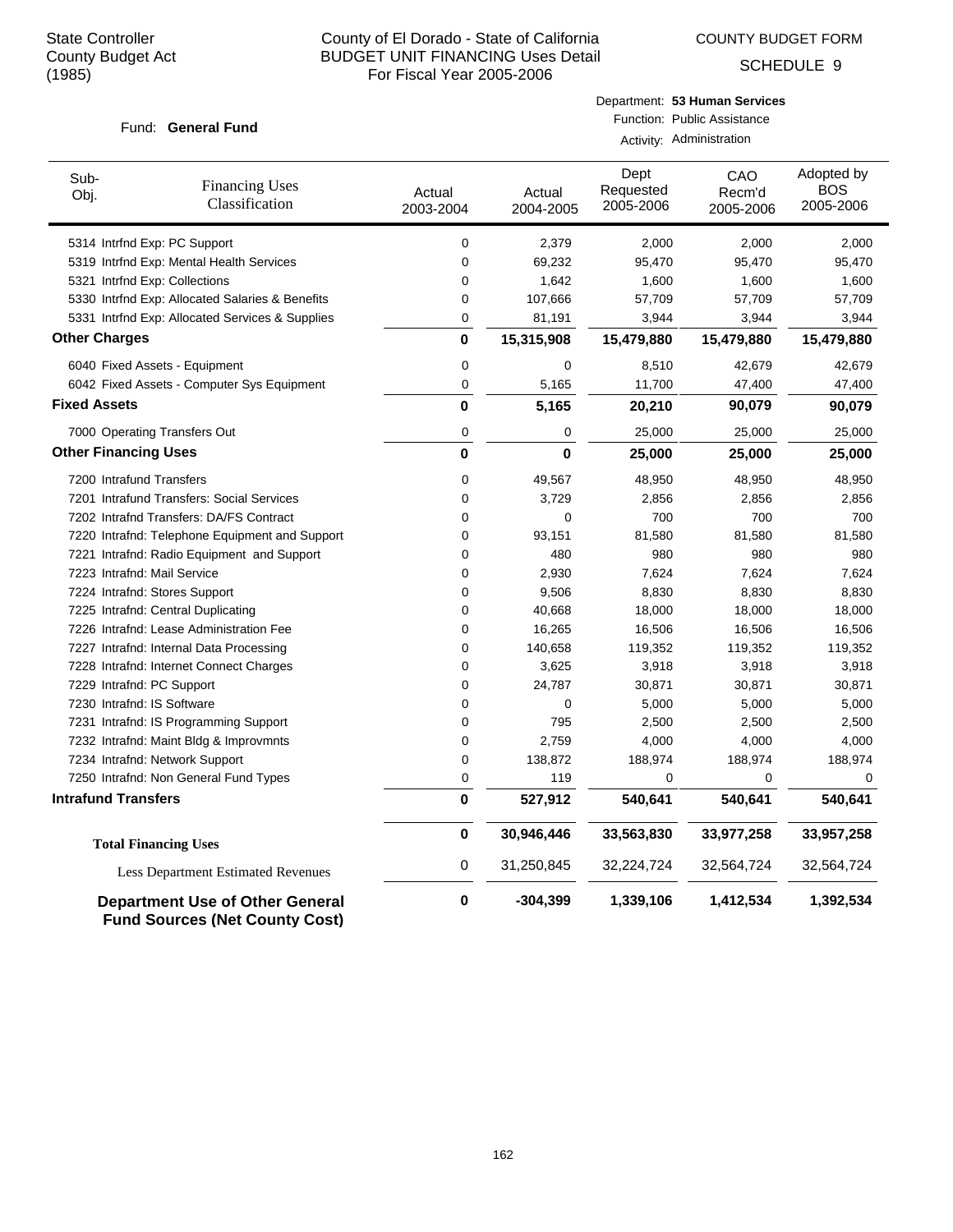COUNTY BUDGET FORM

SCHEDULE 9

#### Fund: General Fund

| Department: 53 Human Services |
|-------------------------------|
| Function: Public Assistance   |

Activity: Administration

| Sub-<br>Obj.                | <b>Financing Uses</b><br>Classification                                         | Actual<br>2003-2004 | Actual<br>2004-2005 | Dept<br>Requested<br>2005-2006 | CAO<br>Recm'd<br>2005-2006 | Adopted by<br><b>BOS</b><br>2005-2006 |
|-----------------------------|---------------------------------------------------------------------------------|---------------------|---------------------|--------------------------------|----------------------------|---------------------------------------|
|                             | 5314 Intrind Exp: PC Support                                                    | 0                   | 2,379               | 2,000                          | 2,000                      | 2,000                                 |
|                             | 5319 Intrfnd Exp: Mental Health Services                                        | $\mathbf 0$         | 69,232              | 95,470                         | 95,470                     | 95,470                                |
|                             | 5321 Intrfnd Exp: Collections                                                   | $\mathbf 0$         | 1,642               | 1,600                          | 1,600                      | 1,600                                 |
|                             | 5330 Intrfnd Exp: Allocated Salaries & Benefits                                 | $\mathbf 0$         | 107,666             | 57,709                         | 57,709                     | 57,709                                |
|                             | 5331 Intrind Exp: Allocated Services & Supplies                                 | 0                   | 81,191              | 3,944                          | 3,944                      | 3,944                                 |
| <b>Other Charges</b>        |                                                                                 | 0                   | 15,315,908          | 15,479,880                     | 15,479,880                 | 15,479,880                            |
|                             | 6040 Fixed Assets - Equipment                                                   | 0                   | 0                   | 8,510                          | 42,679                     | 42,679                                |
|                             | 6042 Fixed Assets - Computer Sys Equipment                                      | 0                   | 5,165               | 11,700                         | 47,400                     | 47,400                                |
| <b>Fixed Assets</b>         |                                                                                 | $\mathbf 0$         | 5,165               | 20,210                         | 90,079                     | 90,079                                |
|                             | 7000 Operating Transfers Out                                                    | 0                   | 0                   | 25,000                         | 25,000                     | 25,000                                |
| <b>Other Financing Uses</b> |                                                                                 | 0                   | 0                   | 25,000                         | 25,000                     | 25,000                                |
| 7200 Intrafund Transfers    |                                                                                 | 0                   | 49,567              | 48,950                         | 48,950                     | 48,950                                |
|                             | 7201 Intrafund Transfers: Social Services                                       | $\mathbf 0$         | 3,729               | 2,856                          | 2,856                      | 2,856                                 |
|                             | 7202 Intrafnd Transfers: DA/FS Contract                                         | 0                   | $\mathbf 0$         | 700                            | 700                        | 700                                   |
|                             | 7220 Intrafnd: Telephone Equipment and Support                                  | 0                   | 93,151              | 81,580                         | 81,580                     | 81,580                                |
|                             | 7221 Intrafnd: Radio Equipment and Support                                      | 0                   | 480                 | 980                            | 980                        | 980                                   |
| 7223 Intrafnd: Mail Service |                                                                                 | $\mathbf 0$         | 2,930               | 7,624                          | 7,624                      | 7,624                                 |
|                             | 7224 Intrafnd: Stores Support                                                   | 0                   | 9,506               | 8,830                          | 8,830                      | 8,830                                 |
|                             | 7225 Intrafnd: Central Duplicating                                              | $\mathbf 0$         | 40,668              | 18,000                         | 18,000                     | 18,000                                |
|                             | 7226 Intrafnd: Lease Administration Fee                                         | $\mathbf 0$         | 16,265              | 16,506                         | 16,506                     | 16,506                                |
|                             | 7227 Intrafnd: Internal Data Processing                                         | $\mathbf 0$         | 140,658             | 119,352                        | 119,352                    | 119,352                               |
|                             | 7228 Intrafnd: Internet Connect Charges                                         | 0                   | 3,625               | 3,918                          | 3,918                      | 3,918                                 |
| 7229 Intrafnd: PC Support   |                                                                                 | 0                   | 24,787              | 30,871                         | 30,871                     | 30,871                                |
| 7230 Intrafnd: IS Software  |                                                                                 | $\mathbf 0$         | 0                   | 5,000                          | 5,000                      | 5,000                                 |
|                             | 7231 Intrafnd: IS Programming Support                                           | 0                   | 795                 | 2,500                          | 2,500                      | 2,500                                 |
|                             | 7232 Intrafnd: Maint Bldg & Improvmnts                                          | $\mathbf 0$         | 2,759               | 4,000                          | 4,000                      | 4,000                                 |
|                             | 7234 Intrafnd: Network Support                                                  | $\mathbf 0$         | 138,872             | 188,974                        | 188,974                    | 188,974                               |
|                             | 7250 Intrafnd: Non General Fund Types                                           | 0                   | 119                 | 0                              | 0                          | 0                                     |
| <b>Intrafund Transfers</b>  |                                                                                 | 0                   | 527,912             | 540,641                        | 540,641                    | 540,641                               |
|                             | <b>Total Financing Uses</b>                                                     | 0                   | 30,946,446          | 33,563,830                     | 33,977,258                 | 33,957,258                            |
|                             | <b>Less Department Estimated Revenues</b>                                       | 0                   | 31,250,845          | 32,224,724                     | 32,564,724                 | 32,564,724                            |
|                             | <b>Department Use of Other General</b><br><b>Fund Sources (Net County Cost)</b> | 0                   | $-304,399$          | 1,339,106                      | 1,412,534                  | 1,392,534                             |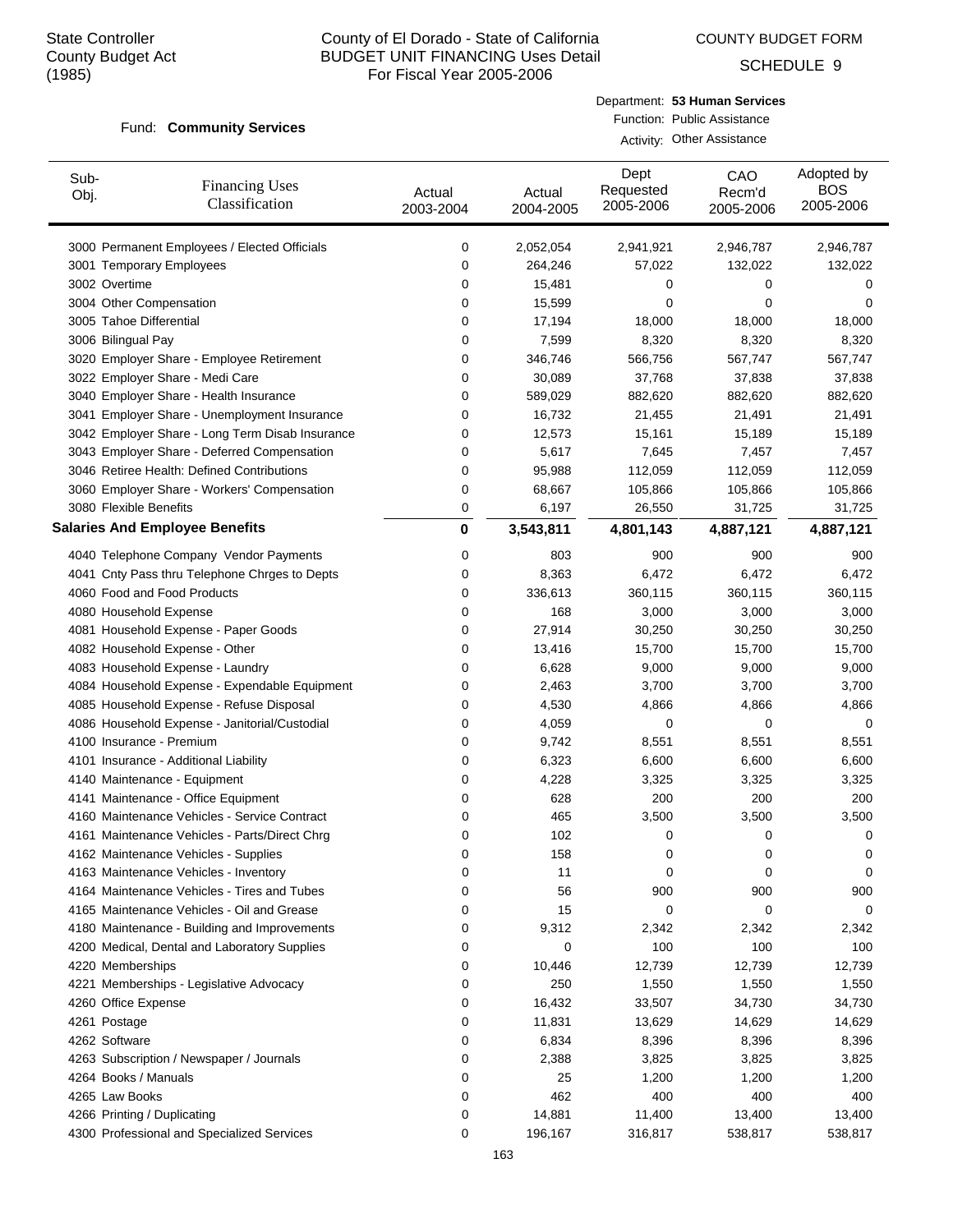COUNTY BUDGET FORM

SCHEDULE 9

#### Fund: Community Services

| Department: 53 Human Services |
|-------------------------------|
| Function: Public Assistance   |

Activity: Other Assistance

| Sub-<br>Obj. | <b>Financing Uses</b><br>Classification                                              | Actual<br>2003-2004 | Actual<br>2004-2005 | Dept<br>Requested<br>2005-2006 | CAO<br>Recm'd<br>2005-2006 | Adopted by<br><b>BOS</b><br>2005-2006 |
|--------------|--------------------------------------------------------------------------------------|---------------------|---------------------|--------------------------------|----------------------------|---------------------------------------|
|              | 3000 Permanent Employees / Elected Officials                                         | 0                   | 2,052,054           | 2,941,921                      | 2,946,787                  | 2,946,787                             |
|              | 3001 Temporary Employees                                                             | 0                   | 264,246             | 57,022                         | 132,022                    | 132,022                               |
|              | 3002 Overtime                                                                        | 0                   | 15,481              | 0                              | 0                          | 0                                     |
|              | 3004 Other Compensation                                                              | 0                   | 15,599              | 0                              | 0                          | 0                                     |
|              | 3005 Tahoe Differential                                                              | 0                   | 17,194              | 18,000                         | 18,000                     | 18,000                                |
|              | 3006 Bilingual Pay                                                                   | 0                   | 7,599               | 8,320                          | 8,320                      | 8,320                                 |
|              | 3020 Employer Share - Employee Retirement                                            | 0                   | 346,746             | 566,756                        | 567,747                    | 567,747                               |
|              | 3022 Employer Share - Medi Care                                                      | 0                   | 30,089              | 37,768                         | 37,838                     | 37,838                                |
|              | 3040 Employer Share - Health Insurance                                               | 0                   | 589,029             | 882,620                        | 882,620                    | 882,620                               |
|              | 3041 Employer Share - Unemployment Insurance                                         | 0                   | 16,732              | 21,455                         | 21,491                     | 21,491                                |
|              | 3042 Employer Share - Long Term Disab Insurance                                      | 0                   | 12,573              | 15,161                         | 15,189                     | 15,189                                |
|              | 3043 Employer Share - Deferred Compensation                                          | 0                   | 5,617               | 7,645                          | 7,457                      | 7,457                                 |
|              | 3046 Retiree Health: Defined Contributions                                           | 0                   | 95,988              | 112,059                        | 112,059                    | 112,059                               |
|              | 3060 Employer Share - Workers' Compensation                                          | 0                   | 68,667              | 105,866                        | 105,866                    | 105,866                               |
|              | 3080 Flexible Benefits                                                               | 0                   | 6,197               | 26,550                         | 31,725                     | 31,725                                |
|              | <b>Salaries And Employee Benefits</b>                                                | 0                   | 3,543,811           | 4,801,143                      | 4,887,121                  | 4,887,121                             |
|              | 4040 Telephone Company Vendor Payments                                               | 0                   | 803                 | 900                            | 900                        | 900                                   |
|              | 4041 Cnty Pass thru Telephone Chrges to Depts                                        | 0                   | 8,363               | 6,472                          | 6,472                      | 6,472                                 |
|              | 4060 Food and Food Products                                                          | 0                   | 336,613             | 360,115                        | 360,115                    | 360,115                               |
|              | 4080 Household Expense                                                               | 0                   | 168                 | 3,000                          | 3,000                      | 3,000                                 |
|              | 4081 Household Expense - Paper Goods                                                 | 0                   | 27,914              | 30,250                         | 30,250                     | 30,250                                |
|              | 4082 Household Expense - Other                                                       | 0                   | 13,416              | 15,700                         | 15,700                     | 15,700                                |
|              | 4083 Household Expense - Laundry                                                     | 0                   | 6,628               | 9,000                          | 9,000                      | 9,000                                 |
|              | 4084 Household Expense - Expendable Equipment                                        | 0                   | 2,463               | 3,700                          | 3,700                      | 3,700                                 |
|              | 4085 Household Expense - Refuse Disposal                                             | 0                   | 4,530               | 4,866                          | 4,866                      | 4,866                                 |
|              | 4086 Household Expense - Janitorial/Custodial                                        | 0                   | 4,059               | 0                              | 0                          | 0                                     |
|              | 4100 Insurance - Premium                                                             | 0                   | 9,742               | 8,551                          | 8,551                      | 8,551                                 |
|              | 4101 Insurance - Additional Liability                                                | 0                   | 6,323               | 6,600                          | 6,600                      | 6,600                                 |
|              | 4140 Maintenance - Equipment                                                         | 0                   | 4,228               | 3,325                          | 3,325                      | 3,325                                 |
|              | 4141 Maintenance - Office Equipment                                                  | 0                   | 628                 | 200                            | 200                        | 200                                   |
|              | 4160 Maintenance Vehicles - Service Contract                                         | 0                   | 465                 | 3,500                          | 3,500                      | 3,500                                 |
|              | 4161 Maintenance Vehicles - Parts/Direct Chrg                                        | 0                   | 102                 |                                | 0                          | 0                                     |
|              | 4162 Maintenance Vehicles - Supplies                                                 | 0                   | 158                 | 0<br>0                         | 0                          | 0                                     |
|              |                                                                                      | 0                   |                     | 0                              | 0                          | 0                                     |
|              | 4163 Maintenance Vehicles - Inventory<br>4164 Maintenance Vehicles - Tires and Tubes | 0                   | 11<br>56            | 900                            | 900                        | 900                                   |
|              | 4165 Maintenance Vehicles - Oil and Grease                                           | 0                   | 15                  | 0                              | 0                          | 0                                     |
|              | 4180 Maintenance - Building and Improvements                                         | 0                   | 9,312               | 2,342                          | 2,342                      | 2,342                                 |
|              | 4200 Medical, Dental and Laboratory Supplies                                         | 0                   | 0                   | 100                            | 100                        | 100                                   |
|              |                                                                                      |                     |                     |                                |                            |                                       |
|              | 4220 Memberships                                                                     | 0                   | 10,446              | 12,739                         | 12,739                     | 12,739                                |
|              | 4221 Memberships - Legislative Advocacy                                              | 0                   | 250                 | 1,550                          | 1,550                      | 1,550                                 |
|              | 4260 Office Expense                                                                  | 0                   | 16,432              | 33,507                         | 34,730                     | 34,730                                |
|              | 4261 Postage                                                                         | 0                   | 11,831              | 13,629                         | 14,629                     | 14,629                                |
|              | 4262 Software                                                                        | 0                   | 6,834               | 8,396                          | 8,396                      | 8,396                                 |
|              | 4263 Subscription / Newspaper / Journals                                             | 0                   | 2,388               | 3,825                          | 3,825                      | 3,825                                 |
|              | 4264 Books / Manuals                                                                 | 0                   | 25                  | 1,200                          | 1,200                      | 1,200                                 |
|              | 4265 Law Books                                                                       | 0                   | 462                 | 400                            | 400                        | 400                                   |
|              | 4266 Printing / Duplicating                                                          | 0                   | 14,881              | 11,400                         | 13,400                     | 13,400                                |
|              | 4300 Professional and Specialized Services                                           | 0                   | 196,167             | 316,817                        | 538,817                    | 538,817                               |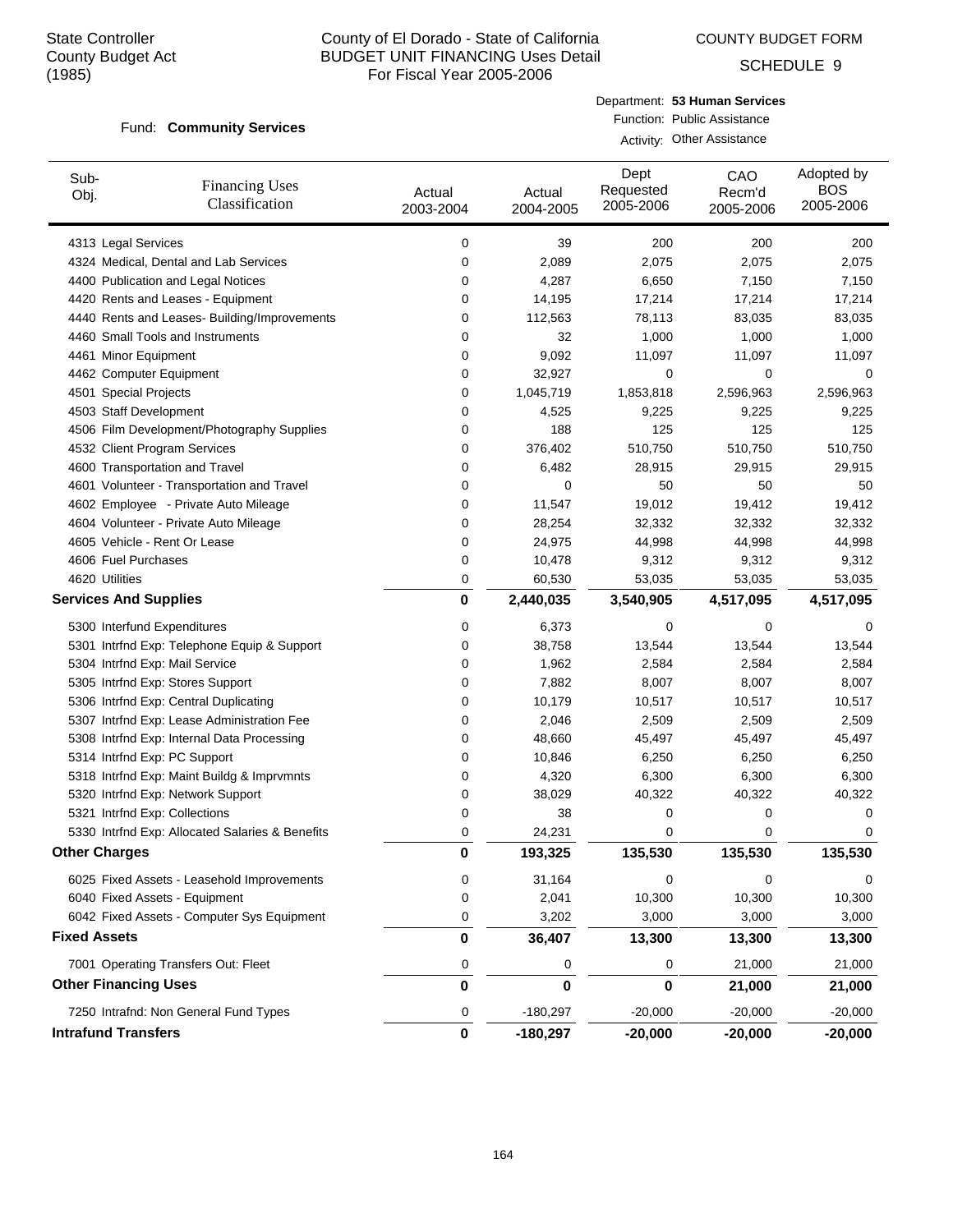COUNTY BUDGET FORM

SCHEDULE 9

#### Fund: Community Services

| Department: 53 Human Services |
|-------------------------------|
| Function: Public Assistance   |

Activity: Other Assistance

| Sub-<br>Obj.        | <b>Financing Uses</b><br>Classification         | Actual<br>2003-2004 | Actual<br>2004-2005 | Dept<br>Requested<br>2005-2006 | CAO<br>Recm'd<br>2005-2006 | Adopted by<br><b>BOS</b><br>2005-2006 |
|---------------------|-------------------------------------------------|---------------------|---------------------|--------------------------------|----------------------------|---------------------------------------|
|                     | 4313 Legal Services                             | 0                   | 39                  | 200                            | 200                        | 200                                   |
|                     | 4324 Medical, Dental and Lab Services           | 0                   | 2,089               | 2,075                          | 2,075                      | 2,075                                 |
|                     | 4400 Publication and Legal Notices              | 0                   | 4,287               | 6,650                          | 7,150                      | 7,150                                 |
|                     | 4420 Rents and Leases - Equipment               | 0                   | 14,195              | 17,214                         | 17,214                     | 17,214                                |
|                     | 4440 Rents and Leases- Building/Improvements    | 0                   | 112,563             | 78,113                         | 83,035                     | 83,035                                |
|                     | 4460 Small Tools and Instruments                | 0                   | 32                  | 1,000                          | 1,000                      | 1,000                                 |
|                     | 4461 Minor Equipment                            | 0                   | 9,092               | 11,097                         | 11,097                     | 11,097                                |
|                     | 4462 Computer Equipment                         | 0                   | 32,927              | 0                              | 0                          | 0                                     |
|                     | 4501 Special Projects                           | 0                   | 1,045,719           | 1,853,818                      | 2,596,963                  | 2,596,963                             |
|                     | 4503 Staff Development                          | 0                   | 4,525               | 9,225                          | 9,225                      | 9,225                                 |
|                     | 4506 Film Development/Photography Supplies      | 0                   | 188                 | 125                            | 125                        | 125                                   |
|                     | 4532 Client Program Services                    | 0                   | 376,402             | 510,750                        | 510,750                    | 510,750                               |
|                     | 4600 Transportation and Travel                  | 0                   | 6,482               | 28,915                         | 29,915                     | 29,915                                |
|                     | 4601 Volunteer - Transportation and Travel      | 0                   | 0                   | 50                             | 50                         | 50                                    |
|                     | 4602 Employee - Private Auto Mileage            | 0                   | 11,547              | 19,012                         | 19,412                     | 19,412                                |
|                     | 4604 Volunteer - Private Auto Mileage           | 0                   | 28,254              | 32,332                         | 32,332                     | 32,332                                |
|                     | 4605 Vehicle - Rent Or Lease                    | 0                   | 24,975              | 44,998                         | 44,998                     | 44,998                                |
|                     | 4606 Fuel Purchases                             | 0                   | 10,478              | 9,312                          | 9,312                      | 9,312                                 |
|                     | 4620 Utilities                                  | 0                   | 60,530              | 53,035                         | 53,035                     | 53,035                                |
|                     | <b>Services And Supplies</b>                    | 0                   | 2,440,035           | 3,540,905                      | 4,517,095                  | 4,517,095                             |
|                     | 5300 Interfund Expenditures                     | 0                   | 6,373               | 0                              | 0                          | 0                                     |
|                     | 5301 Intrfnd Exp: Telephone Equip & Support     | 0                   | 38,758              | 13,544                         | 13,544                     | 13,544                                |
|                     | 5304 Intrfnd Exp: Mail Service                  | 0                   | 1,962               | 2,584                          | 2,584                      | 2,584                                 |
|                     | 5305 Intrfnd Exp: Stores Support                | 0                   | 7,882               | 8,007                          | 8,007                      | 8,007                                 |
|                     | 5306 Intrfnd Exp: Central Duplicating           | 0                   | 10,179              | 10,517                         | 10,517                     | 10,517                                |
|                     | 5307 Intrfnd Exp: Lease Administration Fee      | 0                   | 2,046               | 2,509                          | 2,509                      | 2,509                                 |
|                     | 5308 Intrfnd Exp: Internal Data Processing      | 0                   | 48,660              | 45,497                         | 45,497                     | 45,497                                |
|                     | 5314 Intrfnd Exp: PC Support                    | 0                   | 10,846              | 6,250                          | 6,250                      | 6,250                                 |
|                     | 5318 Intrfnd Exp: Maint Buildg & Imprvmnts      | 0                   | 4,320               | 6,300                          | 6,300                      | 6,300                                 |
|                     | 5320 Intrfnd Exp: Network Support               | 0                   | 38,029              | 40,322                         | 40,322                     | 40,322                                |
|                     | 5321 Intrfnd Exp: Collections                   | 0                   | 38                  | 0                              | 0                          | 0                                     |
|                     | 5330 Intrfnd Exp: Allocated Salaries & Benefits | 0                   | 24,231              | 0                              | $\mathbf 0$                | 0                                     |
|                     | <b>Other Charges</b>                            | 0                   | 193,325             | 135,530                        | 135,530                    | 135,530                               |
|                     | 6025 Fixed Assets - Leasehold Improvements      | 0                   | 31,164              | 0                              | $\mathbf 0$                | 0                                     |
|                     | 6040 Fixed Assets - Equipment                   | 0                   | 2,041               | 10,300                         | 10,300                     | 10,300                                |
|                     | 6042 Fixed Assets - Computer Sys Equipment      | 0                   | 3,202               | 3,000                          | 3,000                      | 3,000                                 |
| <b>Fixed Assets</b> |                                                 | 0                   | 36,407              | 13,300                         | 13,300                     | 13,300                                |
|                     | 7001 Operating Transfers Out: Fleet             | 0                   | 0                   | 0                              | 21,000                     | 21,000                                |
|                     | <b>Other Financing Uses</b>                     | 0                   | 0                   | 0                              | 21,000                     | 21,000                                |
|                     | 7250 Intrafnd: Non General Fund Types           | 0                   | $-180,297$          | $-20,000$                      | $-20,000$                  | $-20,000$                             |
|                     | <b>Intrafund Transfers</b>                      | 0                   | $-180,297$          | $-20,000$                      | $-20,000$                  | $-20,000$                             |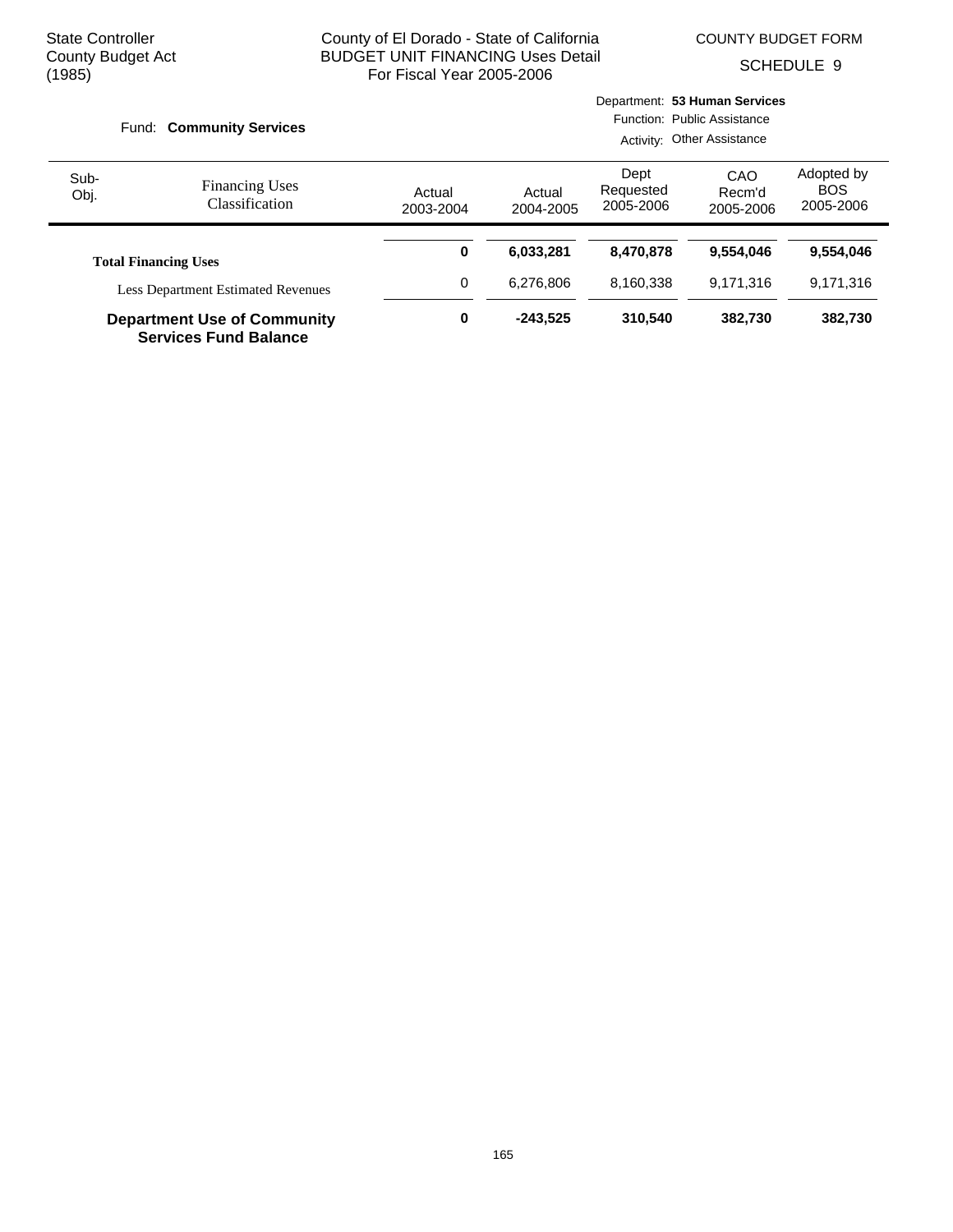COUNTY BUDGET FORM

SCHEDULE 9

|                                                                    | Fund: Community Services                                                 |                     |                     |                                | Department: 53 Human Services<br>Function: Public Assistance<br>Activity: Other Assistance |                                       |
|--------------------------------------------------------------------|--------------------------------------------------------------------------|---------------------|---------------------|--------------------------------|--------------------------------------------------------------------------------------------|---------------------------------------|
| Sub-<br>Obj.                                                       | <b>Financing Uses</b><br><b>Classification</b>                           | Actual<br>2003-2004 | Actual<br>2004-2005 | Dept<br>Requested<br>2005-2006 | CAO<br>Recm'd<br>2005-2006                                                                 | Adopted by<br><b>BOS</b><br>2005-2006 |
|                                                                    | <b>Total Financing Uses</b><br><b>Less Department Estimated Revenues</b> |                     | 6,033,281           | 8,470,878                      | 9.554.046                                                                                  | 9,554,046                             |
|                                                                    |                                                                          |                     | 6.276.806           | 8,160,338                      | 9.171.316                                                                                  | 9,171,316                             |
| <b>Department Use of Community</b><br><b>Services Fund Balance</b> |                                                                          | 0                   | $-243.525$          | 310.540                        | 382.730                                                                                    | 382,730                               |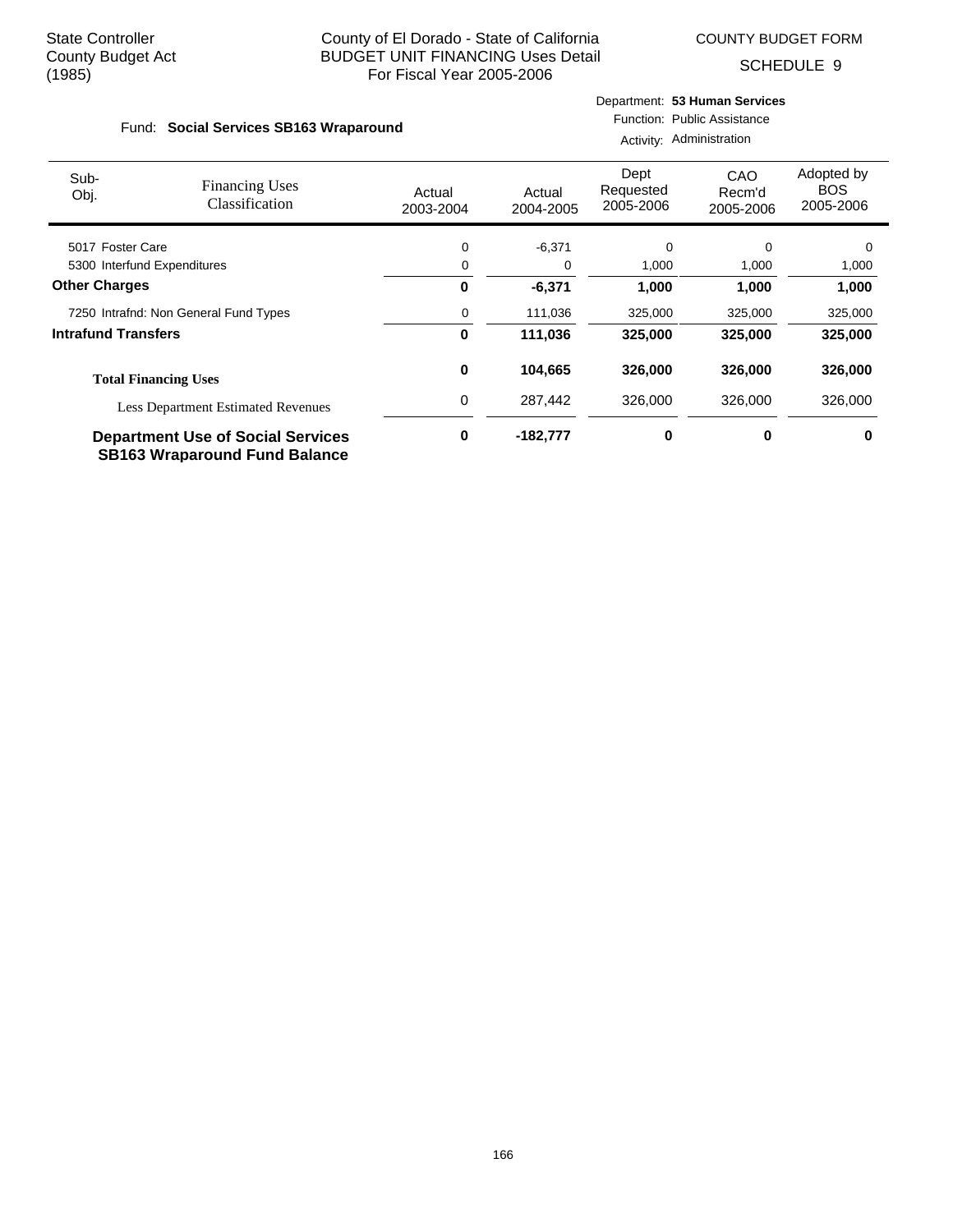COUNTY BUDGET FORM

Department: **53 Human Services**

SCHEDULE 9

#### Fund: Social Services SB163 Wraparound Function: Public Assistance Activity: Administration

| Sub-                                                | <b>Financing Uses</b>                                                            | Actual    | Actual     | Dept<br>Requested | CAO<br>Recm'd | Adopted by<br><b>BOS</b> |
|-----------------------------------------------------|----------------------------------------------------------------------------------|-----------|------------|-------------------|---------------|--------------------------|
| Obj.                                                | Classification                                                                   | 2003-2004 | 2004-2005  | 2005-2006         | 2005-2006     | 2005-2006                |
| 5017 Foster Care                                    |                                                                                  | 0         | $-6,371$   | $\Omega$          | $\Omega$      | $\Omega$                 |
| 5300 Interfund Expenditures<br><b>Other Charges</b> |                                                                                  | 0         | 0          | 1,000             | 1,000         | 1,000                    |
|                                                     |                                                                                  | 0         | $-6,371$   | 1,000             | 1,000         | 1,000                    |
| 7250 Intrafnd: Non General Fund Types               |                                                                                  | 0         | 111,036    | 325,000           | 325,000       | 325,000                  |
| <b>Intrafund Transfers</b>                          |                                                                                  | 0         | 111,036    | 325,000           | 325,000       | 325,000                  |
|                                                     | <b>Total Financing Uses</b>                                                      | 0         | 104,665    | 326.000           | 326,000       | 326,000                  |
|                                                     | <b>Less Department Estimated Revenues</b>                                        | 0         | 287.442    | 326,000           | 326,000       | 326,000                  |
|                                                     | <b>Department Use of Social Services</b><br><b>SB163 Wraparound Fund Balance</b> | 0         | $-182,777$ | 0                 | 0             | 0                        |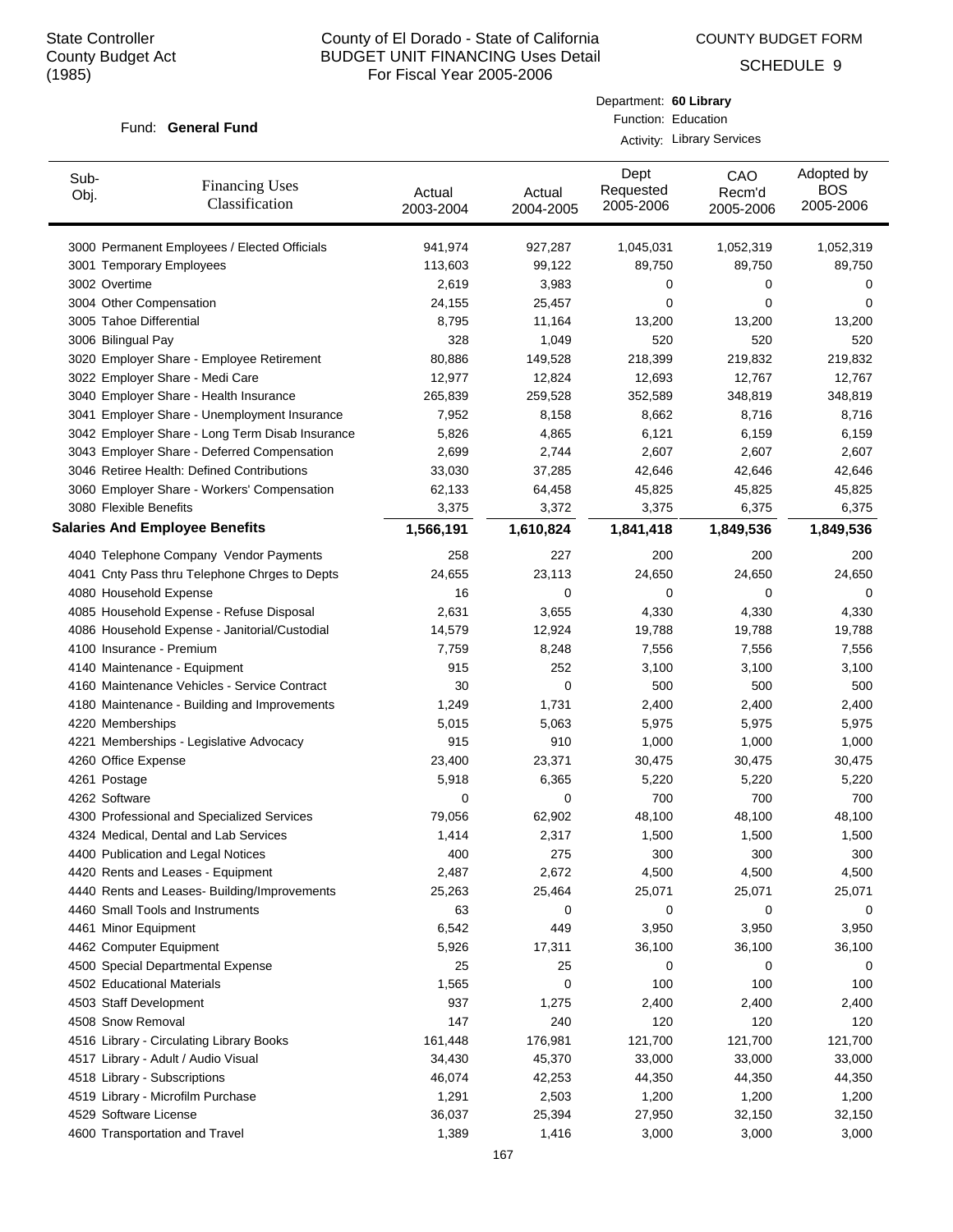COUNTY BUDGET FORM

Department: **60 Library** Function: Education Activity: Library Services

SCHEDULE 9

#### Fund: General Fund

| Sub-<br>Obj. | <b>Financing Uses</b><br>Classification         | Actual<br>2003-2004 | Actual<br>2004-2005 | Dept<br>Requested<br>2005-2006 | CAO<br>Recm'd<br>2005-2006 | Adopted by<br><b>BOS</b><br>2005-2006 |
|--------------|-------------------------------------------------|---------------------|---------------------|--------------------------------|----------------------------|---------------------------------------|
|              | 3000 Permanent Employees / Elected Officials    | 941,974             | 927,287             | 1,045,031                      | 1,052,319                  | 1,052,319                             |
|              | 3001 Temporary Employees                        | 113,603             | 99,122              | 89,750                         | 89,750                     | 89,750                                |
|              | 3002 Overtime                                   | 2,619               | 3,983               | 0                              | 0                          | 0                                     |
|              | 3004 Other Compensation                         | 24,155              | 25,457              | 0                              | 0                          | 0                                     |
|              | 3005 Tahoe Differential                         | 8,795               | 11,164              | 13,200                         | 13,200                     | 13,200                                |
|              | 3006 Bilingual Pay                              | 328                 | 1,049               | 520                            | 520                        | 520                                   |
|              | 3020 Employer Share - Employee Retirement       | 80.886              | 149,528             | 218,399                        | 219,832                    | 219,832                               |
|              | 3022 Employer Share - Medi Care                 | 12,977              | 12,824              | 12,693                         | 12,767                     | 12,767                                |
|              | 3040 Employer Share - Health Insurance          | 265,839             | 259,528             | 352,589                        | 348,819                    | 348,819                               |
|              | 3041 Employer Share - Unemployment Insurance    | 7,952               | 8,158               | 8,662                          | 8,716                      | 8,716                                 |
|              | 3042 Employer Share - Long Term Disab Insurance | 5,826               | 4,865               | 6,121                          | 6,159                      | 6,159                                 |
|              | 3043 Employer Share - Deferred Compensation     | 2,699               | 2,744               | 2,607                          | 2,607                      | 2,607                                 |
|              | 3046 Retiree Health: Defined Contributions      | 33,030              | 37,285              | 42,646                         | 42,646                     | 42,646                                |
|              | 3060 Employer Share - Workers' Compensation     | 62,133              | 64,458              | 45,825                         | 45,825                     | 45,825                                |
|              | 3080 Flexible Benefits                          | 3,375               | 3,372               | 3,375                          | 6,375                      | 6,375                                 |
|              | <b>Salaries And Employee Benefits</b>           | 1,566,191           | 1,610,824           | 1,841,418                      | 1,849,536                  | 1,849,536                             |
|              | 4040 Telephone Company Vendor Payments          | 258                 | 227                 | 200                            | 200                        | 200                                   |
|              | 4041 Cnty Pass thru Telephone Chrges to Depts   | 24,655              | 23,113              | 24,650                         | 24,650                     | 24,650                                |
|              | 4080 Household Expense                          | 16                  | 0                   | 0                              | 0                          | 0                                     |
|              | 4085 Household Expense - Refuse Disposal        | 2,631               | 3,655               | 4,330                          | 4,330                      | 4,330                                 |
|              | 4086 Household Expense - Janitorial/Custodial   | 14,579              | 12,924              | 19,788                         | 19,788                     | 19,788                                |
|              | 4100 Insurance - Premium                        | 7,759               | 8,248               | 7,556                          | 7,556                      | 7,556                                 |
|              | 4140 Maintenance - Equipment                    | 915                 | 252                 | 3,100                          | 3,100                      | 3,100                                 |
|              | 4160 Maintenance Vehicles - Service Contract    | 30                  | 0                   | 500                            | 500                        | 500                                   |
|              | 4180 Maintenance - Building and Improvements    | 1,249               | 1,731               | 2,400                          | 2,400                      | 2,400                                 |
|              | 4220 Memberships                                | 5,015               | 5,063               | 5,975                          | 5,975                      | 5,975                                 |
|              | 4221 Memberships - Legislative Advocacy         | 915                 | 910                 | 1,000                          | 1,000                      | 1,000                                 |
|              | 4260 Office Expense                             | 23,400              | 23,371              | 30,475                         | 30,475                     | 30,475                                |
|              | 4261 Postage                                    | 5,918               | 6,365               | 5,220                          | 5,220                      | 5,220                                 |
|              | 4262 Software                                   | 0                   | 0                   | 700                            | 700                        | 700                                   |
|              | 4300 Professional and Specialized Services      | 79,056              | 62,902              | 48,100                         | 48,100                     | 48,100                                |
|              | 4324 Medical, Dental and Lab Services           | 1,414               | 2,317               | 1,500                          | 1,500                      | 1,500                                 |
|              | 4400 Publication and Legal Notices              | 400                 | 275                 | 300                            | 300                        | 300                                   |
|              | 4420 Rents and Leases - Equipment               | 2,487               | 2,672               | 4,500                          | 4,500                      | 4,500                                 |
|              | 4440 Rents and Leases- Building/Improvements    | 25,263              | 25,464              | 25,071                         | 25,071                     | 25,071                                |
|              | 4460 Small Tools and Instruments                | 63                  | 0                   | 0                              | 0                          | 0                                     |
|              | 4461 Minor Equipment                            | 6,542               | 449                 | 3,950                          | 3,950                      | 3,950                                 |
|              | 4462 Computer Equipment                         | 5,926               | 17,311              | 36,100                         | 36,100                     | 36,100                                |
|              | 4500 Special Departmental Expense               | 25                  | 25                  | 0                              | 0                          | 0                                     |
|              | 4502 Educational Materials                      | 1,565               | 0                   | 100                            | 100                        | 100                                   |
|              | 4503 Staff Development                          | 937                 | 1,275               | 2,400                          | 2,400                      | 2,400                                 |
|              | 4508 Snow Removal                               | 147                 | 240                 | 120                            | 120                        | 120                                   |
|              | 4516 Library - Circulating Library Books        | 161,448             | 176,981             | 121,700                        | 121,700                    | 121,700                               |
|              | 4517 Library - Adult / Audio Visual             | 34,430              | 45,370              | 33,000                         | 33,000                     | 33,000                                |
|              | 4518 Library - Subscriptions                    | 46,074              | 42,253              | 44,350                         | 44,350                     | 44,350                                |
|              | 4519 Library - Microfilm Purchase               | 1,291               | 2,503               | 1,200                          | 1,200                      | 1,200                                 |
|              | 4529 Software License                           | 36,037              | 25,394              | 27,950                         | 32,150                     | 32,150                                |
|              | 4600 Transportation and Travel                  | 1,389               | 1,416               | 3,000                          | 3,000                      | 3,000                                 |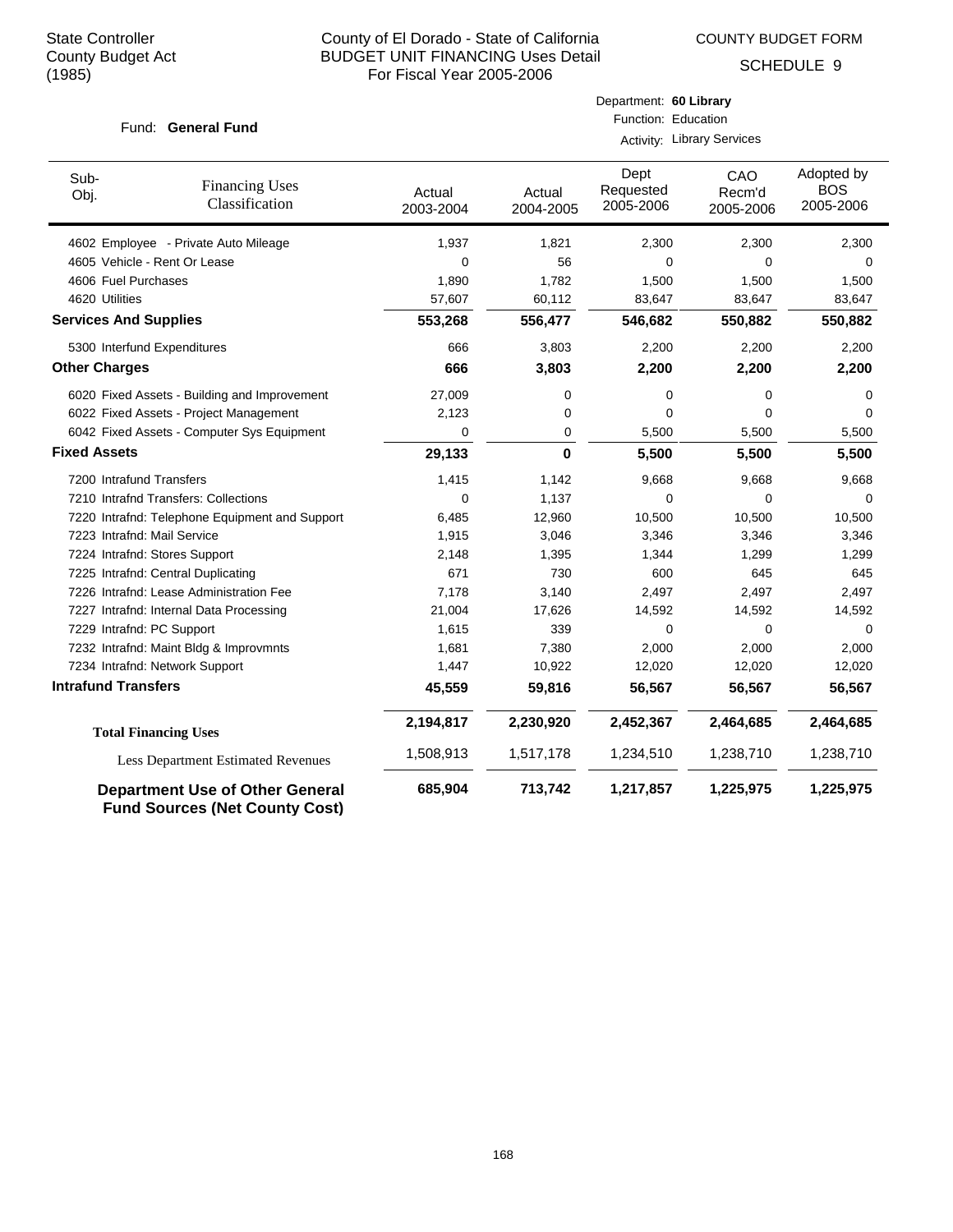COUNTY BUDGET FORM

Department: **60 Library**

SCHEDULE 9

| Fund: General Fund           |                                                                                 | Function: Education<br>Activity: Library Services |                     |                                |                            |                                       |
|------------------------------|---------------------------------------------------------------------------------|---------------------------------------------------|---------------------|--------------------------------|----------------------------|---------------------------------------|
| Sub-<br>Obj.                 | <b>Financing Uses</b><br>Classification                                         | Actual<br>2003-2004                               | Actual<br>2004-2005 | Dept<br>Requested<br>2005-2006 | CAO<br>Recm'd<br>2005-2006 | Adopted by<br><b>BOS</b><br>2005-2006 |
|                              | 4602 Employee - Private Auto Mileage                                            | 1,937                                             | 1,821               | 2,300                          | 2,300                      | 2,300                                 |
|                              | 4605 Vehicle - Rent Or Lease                                                    | $\mathbf 0$                                       | 56                  | 0                              | 0                          | $\Omega$                              |
| 4606 Fuel Purchases          |                                                                                 | 1,890                                             | 1,782               | 1,500                          | 1,500                      | 1,500                                 |
| 4620 Utilities               |                                                                                 | 57,607                                            | 60,112              | 83,647                         | 83,647                     | 83,647                                |
| <b>Services And Supplies</b> |                                                                                 | 553,268                                           | 556,477             | 546,682                        | 550,882                    | 550,882                               |
| 5300 Interfund Expenditures  |                                                                                 | 666                                               | 3,803               | 2,200                          | 2,200                      | 2,200                                 |
| <b>Other Charges</b>         |                                                                                 | 666                                               | 3,803               | 2,200                          | 2,200                      | 2,200                                 |
|                              | 6020 Fixed Assets - Building and Improvement                                    | 27,009                                            | 0                   | 0                              | 0                          | 0                                     |
|                              | 6022 Fixed Assets - Project Management                                          | 2,123                                             | 0                   | 0                              | $\Omega$                   | 0                                     |
|                              | 6042 Fixed Assets - Computer Sys Equipment                                      | 0                                                 | 0                   | 5,500                          | 5,500                      | 5,500                                 |
| <b>Fixed Assets</b>          |                                                                                 | 29,133                                            | 0                   | 5,500                          | 5,500                      | 5,500                                 |
| 7200 Intrafund Transfers     |                                                                                 | 1,415                                             | 1,142               | 9,668                          | 9,668                      | 9,668                                 |
|                              | 7210 Intrafnd Transfers: Collections                                            | $\mathbf 0$                                       | 1,137               | 0                              | $\Omega$                   | $\Omega$                              |
|                              | 7220 Intrafnd: Telephone Equipment and Support                                  | 6,485                                             | 12,960              | 10,500                         | 10,500                     | 10,500                                |
| 7223 Intrafnd: Mail Service  |                                                                                 | 1,915                                             | 3,046               | 3,346                          | 3,346                      | 3,346                                 |
|                              | 7224 Intrafnd: Stores Support                                                   | 2,148                                             | 1,395               | 1,344                          | 1,299                      | 1,299                                 |
|                              | 7225 Intrafnd: Central Duplicating                                              | 671                                               | 730                 | 600                            | 645                        | 645                                   |
|                              | 7226 Intrafnd: Lease Administration Fee                                         | 7,178                                             | 3,140               | 2,497                          | 2,497                      | 2,497                                 |
|                              | 7227 Intrafnd: Internal Data Processing                                         | 21,004                                            | 17,626              | 14,592                         | 14,592                     | 14,592                                |
| 7229 Intrafnd: PC Support    |                                                                                 | 1,615                                             | 339                 | 0                              | $\Omega$                   | $\Omega$                              |
|                              | 7232 Intrafnd: Maint Bldg & Improvmnts                                          | 1,681                                             | 7,380               | 2,000                          | 2,000                      | 2,000                                 |
|                              | 7234 Intrafnd: Network Support                                                  | 1,447                                             | 10,922              | 12,020                         | 12,020                     | 12,020                                |
| <b>Intrafund Transfers</b>   |                                                                                 | 45,559                                            | 59,816              | 56,567                         | 56,567                     | 56,567                                |
|                              | <b>Total Financing Uses</b>                                                     | 2,194,817                                         | 2,230,920           | 2,452,367                      | 2,464,685                  | 2,464,685                             |
|                              | Less Department Estimated Revenues                                              | 1,508,913                                         | 1,517,178           | 1,234,510                      | 1,238,710                  | 1,238,710                             |
|                              | <b>Department Use of Other General</b><br><b>Fund Sources (Net County Cost)</b> | 685,904                                           | 713,742             | 1,217,857                      | 1,225,975                  | 1,225,975                             |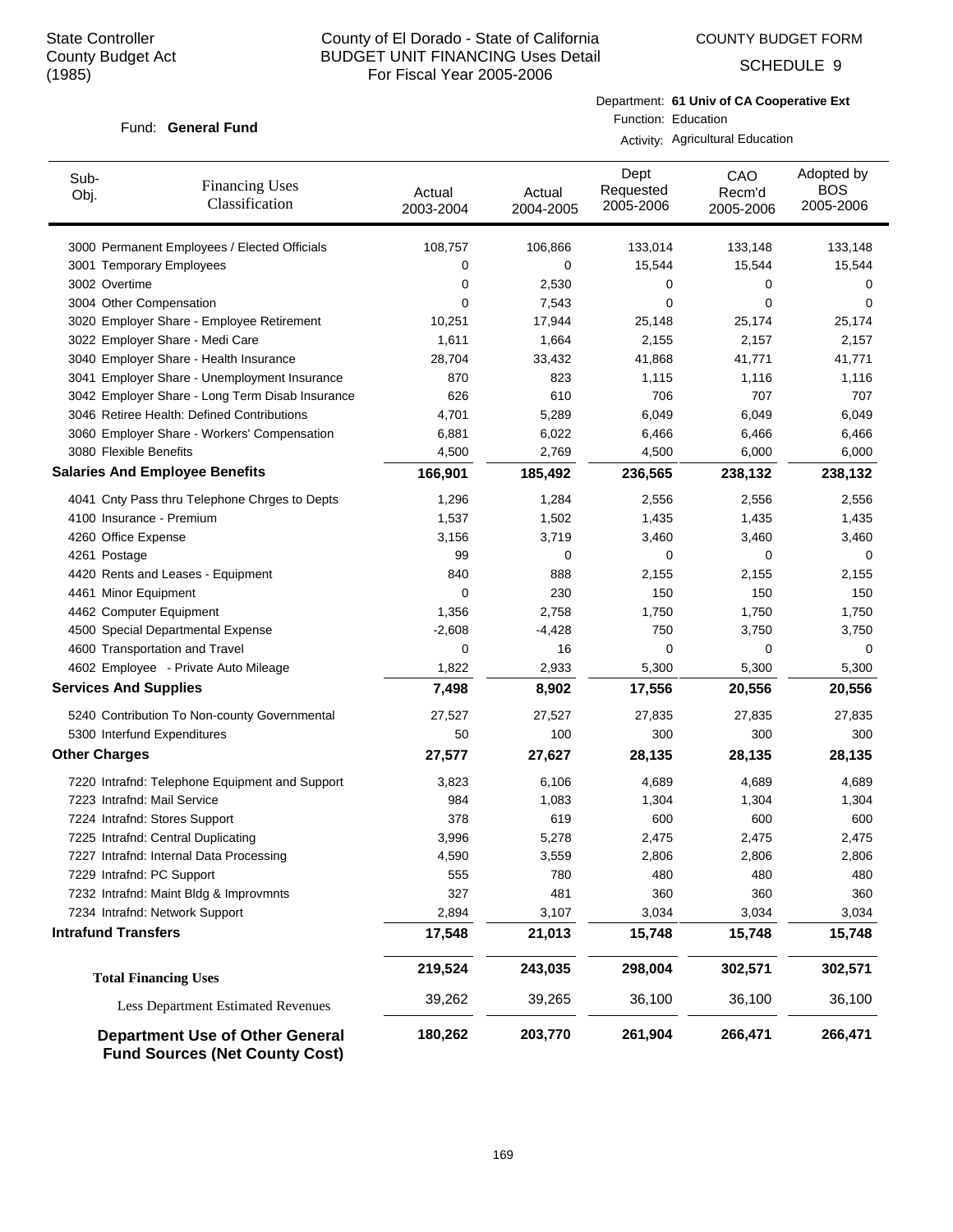COUNTY BUDGET FORM

SCHEDULE 9

#### Fund: General Fund

Department: **61 Univ of CA Cooperative Ext** Function: Education

Activity: Agricultural Education

| Sub-<br>Obj.                 | <b>Financing Uses</b><br>Classification                                         | Actual<br>2003-2004 | Actual<br>2004-2005 | Dept<br>Requested<br>2005-2006 | CAO<br>Recm'd<br>2005-2006 | Adopted by<br><b>BOS</b><br>2005-2006 |
|------------------------------|---------------------------------------------------------------------------------|---------------------|---------------------|--------------------------------|----------------------------|---------------------------------------|
|                              | 3000 Permanent Employees / Elected Officials                                    | 108,757             | 106,866             | 133,014                        | 133,148                    | 133,148                               |
|                              | 3001 Temporary Employees                                                        | 0                   | 0                   | 15,544                         | 15,544                     | 15,544                                |
| 3002 Overtime                |                                                                                 | 0                   | 2,530               | 0                              | 0                          | 0                                     |
| 3004 Other Compensation      |                                                                                 | 0                   | 7,543               | 0                              | 0                          | 0                                     |
|                              | 3020 Employer Share - Employee Retirement                                       | 10,251              | 17,944              | 25,148                         | 25,174                     | 25,174                                |
|                              | 3022 Employer Share - Medi Care                                                 | 1,611               | 1,664               | 2,155                          | 2,157                      | 2,157                                 |
|                              | 3040 Employer Share - Health Insurance                                          | 28,704              | 33,432              | 41,868                         | 41,771                     | 41,771                                |
|                              | 3041 Employer Share - Unemployment Insurance                                    | 870                 | 823                 | 1,115                          | 1,116                      | 1,116                                 |
|                              | 3042 Employer Share - Long Term Disab Insurance                                 | 626                 | 610                 | 706                            | 707                        | 707                                   |
|                              | 3046 Retiree Health: Defined Contributions                                      | 4,701               | 5,289               | 6,049                          | 6,049                      | 6,049                                 |
|                              | 3060 Employer Share - Workers' Compensation                                     | 6,881               | 6,022               | 6,466                          | 6,466                      | 6,466                                 |
| 3080 Flexible Benefits       |                                                                                 | 4,500               | 2,769               | 4,500                          | 6,000                      | 6,000                                 |
|                              | <b>Salaries And Employee Benefits</b>                                           | 166,901             | 185,492             | 236,565                        | 238,132                    | 238,132                               |
|                              | 4041 Cnty Pass thru Telephone Chrges to Depts                                   | 1,296               | 1,284               | 2,556                          | 2,556                      | 2,556                                 |
| 4100 Insurance - Premium     |                                                                                 | 1,537               | 1,502               | 1,435                          | 1,435                      | 1,435                                 |
| 4260 Office Expense          |                                                                                 | 3,156               | 3,719               | 3,460                          | 3,460                      | 3,460                                 |
| 4261 Postage                 |                                                                                 | 99                  | 0                   | 0                              | 0                          | 0                                     |
|                              | 4420 Rents and Leases - Equipment                                               | 840                 | 888                 | 2,155                          | 2,155                      | 2,155                                 |
| 4461 Minor Equipment         |                                                                                 | 0                   | 230                 | 150                            | 150                        | 150                                   |
| 4462 Computer Equipment      |                                                                                 | 1,356               | 2,758               | 1,750                          | 1,750                      | 1,750                                 |
|                              | 4500 Special Departmental Expense                                               | $-2,608$            | $-4,428$            | 750                            | 3,750                      | 3,750                                 |
|                              | 4600 Transportation and Travel                                                  | 0                   | 16                  | 0                              | 0                          | 0                                     |
|                              | 4602 Employee - Private Auto Mileage                                            | 1,822               | 2,933               | 5,300                          | 5,300                      | 5,300                                 |
| <b>Services And Supplies</b> |                                                                                 | 7,498               | 8,902               | 17,556                         | 20,556                     | 20,556                                |
|                              | 5240 Contribution To Non-county Governmental                                    | 27,527              | 27,527              | 27,835                         | 27,835                     | 27,835                                |
|                              | 5300 Interfund Expenditures                                                     | 50                  | 100                 | 300                            | 300                        | 300                                   |
| <b>Other Charges</b>         |                                                                                 | 27,577              | 27,627              | 28,135                         | 28,135                     | 28,135                                |
|                              | 7220 Intrafnd: Telephone Equipment and Support                                  | 3,823               | 6,106               | 4,689                          | 4,689                      | 4,689                                 |
| 7223 Intrafnd: Mail Service  |                                                                                 | 984                 | 1,083               | 1,304                          | 1,304                      | 1,304                                 |
|                              | 7224 Intrafnd: Stores Support                                                   | 378                 | 619                 | 600                            | 600                        | 600                                   |
|                              | 7225 Intrafnd: Central Duplicating                                              | 3,996               | 5,278               | 2,475                          | 2,475                      | 2,475                                 |
|                              | 7227 Intrafnd: Internal Data Processing                                         | 4,590               | 3,559               | 2,806                          | 2,806                      | 2,806                                 |
| 7229 Intrafnd: PC Support    |                                                                                 | 555                 | 780                 | 480                            | 480                        | 480                                   |
|                              | 7232 Intrafnd: Maint Bldg & Improvmnts                                          | 327                 | 481                 | 360                            | 360                        | 360                                   |
|                              | 7234 Intrafnd: Network Support                                                  | 2,894               | 3,107               | 3,034                          | 3,034                      | 3,034                                 |
| <b>Intrafund Transfers</b>   |                                                                                 | 17,548              | 21,013              | 15,748                         | 15,748                     | 15,748                                |
|                              | <b>Total Financing Uses</b>                                                     | 219,524             | 243,035             | 298,004                        | 302,571                    | 302,571                               |
|                              | Less Department Estimated Revenues                                              | 39,262              | 39,265              | 36,100                         | 36,100                     | 36,100                                |
|                              | <b>Department Use of Other General</b><br><b>Fund Sources (Net County Cost)</b> | 180,262             | 203,770             | 261,904                        | 266,471                    | 266,471                               |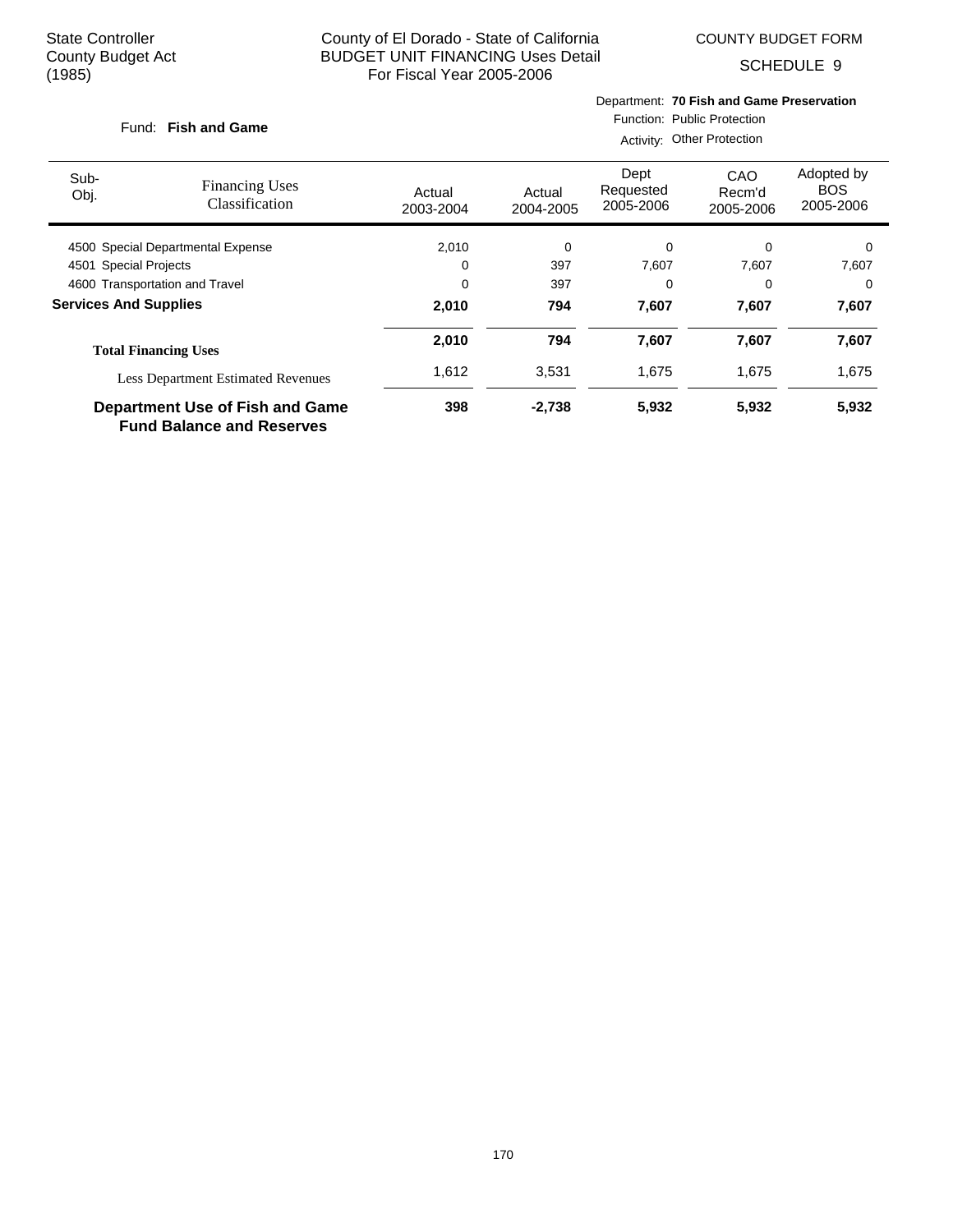COUNTY BUDGET FORM

Department: **70 Fish and Game Preservation**

SCHEDULE 9

 $\overline{\phantom{0}}$ 

| Fund: Fish and Game               |                                                                            | Function: Public Protection<br>Activity: Other Protection |                     |                                |                            |                                       |  |
|-----------------------------------|----------------------------------------------------------------------------|-----------------------------------------------------------|---------------------|--------------------------------|----------------------------|---------------------------------------|--|
| Sub-<br>Obj.                      | <b>Financing Uses</b><br>Classification                                    | Actual<br>2003-2004                                       | Actual<br>2004-2005 | Dept<br>Requested<br>2005-2006 | CAO<br>Recm'd<br>2005-2006 | Adopted by<br><b>BOS</b><br>2005-2006 |  |
| 4500 Special Departmental Expense |                                                                            | 2,010                                                     | 0                   | 0                              | 0                          | 0                                     |  |
| 4501 Special Projects             |                                                                            | 0                                                         | 397                 | 7,607                          | 7,607                      | 7,607                                 |  |
| 4600 Transportation and Travel    |                                                                            | 0                                                         | 397                 | $\Omega$                       | 0                          | 0                                     |  |
| <b>Services And Supplies</b>      |                                                                            | 2,010                                                     | 794                 | 7,607                          | 7,607                      | 7,607                                 |  |
|                                   | <b>Total Financing Uses</b>                                                | 2,010                                                     | 794                 | 7,607                          | 7,607                      | 7,607                                 |  |
|                                   | <b>Less Department Estimated Revenues</b>                                  | 1,612                                                     | 3,531               | 1,675                          | 1,675                      | 1,675                                 |  |
|                                   | <b>Department Use of Fish and Game</b><br><b>Fund Balance and Reserves</b> | 398                                                       | $-2,738$            | 5,932                          | 5,932                      | 5,932                                 |  |

170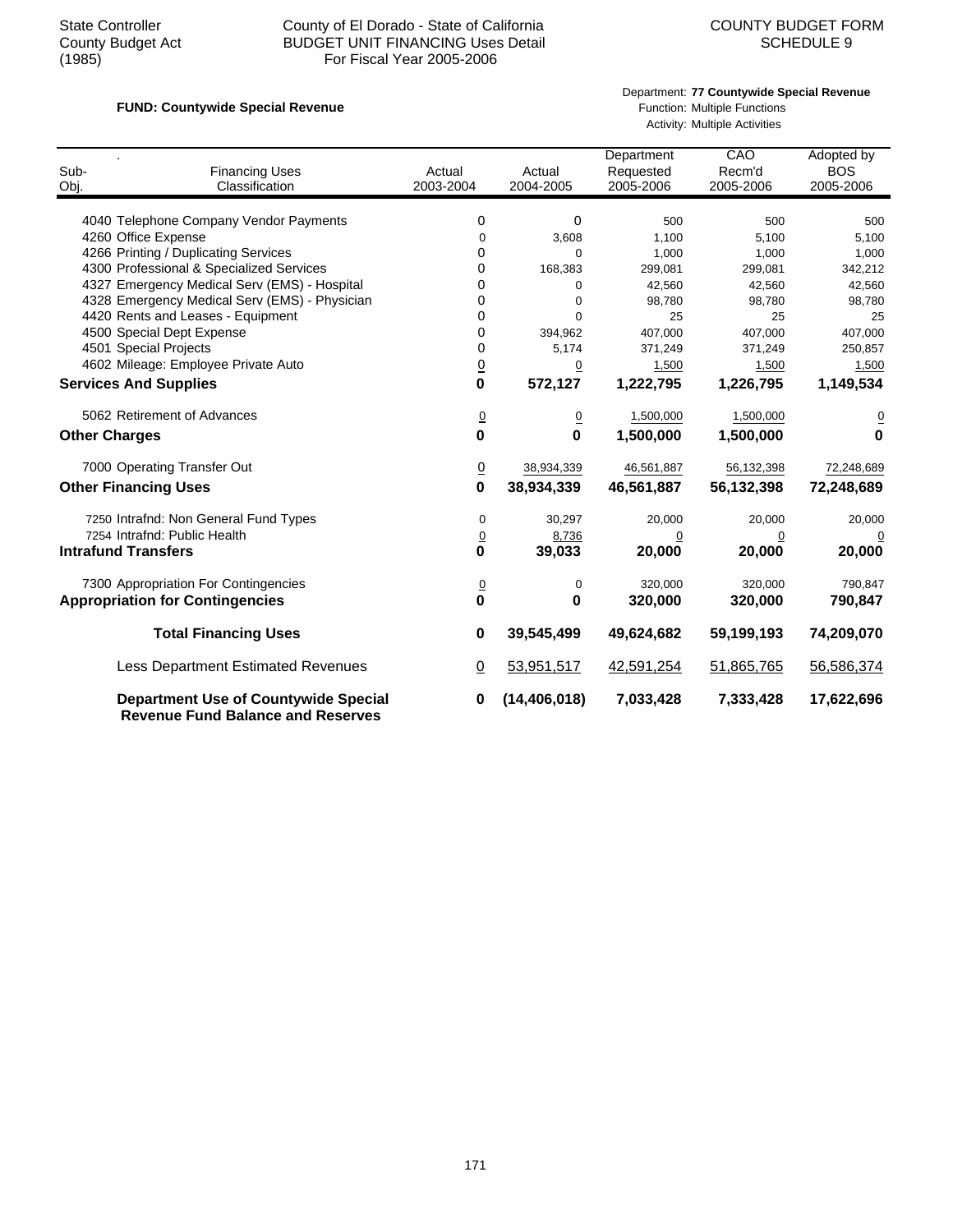## State Controller County of El Dorado - State of California<br>County Budget Act BUDGET UNIT FINANCING Uses Detail<br>SCHEDULE 9 County Budget Act BUDGET UNIT FINANCING Uses Detail<br>(1985) For Fiscal Year 2005-2006 For Fiscal Year 2005-2006

#### Department: **77 Countywide Special Revenue**

# **FUND: Countywide Special Revenue FUND: Countywide Special Revenue Function: Multiple Functions**

Activity: Multiple Activities

| Sub-<br>Obj.                | <b>Financing Uses</b><br>Classification                                                 | Actual<br>2003-2004 | Actual<br>2004-2005 | Department<br>Requested<br>2005-2006 | CAO<br>Recm'd<br>2005-2006 | Adopted by<br><b>BOS</b><br>2005-2006 |
|-----------------------------|-----------------------------------------------------------------------------------------|---------------------|---------------------|--------------------------------------|----------------------------|---------------------------------------|
|                             | 4040 Telephone Company Vendor Payments                                                  | 0                   | 0                   | 500                                  | 500                        | 500                                   |
|                             | 4260 Office Expense                                                                     | $\mathbf 0$         | 3,608               | 1,100                                | 5,100                      | 5,100                                 |
|                             | 4266 Printing / Duplicating Services                                                    | 0                   | 0                   | 1,000                                | 1,000                      | 1,000                                 |
|                             | 4300 Professional & Specialized Services                                                | 0                   | 168,383             | 299,081                              | 299,081                    | 342,212                               |
|                             | 4327 Emergency Medical Serv (EMS) - Hospital                                            | 0                   | 0                   | 42,560                               | 42,560                     | 42,560                                |
|                             | 4328 Emergency Medical Serv (EMS) - Physician                                           | 0                   | $\mathbf 0$         | 98,780                               | 98,780                     | 98,780                                |
|                             | 4420 Rents and Leases - Equipment                                                       | $\Omega$            | $\Omega$            | 25                                   | 25                         | 25                                    |
|                             | 4500 Special Dept Expense                                                               | 0                   | 394,962             | 407,000                              | 407,000                    | 407,000                               |
|                             | 4501 Special Projects                                                                   | 0                   | 5,174               | 371,249                              | 371,249                    | 250,857                               |
|                             | 4602 Mileage: Employee Private Auto                                                     | $\overline{0}$      | 0                   | 1,500                                | 1,500                      | 1,500                                 |
|                             | <b>Services And Supplies</b>                                                            | 0                   | 572,127             | 1,222,795                            | 1,226,795                  | 1,149,534                             |
|                             | 5062 Retirement of Advances                                                             | $\overline{0}$      | $\overline{0}$      | 1,500,000                            | 1,500,000                  |                                       |
| <b>Other Charges</b>        |                                                                                         | 0                   | $\bf{0}$            | 1,500,000                            | 1,500,000                  | $\mathbf 0$                           |
|                             | 7000 Operating Transfer Out                                                             | $\overline{0}$      | 38,934,339          | 46,561,887                           | 56,132,398                 | 72,248,689                            |
| <b>Other Financing Uses</b> |                                                                                         | 0                   | 38,934,339          | 46,561,887                           | 56,132,398                 | 72,248,689                            |
|                             | 7250 Intrafnd: Non General Fund Types                                                   | 0                   | 30,297              | 20,000                               | 20,000                     | 20,000                                |
|                             | 7254 Intrafnd: Public Health                                                            | $\underline{0}$     | 8,736               | $\overline{0}$                       | $\overline{0}$             |                                       |
|                             | <b>Intrafund Transfers</b>                                                              | 0                   | 39,033              | 20,000                               | 20,000                     | 20,000                                |
|                             | 7300 Appropriation For Contingencies                                                    | $\overline{0}$      | 0                   | 320,000                              | 320,000                    | 790,847                               |
|                             | <b>Appropriation for Contingencies</b>                                                  | 0                   | 0                   | 320,000                              | 320,000                    | 790,847                               |
|                             | <b>Total Financing Uses</b>                                                             | 0                   | 39,545,499          | 49,624,682                           | 59,199,193                 | 74,209,070                            |
|                             | Less Department Estimated Revenues                                                      | $\underline{0}$     | 53,951,517          | 42,591,254                           | 51,865,765                 | 56,586,374                            |
|                             | <b>Department Use of Countywide Special</b><br><b>Revenue Fund Balance and Reserves</b> | 0                   | (14, 406, 018)      | 7,033,428                            | 7,333,428                  | 17,622,696                            |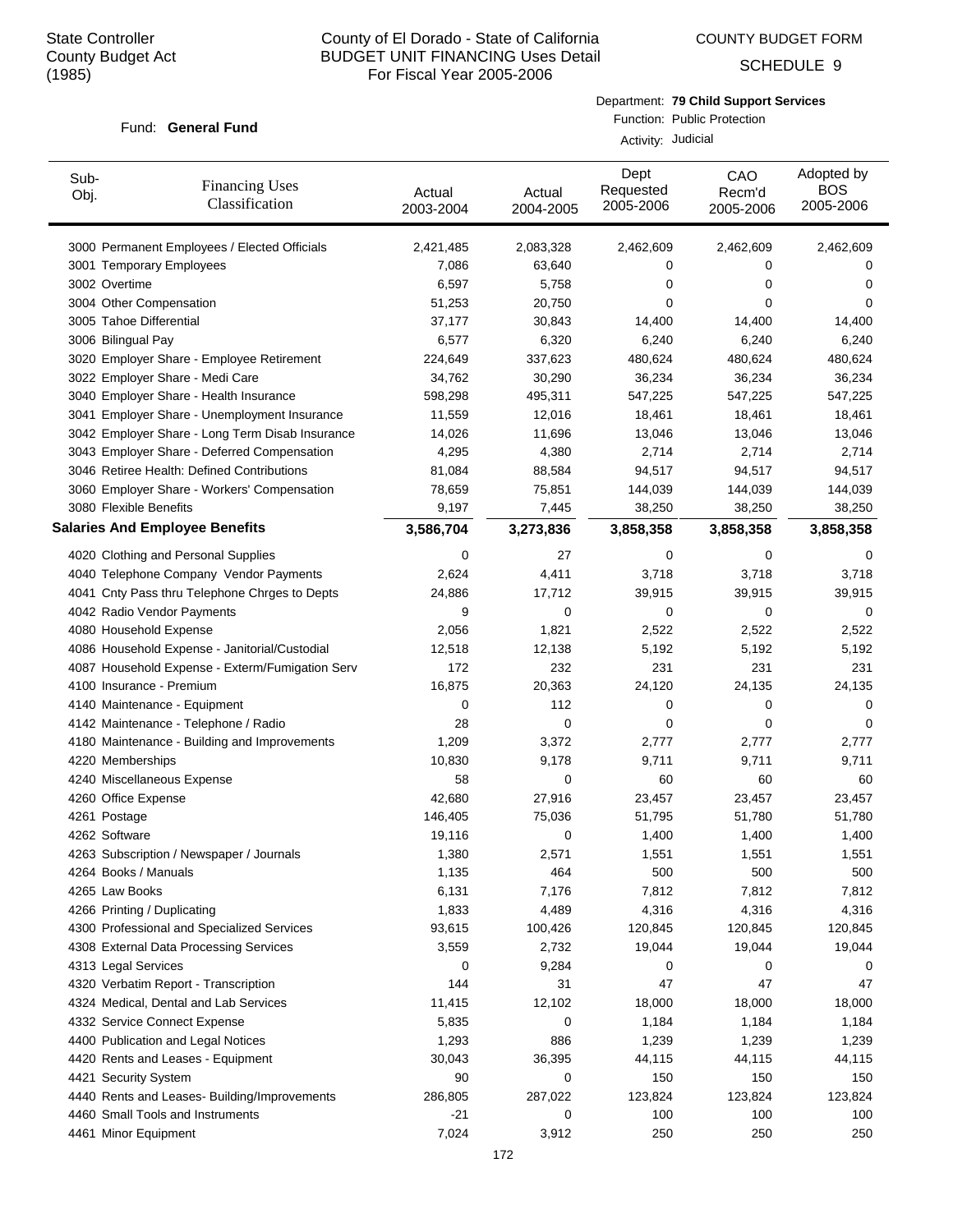COUNTY BUDGET FORM

SCHEDULE 9

#### Department: **79 Child Support Services**

#### Fund: General Fund

Function: Public Protection Activity: Judicial

| Sub-<br>Obj.                | <b>Financing Uses</b><br>Classification         | Actual<br>2003-2004 | Actual<br>2004-2005 | Dept<br>Requested<br>2005-2006 | CAO<br>Recm'd<br>2005-2006 | Adopted by<br><b>BOS</b><br>2005-2006 |
|-----------------------------|-------------------------------------------------|---------------------|---------------------|--------------------------------|----------------------------|---------------------------------------|
|                             | 3000 Permanent Employees / Elected Officials    | 2,421,485           | 2,083,328           | 2,462,609                      | 2,462,609                  | 2,462,609                             |
|                             | 3001 Temporary Employees                        | 7,086               | 63,640              | 0                              | 0                          | $\Omega$                              |
| 3002 Overtime               |                                                 | 6,597               | 5,758               | 0                              | 0                          | $\Omega$                              |
| 3004 Other Compensation     |                                                 | 51,253              | 20,750              | 0                              | 0                          | $\Omega$                              |
| 3005 Tahoe Differential     |                                                 | 37.177              | 30,843              | 14,400                         | 14,400                     | 14,400                                |
| 3006 Bilingual Pay          |                                                 | 6,577               | 6,320               | 6,240                          | 6,240                      | 6,240                                 |
|                             | 3020 Employer Share - Employee Retirement       | 224,649             | 337,623             | 480,624                        | 480,624                    | 480,624                               |
|                             | 3022 Employer Share - Medi Care                 | 34,762              | 30,290              | 36,234                         | 36,234                     | 36,234                                |
|                             | 3040 Employer Share - Health Insurance          | 598,298             | 495,311             | 547,225                        | 547,225                    | 547,225                               |
|                             | 3041 Employer Share - Unemployment Insurance    | 11,559              | 12,016              | 18,461                         | 18,461                     | 18,461                                |
|                             | 3042 Employer Share - Long Term Disab Insurance | 14,026              | 11,696              | 13,046                         | 13,046                     | 13,046                                |
|                             | 3043 Employer Share - Deferred Compensation     | 4,295               | 4,380               | 2,714                          | 2,714                      | 2,714                                 |
|                             | 3046 Retiree Health: Defined Contributions      | 81,084              | 88,584              | 94,517                         | 94,517                     | 94,517                                |
|                             | 3060 Employer Share - Workers' Compensation     | 78,659              | 75,851              | 144,039                        | 144,039                    | 144,039                               |
| 3080 Flexible Benefits      |                                                 | 9,197               | 7,445               | 38,250                         | 38,250                     | 38,250                                |
|                             | <b>Salaries And Employee Benefits</b>           | 3,586,704           | 3,273,836           | 3,858,358                      | 3,858,358                  | 3,858,358                             |
|                             | 4020 Clothing and Personal Supplies             | 0                   | 27                  | 0                              | 0                          | 0                                     |
|                             | 4040 Telephone Company Vendor Payments          | 2,624               | 4,411               | 3,718                          | 3,718                      | 3,718                                 |
|                             | 4041 Cnty Pass thru Telephone Chrges to Depts   | 24,886              | 17,712              | 39,915                         | 39,915                     | 39,915                                |
|                             | 4042 Radio Vendor Payments                      | 9                   | 0                   | 0                              | 0                          | 0                                     |
| 4080 Household Expense      |                                                 | 2,056               | 1,821               | 2,522                          | 2,522                      | 2,522                                 |
|                             | 4086 Household Expense - Janitorial/Custodial   | 12,518              | 12,138              | 5,192                          | 5,192                      | 5,192                                 |
|                             | 4087 Household Expense - Exterm/Fumigation Serv | 172                 | 232                 | 231                            | 231                        | 231                                   |
| 4100 Insurance - Premium    |                                                 | 16,875              | 20,363              | 24,120                         | 24,135                     | 24,135                                |
|                             | 4140 Maintenance - Equipment                    | 0                   | 112                 | 0                              | 0                          | 0                                     |
|                             | 4142 Maintenance - Telephone / Radio            | 28                  | 0                   | $\mathbf 0$                    | 0                          | $\Omega$                              |
|                             | 4180 Maintenance - Building and Improvements    | 1,209               | 3,372               | 2,777                          | 2,777                      | 2,777                                 |
| 4220 Memberships            |                                                 | 10,830              | 9,178               | 9,711                          | 9,711                      | 9,711                                 |
|                             | 4240 Miscellaneous Expense                      | 58                  | 0                   | 60                             | 60                         | 60                                    |
| 4260 Office Expense         |                                                 | 42,680              | 27,916              | 23,457                         | 23,457                     | 23,457                                |
| 4261 Postage                |                                                 | 146,405             | 75,036              | 51,795                         | 51,780                     | 51,780                                |
| 4262 Software               |                                                 | 19,116              | 0                   | 1,400                          | 1,400                      | 1,400                                 |
|                             | 4263 Subscription / Newspaper / Journals        | 1,380               | 2,571               | 1,551                          | 1,551                      | 1,551                                 |
| 4264 Books / Manuals        |                                                 | 1,135               | 464                 | 500                            | 500                        | 500                                   |
| 4265 Law Books              |                                                 | 6,131               | 7,176               | 7,812                          | 7,812                      | 7,812                                 |
| 4266 Printing / Duplicating |                                                 | 1,833               | 4,489               | 4,316                          | 4,316                      | 4,316                                 |
|                             | 4300 Professional and Specialized Services      | 93,615              | 100,426             | 120,845                        | 120,845                    | 120,845                               |
|                             | 4308 External Data Processing Services          | 3,559               | 2,732               | 19,044                         | 19,044                     | 19,044                                |
| 4313 Legal Services         |                                                 | 0                   | 9,284               | 0                              | 0                          | 0                                     |
|                             | 4320 Verbatim Report - Transcription            | 144                 | 31                  | 47                             | 47                         | 47                                    |
|                             | 4324 Medical, Dental and Lab Services           | 11,415              | 12,102              | 18,000                         | 18,000                     | 18,000                                |
|                             | 4332 Service Connect Expense                    | 5,835               | 0                   | 1,184                          | 1,184                      | 1,184                                 |
|                             | 4400 Publication and Legal Notices              | 1,293               | 886                 | 1,239                          | 1,239                      | 1,239                                 |
|                             | 4420 Rents and Leases - Equipment               | 30,043              | 36,395              | 44,115                         | 44,115                     | 44,115                                |
| 4421 Security System        |                                                 | 90                  | 0                   | 150                            | 150                        | 150                                   |
|                             | 4440 Rents and Leases- Building/Improvements    | 286,805             | 287,022             | 123,824                        | 123,824                    | 123,824                               |
|                             | 4460 Small Tools and Instruments                | $-21$               | 0                   | 100                            | 100                        | 100                                   |
| 4461 Minor Equipment        |                                                 | 7,024               | 3,912               | 250                            | 250                        | 250                                   |
|                             |                                                 |                     |                     |                                |                            |                                       |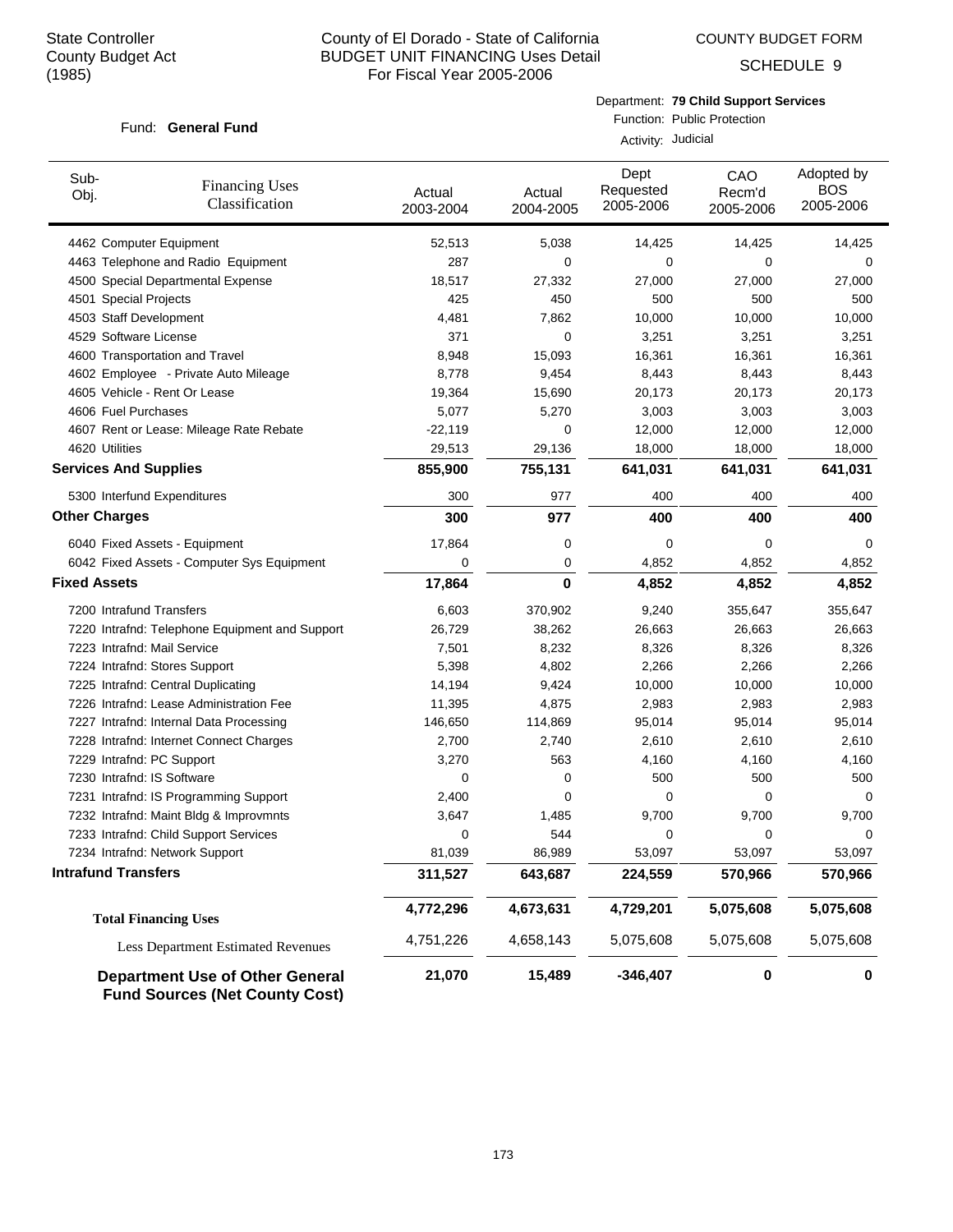COUNTY BUDGET FORM

SCHEDULE 9

#### Department: **79 Child Support Services**

#### Fund: General Fund

Function: Public Protection Activity: Judicial

| Sub-<br>Obj.                 | <b>Financing Uses</b><br>Classification                                         | Actual<br>2003-2004 | Actual<br>2004-2005 | Dept<br>Requested<br>2005-2006 | CAO<br>Recm'd<br>2005-2006 | Adopted by<br><b>BOS</b><br>2005-2006 |
|------------------------------|---------------------------------------------------------------------------------|---------------------|---------------------|--------------------------------|----------------------------|---------------------------------------|
|                              | 4462 Computer Equipment                                                         | 52,513              | 5,038               | 14,425                         | 14,425                     | 14,425                                |
|                              | 4463 Telephone and Radio Equipment                                              | 287                 | 0                   | 0                              | 0                          | $\Omega$                              |
|                              | 4500 Special Departmental Expense                                               | 18,517              | 27,332              | 27,000                         | 27,000                     | 27,000                                |
| 4501 Special Projects        |                                                                                 | 425                 | 450                 | 500                            | 500                        | 500                                   |
| 4503 Staff Development       |                                                                                 | 4,481               | 7,862               | 10,000                         | 10,000                     | 10,000                                |
| 4529 Software License        |                                                                                 | 371                 | 0                   | 3,251                          | 3,251                      | 3,251                                 |
|                              | 4600 Transportation and Travel                                                  | 8,948               | 15,093              | 16,361                         | 16,361                     | 16,361                                |
|                              | 4602 Employee - Private Auto Mileage                                            | 8,778               | 9,454               | 8,443                          | 8,443                      | 8,443                                 |
|                              | 4605 Vehicle - Rent Or Lease                                                    | 19,364              | 15,690              | 20,173                         | 20,173                     | 20,173                                |
| 4606 Fuel Purchases          |                                                                                 | 5,077               | 5,270               | 3,003                          | 3,003                      | 3,003                                 |
|                              | 4607 Rent or Lease: Mileage Rate Rebate                                         | $-22,119$           | 0                   | 12,000                         | 12,000                     | 12,000                                |
| 4620 Utilities               |                                                                                 | 29,513              | 29,136              | 18,000                         | 18,000                     | 18,000                                |
| <b>Services And Supplies</b> |                                                                                 | 855,900             | 755,131             | 641,031                        | 641,031                    | 641,031                               |
|                              | 5300 Interfund Expenditures                                                     | 300                 | 977                 | 400                            | 400                        | 400                                   |
| <b>Other Charges</b>         |                                                                                 | 300                 | 977                 | 400                            | 400                        | 400                                   |
|                              | 6040 Fixed Assets - Equipment                                                   | 17,864              | 0                   | 0                              | $\Omega$                   | 0                                     |
|                              | 6042 Fixed Assets - Computer Sys Equipment                                      | 0                   | 0                   | 4,852                          | 4,852                      | 4,852                                 |
| <b>Fixed Assets</b>          |                                                                                 | 17,864              | 0                   | 4,852                          | 4,852                      | 4,852                                 |
| 7200 Intrafund Transfers     |                                                                                 | 6,603               | 370,902             | 9,240                          | 355,647                    | 355,647                               |
|                              | 7220 Intrafnd: Telephone Equipment and Support                                  | 26,729              | 38,262              | 26,663                         | 26,663                     | 26,663                                |
| 7223 Intrafnd: Mail Service  |                                                                                 | 7,501               | 8,232               | 8,326                          | 8,326                      | 8,326                                 |
|                              | 7224 Intrafnd: Stores Support                                                   | 5,398               | 4,802               | 2,266                          | 2,266                      | 2,266                                 |
|                              | 7225 Intrafnd: Central Duplicating                                              | 14,194              | 9,424               | 10,000                         | 10,000                     | 10,000                                |
|                              | 7226 Intrafnd: Lease Administration Fee                                         | 11,395              | 4,875               | 2,983                          | 2,983                      | 2,983                                 |
|                              | 7227 Intrafnd: Internal Data Processing                                         | 146,650             | 114,869             | 95,014                         | 95,014                     | 95,014                                |
|                              | 7228 Intrafnd: Internet Connect Charges                                         | 2,700               | 2,740               | 2,610                          | 2,610                      | 2,610                                 |
| 7229 Intrafnd: PC Support    |                                                                                 | 3,270               | 563                 | 4,160                          | 4,160                      | 4,160                                 |
| 7230 Intrafnd: IS Software   |                                                                                 | 0                   | 0                   | 500                            | 500                        | 500                                   |
|                              | 7231 Intrafnd: IS Programming Support                                           | 2,400               | 0                   | 0                              | 0                          | 0                                     |
|                              | 7232 Intrafnd: Maint Bldg & Improvmnts                                          | 3,647               | 1,485               | 9,700                          | 9,700                      | 9,700                                 |
|                              | 7233 Intrafnd: Child Support Services                                           | 0                   | 544                 | 0                              | 0                          | 0                                     |
|                              | 7234 Intrafnd: Network Support                                                  | 81,039              | 86,989              | 53,097                         | 53,097                     | 53,097                                |
| <b>Intrafund Transfers</b>   |                                                                                 | 311,527             | 643,687             | 224,559                        | 570,966                    | 570,966                               |
|                              | <b>Total Financing Uses</b>                                                     | 4,772,296           | 4,673,631           | 4,729,201                      | 5,075,608                  | 5,075,608                             |
|                              | <b>Less Department Estimated Revenues</b>                                       | 4,751,226           | 4,658,143           | 5,075,608                      | 5,075,608                  | 5,075,608                             |
|                              | <b>Department Use of Other General</b><br><b>Fund Sources (Net County Cost)</b> | 21,070              | 15,489              | $-346,407$                     | $\pmb{0}$                  | 0                                     |